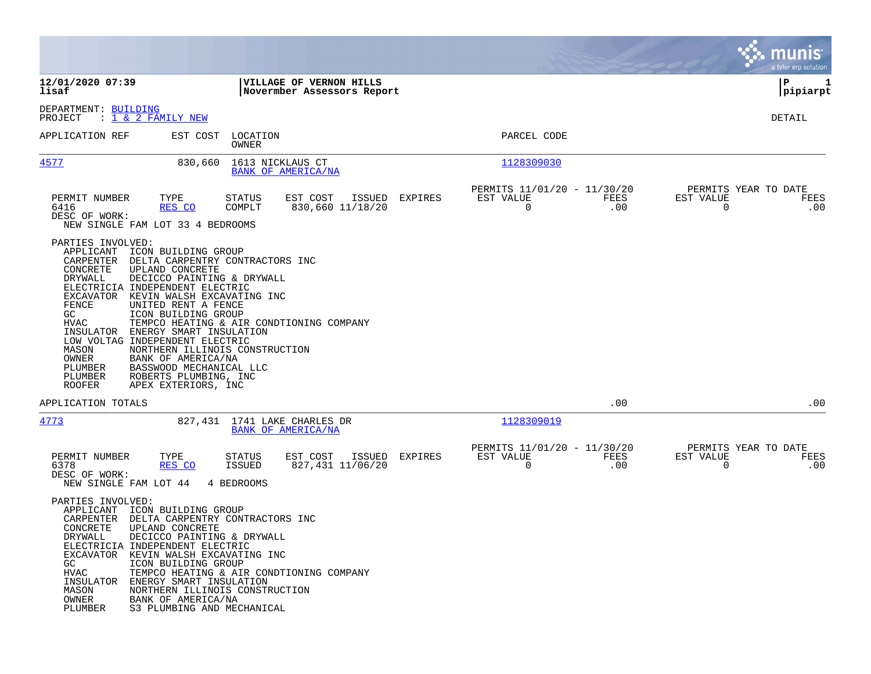|                                                                                                                                                                                                                                                                                                  |                                                                                                                                                                                                                                                                                                                                 |         |                                                                        | munis<br>a tyler erp solution                                      |
|--------------------------------------------------------------------------------------------------------------------------------------------------------------------------------------------------------------------------------------------------------------------------------------------------|---------------------------------------------------------------------------------------------------------------------------------------------------------------------------------------------------------------------------------------------------------------------------------------------------------------------------------|---------|------------------------------------------------------------------------|--------------------------------------------------------------------|
| 12/01/2020 07:39<br>lisaf                                                                                                                                                                                                                                                                        | VILLAGE OF VERNON HILLS<br>Novermber Assessors Report                                                                                                                                                                                                                                                                           |         |                                                                        | IΡ<br>1<br> pipiarpt                                               |
| DEPARTMENT: BUILDING<br>$\frac{1}{1}$ & 2 FAMILY NEW<br>PROJECT                                                                                                                                                                                                                                  |                                                                                                                                                                                                                                                                                                                                 |         |                                                                        | DETAIL                                                             |
| APPLICATION REF                                                                                                                                                                                                                                                                                  | EST COST<br>LOCATION<br>OWNER                                                                                                                                                                                                                                                                                                   |         | PARCEL CODE                                                            |                                                                    |
| 4577                                                                                                                                                                                                                                                                                             | 1613 NICKLAUS CT<br>830,660<br>BANK OF AMERICA/NA                                                                                                                                                                                                                                                                               |         | 1128309030                                                             |                                                                    |
| PERMIT NUMBER<br>TYPE<br>6416<br>RES CO<br>DESC OF WORK:<br>NEW SINGLE FAM LOT 33 4 BEDROOMS                                                                                                                                                                                                     | <b>STATUS</b><br>EST COST<br>ISSUED<br>COMPLT<br>830,660 11/18/20                                                                                                                                                                                                                                                               | EXPIRES | PERMITS 11/01/20 - 11/30/20<br>EST VALUE<br>FEES<br>0<br>.00           | PERMITS YEAR TO DATE<br>EST VALUE<br>FEES<br>$\overline{0}$<br>.00 |
| PARTIES INVOLVED:<br>APPLICANT ICON BUILDING GROUP<br>CONCRETE<br>UPLAND CONCRETE<br>DRYWALL<br>ELECTRICIA INDEPENDENT ELECTRIC<br>EXCAVATOR KEVIN WALSH EXCAVATING INC<br>FENCE<br>GC<br>HVAC<br>INSULATOR<br>LOW VOLTAG INDEPENDENT ELECTRIC<br>MASON<br>OWNER<br>PLUMBER<br>PLUMBER<br>ROOFER | CARPENTER DELTA CARPENTRY CONTRACTORS INC<br>DECICCO PAINTING & DRYWALL<br>UNITED RENT A FENCE<br>ICON BUILDING GROUP<br>TEMPCO HEATING & AIR CONDTIONING COMPANY<br>ENERGY SMART INSULATION<br>NORTHERN ILLINOIS CONSTRUCTION<br>BANK OF AMERICA/NA<br>BASSWOOD MECHANICAL LLC<br>ROBERTS PLUMBING, INC<br>APEX EXTERIORS, INC |         |                                                                        |                                                                    |
| APPLICATION TOTALS                                                                                                                                                                                                                                                                               |                                                                                                                                                                                                                                                                                                                                 |         | .00                                                                    | .00                                                                |
| 4773                                                                                                                                                                                                                                                                                             | 827,431 1741 LAKE CHARLES DR<br><b>BANK OF AMERICA/NA</b>                                                                                                                                                                                                                                                                       |         | 1128309019                                                             |                                                                    |
| PERMIT NUMBER<br>TYPE<br>6378<br>RES CO<br>DESC OF WORK:<br>NEW SINGLE FAM LOT 44                                                                                                                                                                                                                | EST COST<br>ISSUED<br>STATUS<br>827,431 11/06/20<br>ISSUED<br>4 BEDROOMS                                                                                                                                                                                                                                                        | EXPIRES | PERMITS 11/01/20 - 11/30/20<br>FEES<br>EST VALUE<br>$\mathbf 0$<br>.00 | PERMITS YEAR TO DATE<br>EST VALUE<br>FEES<br>$\overline{0}$<br>.00 |
| PARTIES INVOLVED:<br>APPLICANT ICON BUILDING GROUP<br>CONCRETE<br>UPLAND CONCRETE<br>DRYWALL<br>ELECTRICIA INDEPENDENT ELECTRIC<br>EXCAVATOR<br>GC<br><b>HVAC</b><br>INSULATOR<br>MASON<br>OWNER<br>PLUMBER                                                                                      | CARPENTER DELTA CARPENTRY CONTRACTORS INC<br>DECICCO PAINTING & DRYWALL<br>KEVIN WALSH EXCAVATING INC<br>ICON BUILDING GROUP<br>TEMPCO HEATING & AIR CONDTIONING COMPANY<br>ENERGY SMART INSULATION<br>NORTHERN ILLINOIS CONSTRUCTION<br>BANK OF AMERICA/NA<br>S3 PLUMBING AND MECHANICAL                                       |         |                                                                        |                                                                    |

**Contract**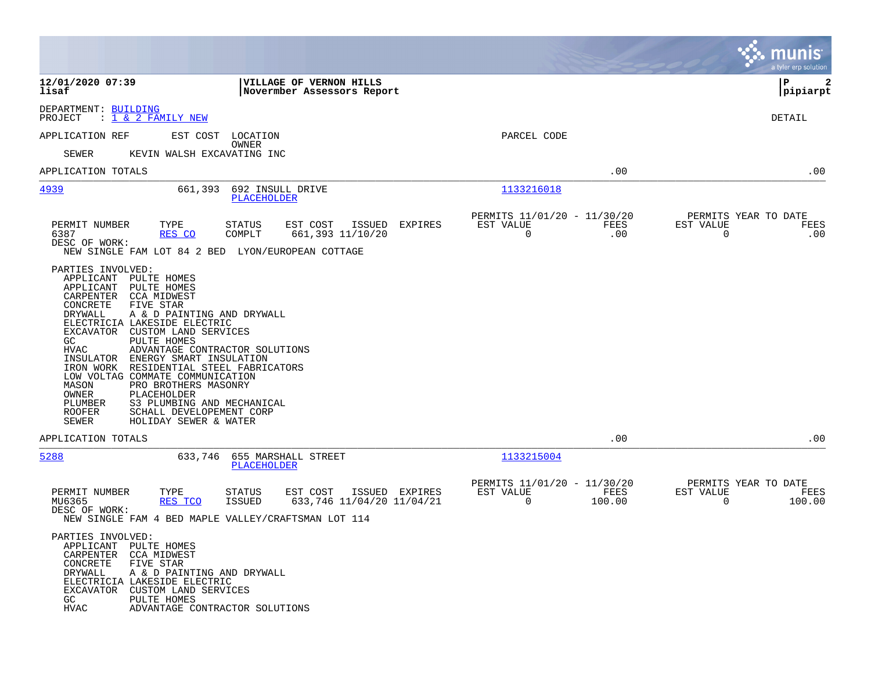|                                                                                                                                                                                                                                                                                                                                                                                                                                      |                                                                                                                                                                                    |                                                         |                | munis<br>a tyler erp solution                                      |
|--------------------------------------------------------------------------------------------------------------------------------------------------------------------------------------------------------------------------------------------------------------------------------------------------------------------------------------------------------------------------------------------------------------------------------------|------------------------------------------------------------------------------------------------------------------------------------------------------------------------------------|---------------------------------------------------------|----------------|--------------------------------------------------------------------|
| 12/01/2020 07:39<br>lisaf                                                                                                                                                                                                                                                                                                                                                                                                            | <b>VILLAGE OF VERNON HILLS</b><br>Novermber Assessors Report                                                                                                                       |                                                         |                | l P<br>2<br> pipiarpt                                              |
| DEPARTMENT: BUILDING<br>: 1 & 2 FAMILY NEW<br>PROJECT                                                                                                                                                                                                                                                                                                                                                                                |                                                                                                                                                                                    |                                                         |                | DETAIL                                                             |
| APPLICATION REF                                                                                                                                                                                                                                                                                                                                                                                                                      | EST COST<br>LOCATION                                                                                                                                                               | PARCEL CODE                                             |                |                                                                    |
| SEWER                                                                                                                                                                                                                                                                                                                                                                                                                                | OWNER<br>KEVIN WALSH EXCAVATING INC                                                                                                                                                |                                                         |                |                                                                    |
| APPLICATION TOTALS                                                                                                                                                                                                                                                                                                                                                                                                                   |                                                                                                                                                                                    |                                                         | .00            | .00                                                                |
| <u>4939</u>                                                                                                                                                                                                                                                                                                                                                                                                                          | 661,393<br>692 INSULL DRIVE<br>PLACEHOLDER                                                                                                                                         | 1133216018                                              |                |                                                                    |
| PERMIT NUMBER<br>TYPE<br>6387<br>RES CO<br>DESC OF WORK:                                                                                                                                                                                                                                                                                                                                                                             | EST COST<br>ISSUED<br><b>EXPIRES</b><br><b>STATUS</b><br>COMPLT<br>661,393 11/10/20<br>NEW SINGLE FAM LOT 84 2 BED LYON/EUROPEAN COTTAGE                                           | PERMITS 11/01/20 - 11/30/20<br>EST VALUE<br>$\mathbf 0$ | FEES<br>.00    | PERMITS YEAR TO DATE<br>EST VALUE<br>FEES<br>$\mathbf 0$<br>.00    |
| PARTIES INVOLVED:<br>APPLICANT<br>PULTE HOMES<br>APPLICANT<br>PULTE HOMES<br>CARPENTER<br>CCA MIDWEST<br>CONCRETE<br>FIVE STAR<br>DRYWALL<br>ELECTRICIA LAKESIDE ELECTRIC<br>EXCAVATOR CUSTOM LAND SERVICES<br>PULTE HOMES<br>GC<br><b>HVAC</b><br>INSULATOR<br>IRON WORK<br>LOW VOLTAG COMMATE COMMUNICATION<br>PRO BROTHERS MASONRY<br>MASON<br>OWNER<br>PLACEHOLDER<br>PLUMBER<br><b>ROOFER</b><br>SEWER<br>HOLIDAY SEWER & WATER | A & D PAINTING AND DRYWALL<br>ADVANTAGE CONTRACTOR SOLUTIONS<br>ENERGY SMART INSULATION<br>RESIDENTIAL STEEL FABRICATORS<br>S3 PLUMBING AND MECHANICAL<br>SCHALL DEVELOPEMENT CORP |                                                         |                |                                                                    |
| APPLICATION TOTALS                                                                                                                                                                                                                                                                                                                                                                                                                   |                                                                                                                                                                                    |                                                         | .00            | .00                                                                |
| 5288                                                                                                                                                                                                                                                                                                                                                                                                                                 | 655 MARSHALL STREET<br>633,746<br><b>PLACEHOLDER</b>                                                                                                                               | 1133215004                                              |                |                                                                    |
| PERMIT NUMBER<br>TYPE<br>MU6365<br>RES TCO<br>DESC OF WORK:                                                                                                                                                                                                                                                                                                                                                                          | <b>STATUS</b><br>EST COST<br>ISSUED EXPIRES<br>ISSUED<br>633,746 11/04/20 11/04/21<br>NEW SINGLE FAM 4 BED MAPLE VALLEY/CRAFTSMAN LOT 114                                          | PERMITS 11/01/20 - 11/30/20<br>EST VALUE<br>0           | FEES<br>100.00 | PERMITS YEAR TO DATE<br>EST VALUE<br>FEES<br>$\mathbf 0$<br>100.00 |
| PARTIES INVOLVED:<br>APPLICANT PULTE HOMES<br>CARPENTER CCA MIDWEST<br>CONCRETE<br>FIVE STAR<br>DRYWALL<br>ELECTRICIA LAKESIDE ELECTRIC<br>CUSTOM LAND SERVICES<br>EXCAVATOR<br>GC.<br>PULTE HOMES<br><b>HVAC</b>                                                                                                                                                                                                                    | A & D PAINTING AND DRYWALL<br>ADVANTAGE CONTRACTOR SOLUTIONS                                                                                                                       |                                                         |                |                                                                    |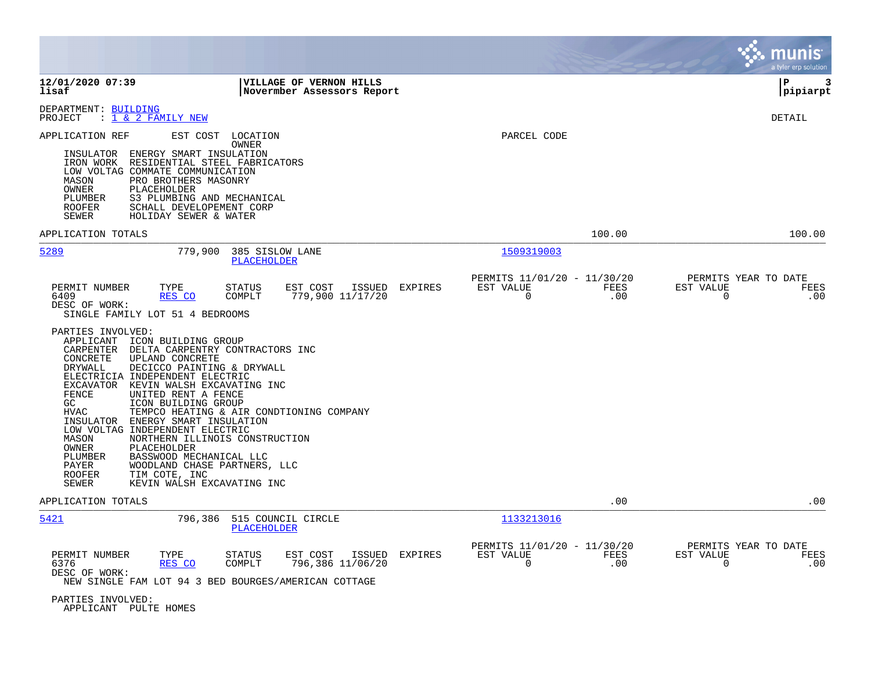|                                                                                                                                                                                                                                                                                                                                                                                                                                                                                                                                                                                                                                                                                                                                                                                                                                                                                   |                                                                                      | a tyler erp solution                                            |
|-----------------------------------------------------------------------------------------------------------------------------------------------------------------------------------------------------------------------------------------------------------------------------------------------------------------------------------------------------------------------------------------------------------------------------------------------------------------------------------------------------------------------------------------------------------------------------------------------------------------------------------------------------------------------------------------------------------------------------------------------------------------------------------------------------------------------------------------------------------------------------------|--------------------------------------------------------------------------------------|-----------------------------------------------------------------|
| 12/01/2020 07:39<br>VILLAGE OF VERNON HILLS<br>lisaf<br>Novermber Assessors Report                                                                                                                                                                                                                                                                                                                                                                                                                                                                                                                                                                                                                                                                                                                                                                                                |                                                                                      | l P<br>3<br> pipiarpt                                           |
| DEPARTMENT: BUILDING<br>PROJECT<br>$: 1 \& 2$ FAMILY NEW                                                                                                                                                                                                                                                                                                                                                                                                                                                                                                                                                                                                                                                                                                                                                                                                                          |                                                                                      | DETAIL                                                          |
| EST COST<br>LOCATION<br>APPLICATION REF<br>OWNER<br>INSULATOR ENERGY SMART INSULATION<br>IRON WORK RESIDENTIAL STEEL FABRICATORS<br>LOW VOLTAG COMMATE COMMUNICATION<br>PRO BROTHERS MASONRY<br>MASON<br>OWNER<br>PLACEHOLDER<br>PLUMBER<br>S3 PLUMBING AND MECHANICAL<br><b>ROOFER</b><br>SCHALL DEVELOPEMENT CORP<br>SEWER<br>HOLIDAY SEWER & WATER                                                                                                                                                                                                                                                                                                                                                                                                                                                                                                                             | PARCEL CODE                                                                          |                                                                 |
| APPLICATION TOTALS                                                                                                                                                                                                                                                                                                                                                                                                                                                                                                                                                                                                                                                                                                                                                                                                                                                                | 100.00                                                                               | 100.00                                                          |
| 5289<br>779,900<br>385 SISLOW LANE<br>PLACEHOLDER                                                                                                                                                                                                                                                                                                                                                                                                                                                                                                                                                                                                                                                                                                                                                                                                                                 | 1509319003<br>PERMITS 11/01/20 - 11/30/20                                            | PERMITS YEAR TO DATE                                            |
| PERMIT NUMBER<br>EST COST<br>ISSUED<br><b>EXPIRES</b><br>TYPE<br><b>STATUS</b><br>COMPLT<br>779,900 11/17/20<br>6409<br>RES CO<br>DESC OF WORK:<br>SINGLE FAMILY LOT 51 4 BEDROOMS<br>PARTIES INVOLVED:<br>APPLICANT ICON BUILDING GROUP<br>CARPENTER DELTA CARPENTRY CONTRACTORS INC<br>CONCRETE<br>UPLAND CONCRETE<br><b>DRYWALL</b><br>DECICCO PAINTING & DRYWALL<br>ELECTRICIA INDEPENDENT ELECTRIC<br>EXCAVATOR KEVIN WALSH EXCAVATING INC<br><b>FENCE</b><br>UNITED RENT A FENCE<br>GC<br>ICON BUILDING GROUP<br><b>HVAC</b><br>TEMPCO HEATING & AIR CONDTIONING COMPANY<br>INSULATOR ENERGY SMART INSULATION<br>LOW VOLTAG INDEPENDENT ELECTRIC<br>MASON<br>NORTHERN ILLINOIS CONSTRUCTION<br>OWNER<br>PLACEHOLDER<br>BASSWOOD MECHANICAL LLC<br>PLUMBER<br>WOODLAND CHASE PARTNERS, LLC<br>PAYER<br>TIM COTE, INC<br><b>ROOFER</b><br>KEVIN WALSH EXCAVATING INC<br>SEWER | FEES<br>EST VALUE<br>$\mathbf 0$<br>.00                                              | EST VALUE<br>FEES<br>0<br>.00                                   |
| APPLICATION TOTALS                                                                                                                                                                                                                                                                                                                                                                                                                                                                                                                                                                                                                                                                                                                                                                                                                                                                | .00                                                                                  | .00                                                             |
| 5421<br>796,386<br>515 COUNCIL CIRCLE<br><b>PLACEHOLDER</b><br>TYPE<br>ISSUED<br>PERMIT NUMBER<br><b>STATUS</b><br>EST COST<br>EXPIRES<br>796,386 11/06/20<br>6376<br>RES CO<br>COMPLT<br>DESC OF WORK:<br>NEW SINGLE FAM LOT 94 3 BED BOURGES/AMERICAN COTTAGE<br>PARTIES INVOLVED:                                                                                                                                                                                                                                                                                                                                                                                                                                                                                                                                                                                              | 1133213016<br>PERMITS 11/01/20 - 11/30/20<br>EST VALUE<br>FEES<br>$\mathbf 0$<br>.00 | PERMITS YEAR TO DATE<br>EST VALUE<br>FEES<br>$\mathbf 0$<br>.00 |

APPLICANT PULTE HOMES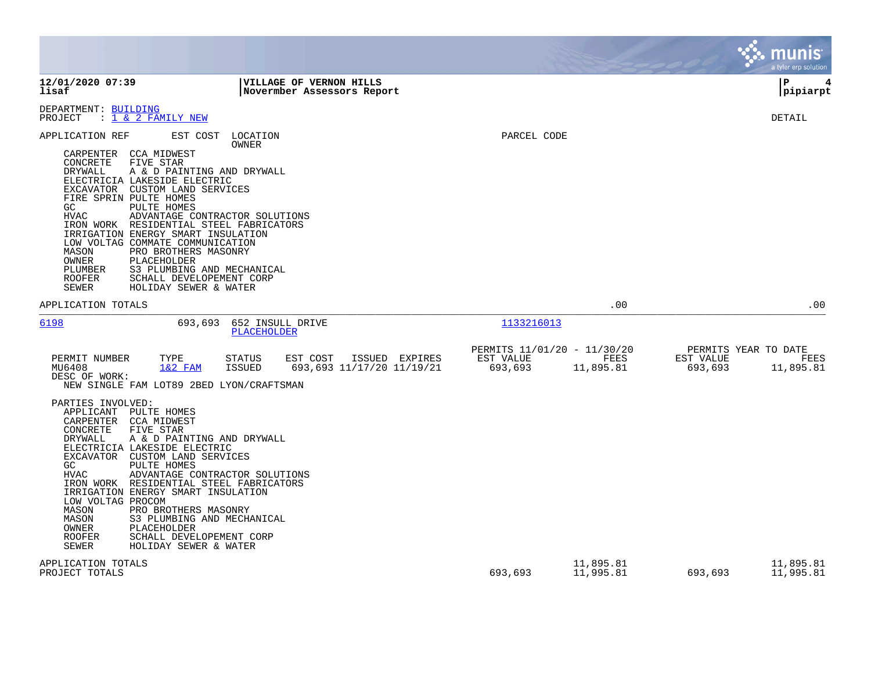|                                                                                                                                                                                                                                                                                       |                                                                                                                                                                                                                                                                                                                                |                                                       |                |                                                     |                          |                                              | munis<br>a tyler erp solution |
|---------------------------------------------------------------------------------------------------------------------------------------------------------------------------------------------------------------------------------------------------------------------------------------|--------------------------------------------------------------------------------------------------------------------------------------------------------------------------------------------------------------------------------------------------------------------------------------------------------------------------------|-------------------------------------------------------|----------------|-----------------------------------------------------|--------------------------|----------------------------------------------|-------------------------------|
| 12/01/2020 07:39<br>lisaf                                                                                                                                                                                                                                                             |                                                                                                                                                                                                                                                                                                                                | VILLAGE OF VERNON HILLS<br>Novermber Assessors Report |                |                                                     |                          |                                              | l P<br> pipiarpt              |
| DEPARTMENT: BUILDING<br>$: 1 \& 2$ FAMILY NEW<br>PROJECT                                                                                                                                                                                                                              |                                                                                                                                                                                                                                                                                                                                |                                                       |                |                                                     |                          |                                              | DETAIL                        |
| APPLICATION REF<br>CCA MIDWEST<br>CARPENTER<br>FIVE STAR<br>CONCRETE<br>DRYWALL<br>ELECTRICIA LAKESIDE ELECTRIC<br>EXCAVATOR CUSTOM LAND SERVICES<br>FIRE SPRIN PULTE HOMES<br>GC<br>HVAC<br>LOW VOLTAG COMMATE COMMUNICATION<br>MASON<br>OWNER<br>PLUMBER<br><b>ROOFER</b><br>SEWER  | EST COST<br>LOCATION<br>OWNER<br>A & D PAINTING AND DRYWALL<br><b>PULTE HOMES</b><br>ADVANTAGE CONTRACTOR SOLUTIONS<br>IRON WORK RESIDENTIAL STEEL FABRICATORS<br>IRRIGATION ENERGY SMART INSULATION<br>PRO BROTHERS MASONRY<br>PLACEHOLDER<br>S3 PLUMBING AND MECHANICAL<br>SCHALL DEVELOPEMENT CORP<br>HOLIDAY SEWER & WATER |                                                       |                | PARCEL CODE                                         |                          |                                              |                               |
| APPLICATION TOTALS                                                                                                                                                                                                                                                                    |                                                                                                                                                                                                                                                                                                                                |                                                       |                |                                                     | .00                      |                                              | .00                           |
| 6198                                                                                                                                                                                                                                                                                  | 693,693<br><b>PLACEHOLDER</b>                                                                                                                                                                                                                                                                                                  | 652 INSULL DRIVE                                      |                | 1133216013                                          |                          |                                              |                               |
| PERMIT NUMBER<br>MU6408<br>DESC OF WORK:                                                                                                                                                                                                                                              | TYPE<br><b>STATUS</b><br>$1&2$ FAM<br><b>ISSUED</b><br>NEW SINGLE FAM LOT89 2BED LYON/CRAFTSMAN                                                                                                                                                                                                                                | EST COST<br>693,693 11/17/20 11/19/21                 | ISSUED EXPIRES | PERMITS 11/01/20 - 11/30/20<br>EST VALUE<br>693,693 | <b>FEES</b><br>11,895.81 | PERMITS YEAR TO DATE<br>EST VALUE<br>693,693 | FEES<br>11,895.81             |
| PARTIES INVOLVED:<br>APPLICANT<br>PULTE HOMES<br>CARPENTER<br>CCA MIDWEST<br>CONCRETE<br>FIVE STAR<br><b>DRYWALL</b><br>ELECTRICIA LAKESIDE ELECTRIC<br>EXCAVATOR CUSTOM LAND SERVICES<br>GC<br><b>HVAC</b><br>LOW VOLTAG PROCOM<br>MASON<br>MASON<br>OWNER<br><b>ROOFER</b><br>SEWER | A & D PAINTING AND DRYWALL<br>PULTE HOMES<br>ADVANTAGE CONTRACTOR SOLUTIONS<br>IRON WORK RESIDENTIAL STEEL FABRICATORS<br>IRRIGATION ENERGY SMART INSULATION<br>PRO BROTHERS MASONRY<br>S3 PLUMBING AND MECHANICAL<br>PLACEHOLDER<br>SCHALL DEVELOPEMENT CORP<br>HOLIDAY SEWER & WATER                                         |                                                       |                |                                                     |                          |                                              |                               |
| APPLICATION TOTALS<br>PROJECT TOTALS                                                                                                                                                                                                                                                  |                                                                                                                                                                                                                                                                                                                                |                                                       |                | 693,693                                             | 11,895.81<br>11,995.81   | 693,693                                      | 11,895.81<br>11,995.81        |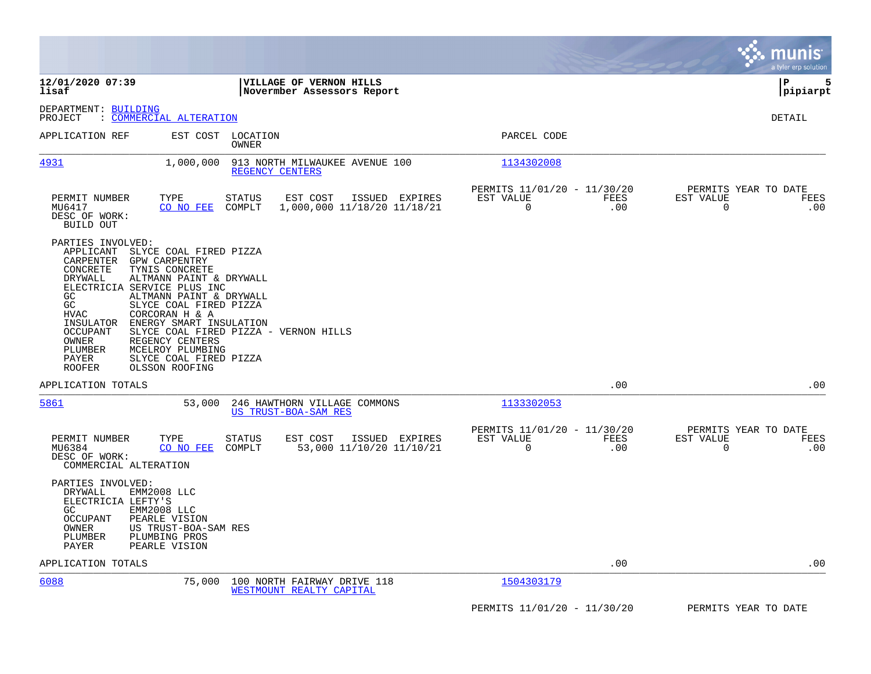|                                                                                                                                                                                                                                                                                                                                                                                                        |                                                                                                                        |                                                              | munis<br>a tyler erp solution                         |
|--------------------------------------------------------------------------------------------------------------------------------------------------------------------------------------------------------------------------------------------------------------------------------------------------------------------------------------------------------------------------------------------------------|------------------------------------------------------------------------------------------------------------------------|--------------------------------------------------------------|-------------------------------------------------------|
| 12/01/2020 07:39<br>lisaf                                                                                                                                                                                                                                                                                                                                                                              | VILLAGE OF VERNON HILLS<br>Novermber Assessors Report                                                                  |                                                              | P<br>5<br> pipiarpt                                   |
| DEPARTMENT: BUILDING<br>: COMMERCIAL ALTERATION<br>PROJECT                                                                                                                                                                                                                                                                                                                                             |                                                                                                                        |                                                              | DETAIL                                                |
| APPLICATION REF                                                                                                                                                                                                                                                                                                                                                                                        | EST COST LOCATION<br><b>OWNER</b>                                                                                      | PARCEL CODE                                                  |                                                       |
| <u>4931</u><br>1,000,000                                                                                                                                                                                                                                                                                                                                                                               | 913 NORTH MILWAUKEE AVENUE 100<br>REGENCY CENTERS                                                                      | 1134302008                                                   |                                                       |
| PERMIT NUMBER<br>TYPE<br>MU6417<br>CO NO FEE<br>DESC OF WORK:<br>BUILD OUT                                                                                                                                                                                                                                                                                                                             | EST COST<br>ISSUED EXPIRES<br>STATUS<br>1,000,000 11/18/20 11/18/21<br>COMPLT                                          | PERMITS 11/01/20 - 11/30/20<br>EST VALUE<br>FEES<br>0<br>.00 | PERMITS YEAR TO DATE<br>EST VALUE<br>FEES<br>.00<br>0 |
| PARTIES INVOLVED:<br>APPLICANT<br>SLYCE COAL FIRED PIZZA<br>CARPENTER<br>GPW CARPENTRY<br>CONCRETE<br>TYNIS CONCRETE<br>DRYWALL<br>ELECTRICIA SERVICE PLUS INC<br>GC<br>GC<br>SLYCE COAL FIRED PIZZA<br><b>HVAC</b><br>CORCORAN H & A<br>INSULATOR<br><b>OCCUPANT</b><br>OWNER<br>REGENCY CENTERS<br>MCELROY PLUMBING<br>PLUMBER<br>SLYCE COAL FIRED PIZZA<br>PAYER<br><b>ROOFER</b><br>OLSSON ROOFING | ALTMANN PAINT & DRYWALL<br>ALTMANN PAINT & DRYWALL<br>ENERGY SMART INSULATION<br>SLYCE COAL FIRED PIZZA - VERNON HILLS |                                                              |                                                       |
| APPLICATION TOTALS                                                                                                                                                                                                                                                                                                                                                                                     |                                                                                                                        | .00                                                          | .00                                                   |
| 5861                                                                                                                                                                                                                                                                                                                                                                                                   | 53,000<br>246 HAWTHORN VILLAGE COMMONS<br><b>US TRUST-BOA-SAM RES</b>                                                  | 1133302053                                                   |                                                       |
| PERMIT NUMBER<br>TYPE<br>CO NO FEE<br>MU6384<br>DESC OF WORK:<br>COMMERCIAL ALTERATION                                                                                                                                                                                                                                                                                                                 | EST COST<br>ISSUED EXPIRES<br>STATUS<br>COMPLT<br>53,000 11/10/20 11/10/21                                             | PERMITS 11/01/20 - 11/30/20<br>EST VALUE<br>FEES<br>0<br>.00 | PERMITS YEAR TO DATE<br>EST VALUE<br>FEES<br>0<br>.00 |
| PARTIES INVOLVED:<br>DRYWALL<br>EMM2008 LLC<br>ELECTRICIA LEFTY'S<br>GC<br>EMM2008 LLC<br><b>OCCUPANT</b><br>PEARLE VISION<br>OWNER<br>US TRUST-BOA-SAM RES<br>PLUMBER<br>PLUMBING PROS<br>PAYER<br>PEARLE VISION                                                                                                                                                                                      |                                                                                                                        |                                                              |                                                       |
| APPLICATION TOTALS                                                                                                                                                                                                                                                                                                                                                                                     |                                                                                                                        | .00                                                          | .00                                                   |
| 6088                                                                                                                                                                                                                                                                                                                                                                                                   | 75,000<br>100 NORTH FAIRWAY DRIVE 118<br>WESTMOUNT REALTY CAPITAL                                                      | 1504303179                                                   |                                                       |
|                                                                                                                                                                                                                                                                                                                                                                                                        |                                                                                                                        | PERMITS 11/01/20 - 11/30/20                                  | PERMITS YEAR TO DATE                                  |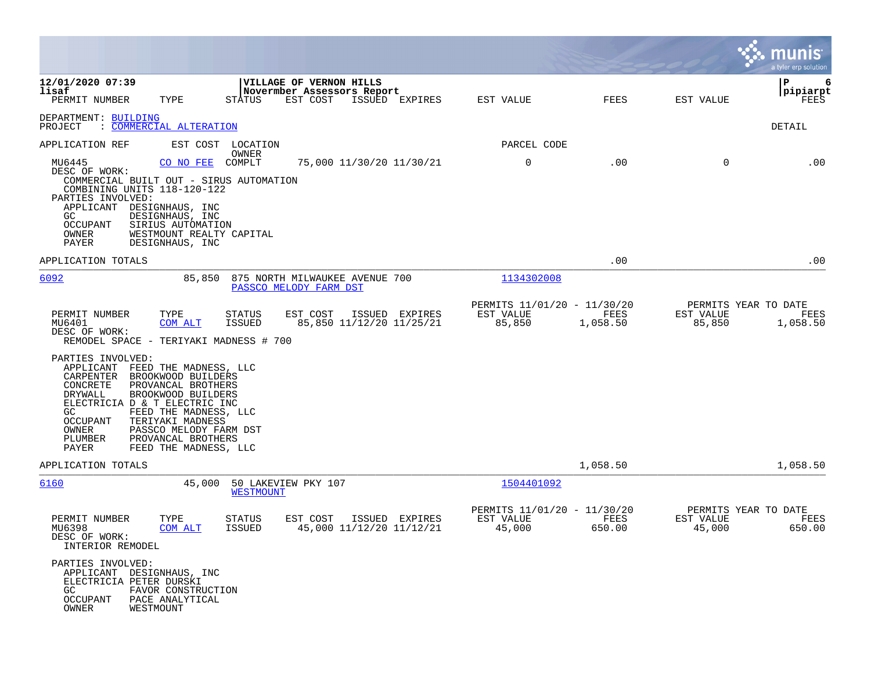|                                                                                                                                                                                                                                          |                                                                                                                                                                                                                                  |                                   |                                                                          |                                            |           |                                           |                  |                     | munis<br>a tyler erp solution            |
|------------------------------------------------------------------------------------------------------------------------------------------------------------------------------------------------------------------------------------------|----------------------------------------------------------------------------------------------------------------------------------------------------------------------------------------------------------------------------------|-----------------------------------|--------------------------------------------------------------------------|--------------------------------------------|-----------|-------------------------------------------|------------------|---------------------|------------------------------------------|
| 12/01/2020 07:39<br>lisaf<br>PERMIT NUMBER                                                                                                                                                                                               | TYPE                                                                                                                                                                                                                             | STATUS                            | <b>VILLAGE OF VERNON HILLS</b><br>Novermber Assessors Report<br>EST COST | ISSUED EXPIRES                             | EST VALUE |                                           | FEES             | EST VALUE           | Р<br>6<br> pipiarpt<br>FEES              |
| DEPARTMENT: BUILDING<br>PROJECT                                                                                                                                                                                                          | : COMMERCIAL ALTERATION                                                                                                                                                                                                          |                                   |                                                                          |                                            |           |                                           |                  |                     | DETAIL                                   |
| APPLICATION REF                                                                                                                                                                                                                          | EST COST                                                                                                                                                                                                                         | LOCATION                          |                                                                          |                                            |           | PARCEL CODE                               |                  |                     |                                          |
| MU6445<br>DESC OF WORK:<br>COMMERCIAL BUILT OUT - SIRUS AUTOMATION<br>COMBINING UNITS 118-120-122<br>PARTIES INVOLVED:<br>APPLICANT<br>GC.<br>OCCUPANT<br>OWNER<br>PAYER                                                                 | CO NO FEE<br>DESIGNHAUS, INC<br>DESIGNHAUS, INC<br>SIRIUS AUTOMATION<br>WESTMOUNT REALTY CAPITAL<br>DESIGNHAUS, INC                                                                                                              | OWNER<br>COMPLT                   |                                                                          | 75,000 11/30/20 11/30/21                   |           | 0                                         | .00              | 0                   | .00                                      |
| APPLICATION TOTALS                                                                                                                                                                                                                       |                                                                                                                                                                                                                                  |                                   |                                                                          |                                            |           |                                           | .00              |                     | .00                                      |
| 6092                                                                                                                                                                                                                                     | 85,850                                                                                                                                                                                                                           |                                   | 875 NORTH MILWAUKEE AVENUE 700<br>PASSCO MELODY FARM DST                 |                                            |           | 1134302008                                |                  |                     |                                          |
| PERMIT NUMBER<br>MU6401<br>DESC OF WORK:<br>REMODEL SPACE - TERIYAKI MADNESS # 700<br>PARTIES INVOLVED:<br>APPLICANT<br>CARPENTER<br>CONCRETE<br>DRYWALL<br>ELECTRICIA D & T ELECTRIC INC<br>GC<br>OCCUPANT<br>OWNER<br>PLUMBER<br>PAYER | TYPE<br>COM ALT<br>FEED THE MADNESS, LLC<br>BROOKWOOD BUILDERS<br>PROVANCAL BROTHERS<br>BROOKWOOD BUILDERS<br>FEED THE MADNESS, LLC<br>TERIYAKI MADNESS<br>PASSCO MELODY FARM DST<br>PROVANCAL BROTHERS<br>FEED THE MADNESS, LLC | STATUS<br><b>ISSUED</b>           | EST COST                                                                 | ISSUED EXPIRES<br>85,850 11/12/20 11/25/21 | EST VALUE | PERMITS 11/01/20 - 11/30/20<br>85,850     | FEES<br>1,058.50 | EST VALUE<br>85,850 | PERMITS YEAR TO DATE<br>FEES<br>1,058.50 |
| APPLICATION TOTALS                                                                                                                                                                                                                       |                                                                                                                                                                                                                                  |                                   |                                                                          |                                            |           |                                           | 1,058.50         |                     | 1,058.50                                 |
| 6160<br>PERMIT NUMBER                                                                                                                                                                                                                    | 45,000<br>TYPE                                                                                                                                                                                                                   | <b>WESTMOUNT</b><br><b>STATUS</b> | 50 LAKEVIEW PKY 107<br>EST COST                                          | ISSUED EXPIRES                             | EST VALUE | 1504401092<br>PERMITS 11/01/20 - 11/30/20 | FEES             | EST VALUE           | PERMITS YEAR TO DATE<br>FEES             |
| MU6398<br>DESC OF WORK:<br>INTERIOR REMODEL<br>PARTIES INVOLVED:<br>APPLICANT DESIGNHAUS, INC<br>ELECTRICIA PETER DURSKI<br>GC<br>OCCUPANT<br>OWNER                                                                                      | COM ALT<br>FAVOR CONSTRUCTION<br>PACE ANALYTICAL<br>WESTMOUNT                                                                                                                                                                    | <b>ISSUED</b>                     |                                                                          | 45,000 11/12/20 11/12/21                   |           | 45,000                                    | 650.00           | 45,000              | 650.00                                   |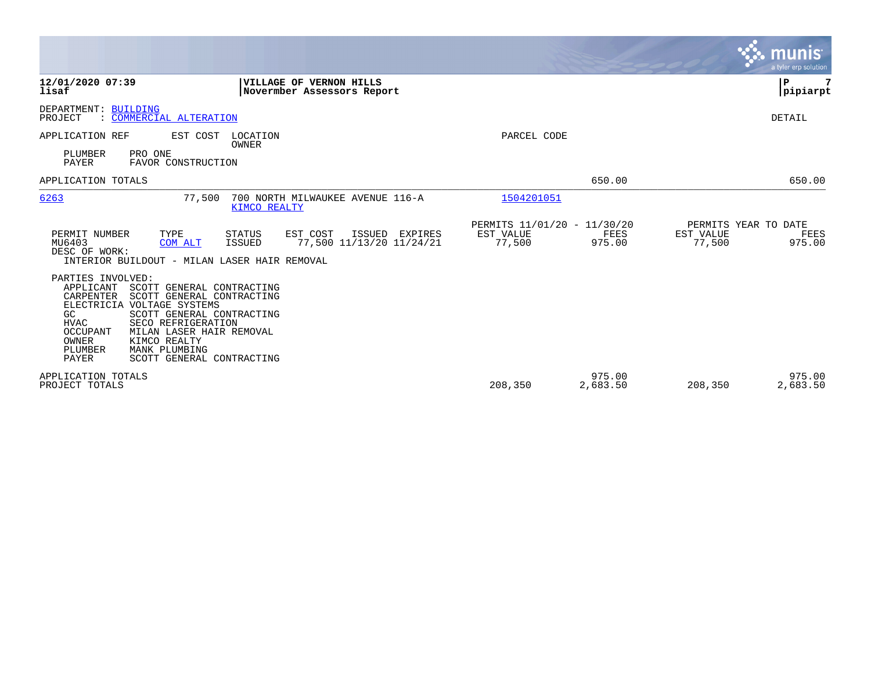|                                                                                                                                                                                                                                                                                                                                                |                                                                                      |                                                    |                    | munis<br>a tyler erp solution                                 |
|------------------------------------------------------------------------------------------------------------------------------------------------------------------------------------------------------------------------------------------------------------------------------------------------------------------------------------------------|--------------------------------------------------------------------------------------|----------------------------------------------------|--------------------|---------------------------------------------------------------|
| 12/01/2020 07:39<br>lisaf                                                                                                                                                                                                                                                                                                                      | <b>VILLAGE OF VERNON HILLS</b><br>Novermber Assessors Report                         |                                                    |                    | P<br> pipiarpt                                                |
| DEPARTMENT: BUILDING<br>PROJECT<br>: COMMERCIAL ALTERATION                                                                                                                                                                                                                                                                                     |                                                                                      |                                                    |                    | DETAIL                                                        |
| EST COST<br>APPLICATION REF<br>PLUMBER<br>PRO ONE<br>PAYER<br>FAVOR CONSTRUCTION                                                                                                                                                                                                                                                               | LOCATION<br><b>OWNER</b>                                                             | PARCEL CODE                                        |                    |                                                               |
| APPLICATION TOTALS                                                                                                                                                                                                                                                                                                                             |                                                                                      |                                                    | 650.00             | 650.00                                                        |
| 6263<br>77,500                                                                                                                                                                                                                                                                                                                                 | 700 NORTH MILWAUKEE AVENUE 116-A<br>KIMCO REALTY                                     | 1504201051                                         |                    |                                                               |
| TYPE<br>PERMIT NUMBER<br>MU6403<br><b>COM ALT</b><br>DESC OF WORK:<br>INTERIOR BUILDOUT - MILAN LASER HAIR REMOVAL                                                                                                                                                                                                                             | <b>STATUS</b><br>EST COST<br>ISSUED<br>EXPIRES<br>77,500 11/13/20 11/24/21<br>ISSUED | PERMITS 11/01/20 - 11/30/20<br>EST VALUE<br>77,500 | FEES<br>975.00     | PERMITS YEAR TO DATE<br>EST VALUE<br>FEES<br>77,500<br>975.00 |
| PARTIES INVOLVED:<br>APPLICANT<br>SCOTT GENERAL CONTRACTING<br>CARPENTER<br>SCOTT GENERAL CONTRACTING<br>ELECTRICIA VOLTAGE SYSTEMS<br>GC<br>SCOTT GENERAL CONTRACTING<br><b>HVAC</b><br>SECO REFRIGERATION<br>OCCUPANT<br>MILAN LASER HAIR REMOVAL<br>OWNER<br>KIMCO REALTY<br>PLUMBER<br>MANK PLUMBING<br>PAYER<br>SCOTT GENERAL CONTRACTING |                                                                                      |                                                    |                    |                                                               |
| APPLICATION TOTALS<br>PROJECT TOTALS                                                                                                                                                                                                                                                                                                           |                                                                                      | 208,350                                            | 975.00<br>2,683.50 | 975.00<br>2,683.50<br>208,350                                 |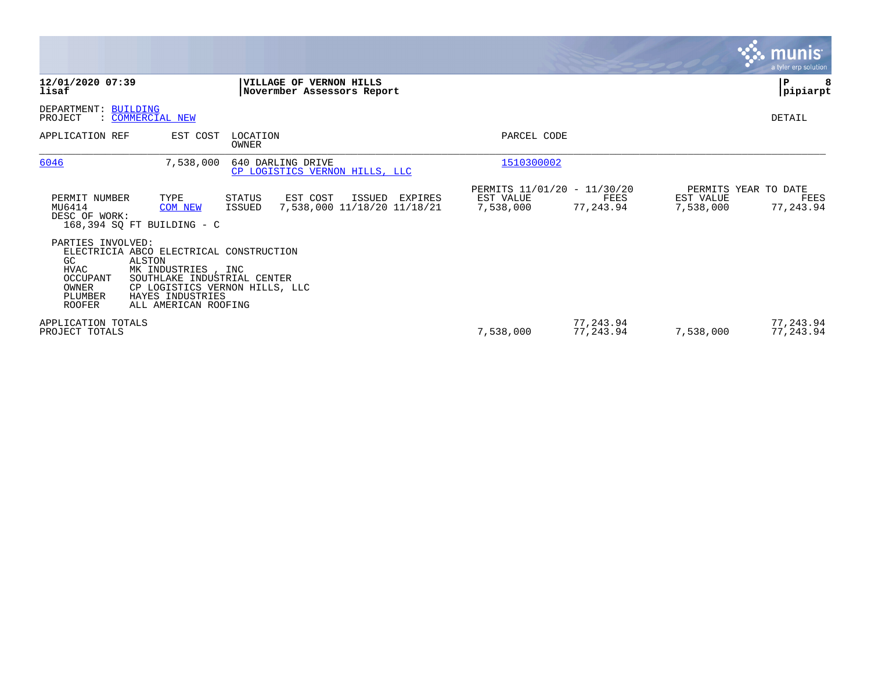|                                                                                         |                                                                                                                                                                                      |                   |                                                              |                        |                                                  |                                                | <b>munis</b><br>a tyler erp solution |
|-----------------------------------------------------------------------------------------|--------------------------------------------------------------------------------------------------------------------------------------------------------------------------------------|-------------------|--------------------------------------------------------------|------------------------|--------------------------------------------------|------------------------------------------------|--------------------------------------|
| 12/01/2020 07:39<br>lisaf                                                               |                                                                                                                                                                                      |                   | VILLAGE OF VERNON HILLS<br>Novermber Assessors Report        |                        |                                                  |                                                | ∣P<br> pipiarpt                      |
| DEPARTMENT: BUILDING<br>PROJECT                                                         | : COMMERCIAL NEW                                                                                                                                                                     |                   |                                                              |                        |                                                  |                                                | DETAIL                               |
| APPLICATION REF                                                                         | EST COST                                                                                                                                                                             | LOCATION<br>OWNER |                                                              | PARCEL CODE            |                                                  |                                                |                                      |
| 6046                                                                                    | 7,538,000                                                                                                                                                                            |                   | 640 DARLING DRIVE<br>CP LOGISTICS VERNON HILLS, LLC          | 1510300002             |                                                  |                                                |                                      |
| PERMIT NUMBER<br>MU6414<br>DESC OF WORK:                                                | TYPE<br><b>COM NEW</b><br>168,394 SQ FT BUILDING - C                                                                                                                                 | STATUS<br>ISSUED  | EST COST<br>ISSUED<br>EXPIRES<br>7,538,000 11/18/20 11/18/21 | EST VALUE<br>7,538,000 | PERMITS 11/01/20 - 11/30/20<br>FEES<br>77,243.94 | PERMITS YEAR TO DATE<br>EST VALUE<br>7,538,000 | FEES<br>77,243.94                    |
| PARTIES INVOLVED:<br>GC<br><b>HVAC</b><br>OCCUPANT<br>OWNER<br>PLUMBER<br><b>ROOFER</b> | ELECTRICIA ABCO ELECTRICAL CONSTRUCTION<br>ALSTON<br>MK INDUSTRIES, INC<br>SOUTHLAKE INDUSTRIAL CENTER<br>CP LOGISTICS VERNON HILLS, LLC<br>HAYES INDUSTRIES<br>ALL AMERICAN ROOFING |                   |                                                              |                        |                                                  |                                                |                                      |
| APPLICATION TOTALS<br>PROJECT TOTALS                                                    |                                                                                                                                                                                      |                   |                                                              | 7,538,000              | 77,243.94<br>77,243.94                           | 7,538,000                                      | 77,243.94<br>77,243.94               |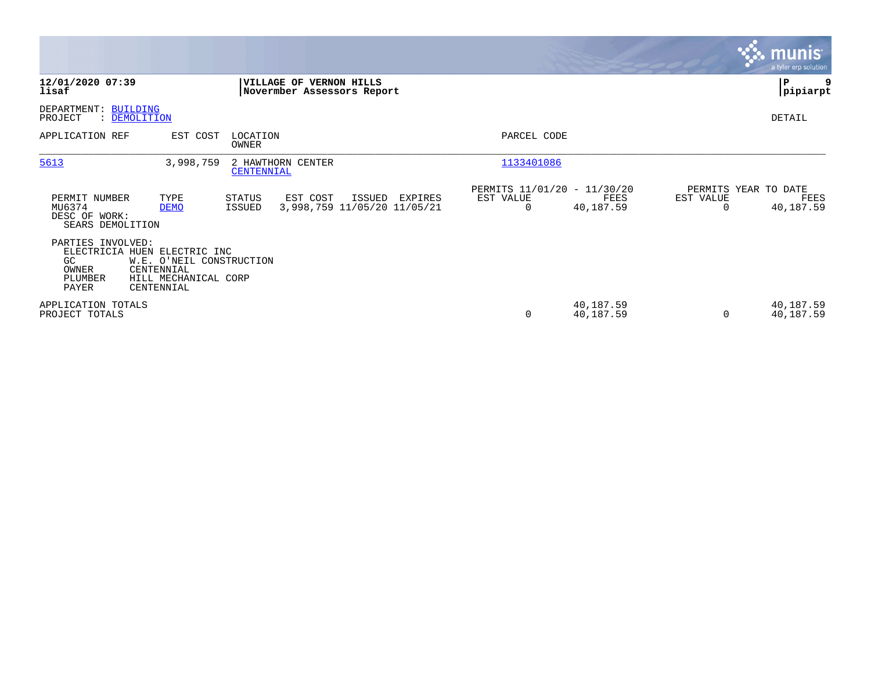|                                                                                       |                                                                              |                         |                                                              |         |                                               |                        |           | munis <sup>®</sup><br>a tyler erp solution |
|---------------------------------------------------------------------------------------|------------------------------------------------------------------------------|-------------------------|--------------------------------------------------------------|---------|-----------------------------------------------|------------------------|-----------|--------------------------------------------|
| 12/01/2020 07:39<br>lisaf                                                             |                                                                              |                         | <b>VILLAGE OF VERNON HILLS</b><br>Novermber Assessors Report |         |                                               |                        |           | ∣P<br> pipiarpt                            |
| DEPARTMENT: BUILDING<br>PROJECT<br>: DEMOLITION                                       |                                                                              |                         |                                                              |         |                                               |                        |           | DETAIL                                     |
| APPLICATION REF                                                                       | EST COST                                                                     | LOCATION<br>OWNER       |                                                              |         | PARCEL CODE                                   |                        |           |                                            |
| 5613                                                                                  | 3,998,759                                                                    | CENTENNIAL              | 2 HAWTHORN CENTER                                            |         | 1133401086                                    |                        |           |                                            |
| PERMIT NUMBER<br>MU6374<br>DESC OF WORK:<br>SEARS DEMOLITION                          | TYPE<br><b>DEMO</b>                                                          | <b>STATUS</b><br>ISSUED | EST COST<br>ISSUED<br>3,998,759 11/05/20 11/05/21            | EXPIRES | PERMITS 11/01/20 - 11/30/20<br>EST VALUE<br>0 | FEES<br>40,187.59      | EST VALUE | PERMITS YEAR TO DATE<br>FEES<br>40,187.59  |
| PARTIES INVOLVED:<br>ELECTRICIA HUEN ELECTRIC INC<br>GC.<br>OWNER<br>PLUMBER<br>PAYER | W.E. O'NEIL CONSTRUCTION<br>CENTENNIAL<br>HILL MECHANICAL CORP<br>CENTENNIAL |                         |                                                              |         |                                               |                        |           |                                            |
| APPLICATION TOTALS<br>PROJECT TOTALS                                                  |                                                                              |                         |                                                              |         | 0                                             | 40,187.59<br>40,187.59 |           | 40,187.59<br>40,187.59                     |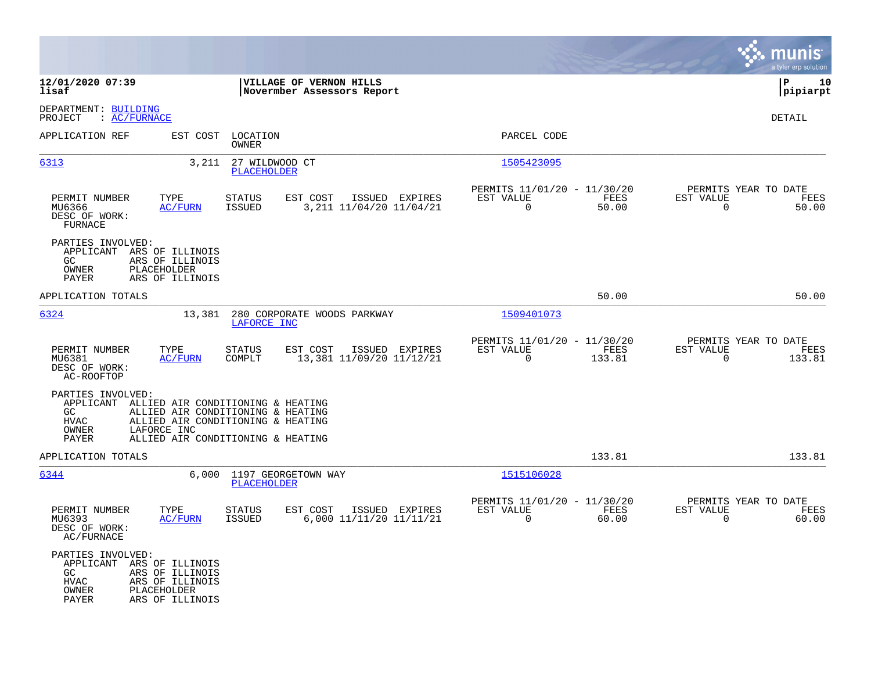|                                                                                |                                                                                                                                                                           |                                                                          | munis<br>a tyler erp solution                                     |
|--------------------------------------------------------------------------------|---------------------------------------------------------------------------------------------------------------------------------------------------------------------------|--------------------------------------------------------------------------|-------------------------------------------------------------------|
| 12/01/2020 07:39<br>lisaf                                                      | VILLAGE OF VERNON HILLS<br>Novermber Assessors Report                                                                                                                     |                                                                          | l P<br>10<br> pipiarpt                                            |
| DEPARTMENT: BUILDING<br>: AC/FURNACE<br>PROJECT                                |                                                                                                                                                                           |                                                                          | DETAIL                                                            |
| APPLICATION REF                                                                | EST COST<br>LOCATION<br>OWNER                                                                                                                                             | PARCEL CODE                                                              |                                                                   |
| 6313                                                                           | 3,211<br>27 WILDWOOD CT<br>PLACEHOLDER                                                                                                                                    | 1505423095                                                               |                                                                   |
| PERMIT NUMBER<br>MU6366<br>DESC OF WORK:<br>FURNACE                            | TYPE<br>EST COST<br>ISSUED EXPIRES<br><b>STATUS</b><br><b>ISSUED</b><br>3, 211 11/04/20 11/04/21<br><u>AC/FURN</u>                                                        | PERMITS 11/01/20 - 11/30/20<br>EST VALUE<br>FEES<br>$\mathbf 0$<br>50.00 | PERMITS YEAR TO DATE<br>EST VALUE<br>FEES<br>$\mathbf 0$<br>50.00 |
| PARTIES INVOLVED:<br>APPLICANT ARS OF ILLINOIS<br>GC<br>OWNER<br>PAYER         | ARS OF ILLINOIS<br>PLACEHOLDER<br>ARS OF ILLINOIS                                                                                                                         |                                                                          |                                                                   |
| APPLICATION TOTALS                                                             |                                                                                                                                                                           | 50.00                                                                    | 50.00                                                             |
| 6324                                                                           | 280 CORPORATE WOODS PARKWAY<br>13,381<br>LAFORCE INC                                                                                                                      | 1509401073                                                               |                                                                   |
| PERMIT NUMBER<br>MU6381<br>DESC OF WORK:<br>AC-ROOFTOP                         | TYPE<br>EST COST<br>ISSUED EXPIRES<br><b>STATUS</b><br>13,381 11/09/20 11/12/21<br><b>AC/FURN</b><br>COMPLT                                                               | PERMITS 11/01/20 - 11/30/20<br>EST VALUE<br>FEES<br>$\Omega$<br>133.81   | PERMITS YEAR TO DATE<br>EST VALUE<br>FEES<br>$\Omega$<br>133.81   |
| PARTIES INVOLVED:<br>GC<br><b>HVAC</b><br>OWNER<br>PAYER                       | APPLICANT ALLIED AIR CONDITIONING & HEATING<br>ALLIED AIR CONDITIONING & HEATING<br>ALLIED AIR CONDITIONING & HEATING<br>LAFORCE INC<br>ALLIED AIR CONDITIONING & HEATING |                                                                          |                                                                   |
| APPLICATION TOTALS                                                             |                                                                                                                                                                           | 133.81                                                                   | 133.81                                                            |
| 6344                                                                           | 1197 GEORGETOWN WAY<br>6,000<br><b>PLACEHOLDER</b>                                                                                                                        | 1515106028                                                               |                                                                   |
| PERMIT NUMBER<br>MU6393<br>DESC OF WORK:<br>AC/FURNACE                         | TYPE<br><b>STATUS</b><br>EST COST<br>ISSUED EXPIRES<br>6,000 11/11/20 11/11/21<br>AC/FURN<br><b>ISSUED</b>                                                                | PERMITS 11/01/20 - 11/30/20<br>EST VALUE<br>FEES<br>$\mathbf 0$<br>60.00 | PERMITS YEAR TO DATE<br>EST VALUE<br>FEES<br>$\mathbf 0$<br>60.00 |
| PARTIES INVOLVED:<br>APPLICANT ARS OF ILLINOIS<br>GC<br>HVAC<br>OWNER<br>PAYER | ARS OF ILLINOIS<br>ARS OF ILLINOIS<br>PLACEHOLDER<br>ARS OF ILLINOIS                                                                                                      |                                                                          |                                                                   |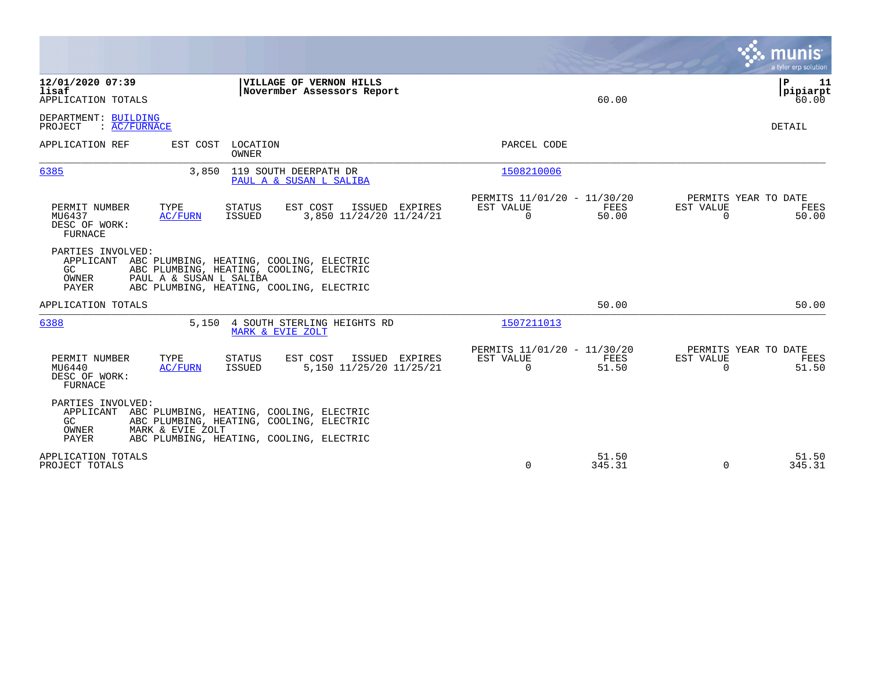|                                                                                                                                                                                                                    |                                                                       | a tyler erp solution                                           |
|--------------------------------------------------------------------------------------------------------------------------------------------------------------------------------------------------------------------|-----------------------------------------------------------------------|----------------------------------------------------------------|
| 12/01/2020 07:39<br>VILLAGE OF VERNON HILLS<br>lisaf<br>Novermber Assessors Report<br>APPLICATION TOTALS                                                                                                           | 60.00                                                                 | ΙP<br>11<br> pipiarpt<br>60.00                                 |
| DEPARTMENT: BUILDING<br>: AC/FURNACE<br>PROJECT                                                                                                                                                                    |                                                                       | DETAIL                                                         |
| APPLICATION REF<br>EST COST<br>LOCATION<br>OWNER                                                                                                                                                                   | PARCEL CODE                                                           |                                                                |
| 6385<br>119 SOUTH DEERPATH DR<br>3,850<br>PAUL A & SUSAN L SALIBA                                                                                                                                                  | 1508210006                                                            |                                                                |
| TYPE<br>EST COST<br>PERMIT NUMBER<br><b>STATUS</b><br>ISSUED EXPIRES<br>ISSUED<br>3,850 11/24/20 11/24/21<br>MU6437<br>AC/FURN<br>DESC OF WORK:<br>FURNACE                                                         | PERMITS 11/01/20 - 11/30/20<br>EST VALUE<br>FEES<br>$\Omega$<br>50.00 | PERMITS YEAR TO DATE<br>EST VALUE<br>FEES<br>$\Omega$<br>50.00 |
| PARTIES INVOLVED:<br>APPLICANT ABC PLUMBING, HEATING, COOLING, ELECTRIC<br>GC<br>ABC PLUMBING, HEATING, COOLING, ELECTRIC<br>OWNER<br>PAUL A & SUSAN L SALIBA<br>PAYER<br>ABC PLUMBING, HEATING, COOLING, ELECTRIC |                                                                       |                                                                |
| APPLICATION TOTALS                                                                                                                                                                                                 | 50.00                                                                 | 50.00                                                          |
| 6388<br>5,150 4 SOUTH STERLING HEIGHTS RD<br>MARK & EVIE ZOLT                                                                                                                                                      | 1507211013                                                            |                                                                |
| TYPE<br>EST COST<br>PERMIT NUMBER<br><b>STATUS</b><br>ISSUED EXPIRES<br>5,150 11/25/20 11/25/21<br>MU6440<br>ISSUED<br>AC/FURN<br>DESC OF WORK:<br>FURNACE                                                         | PERMITS 11/01/20 - 11/30/20<br>EST VALUE<br>FEES<br>$\Omega$<br>51.50 | PERMITS YEAR TO DATE<br>EST VALUE<br>FEES<br>$\Omega$<br>51.50 |
| PARTIES INVOLVED:<br>APPLICANT ABC PLUMBING, HEATING, COOLING, ELECTRIC<br>GC<br>ABC PLUMBING, HEATING, COOLING, ELECTRIC<br>OWNER<br>MARK & EVIE ZOLT<br>PAYER<br>ABC PLUMBING, HEATING, COOLING, ELECTRIC        |                                                                       |                                                                |
| APPLICATION TOTALS<br>PROJECT TOTALS                                                                                                                                                                               | 51.50<br>0<br>345.31                                                  | 51.50<br>345.31<br>$\Omega$                                    |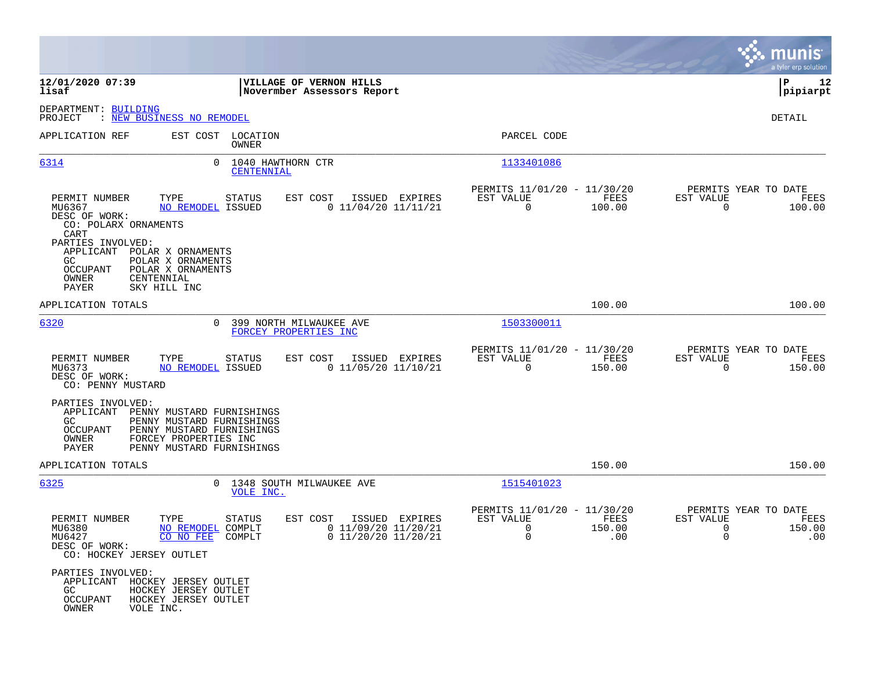|                                                                                                                              |                                                                                                              |                                                                          |                                                              |                       |                                                       | munis<br>a tyler erp solution |
|------------------------------------------------------------------------------------------------------------------------------|--------------------------------------------------------------------------------------------------------------|--------------------------------------------------------------------------|--------------------------------------------------------------|-----------------------|-------------------------------------------------------|-------------------------------|
| 12/01/2020 07:39<br>lisaf                                                                                                    |                                                                                                              | VILLAGE OF VERNON HILLS<br>Novermber Assessors Report                    |                                                              |                       |                                                       | 12<br>ΙP<br> pipiarpt         |
| DEPARTMENT: BUILDING<br>PROJECT                                                                                              | : NEW BUSINESS NO REMODEL                                                                                    |                                                                          |                                                              |                       |                                                       | DETAIL                        |
| APPLICATION REF                                                                                                              | EST COST LOCATION<br>OWNER                                                                                   |                                                                          | PARCEL CODE                                                  |                       |                                                       |                               |
| 6314                                                                                                                         | $\Omega$<br>1040 HAWTHORN CTR<br>CENTENNIAL                                                                  |                                                                          | 1133401086                                                   |                       |                                                       |                               |
| PERMIT NUMBER<br>MU6367<br>DESC OF WORK:<br>CO: POLARX ORNAMENTS<br>CART<br>PARTIES INVOLVED:<br>APPLICANT POLAR X ORNAMENTS | TYPE<br><b>STATUS</b><br>NO REMODEL ISSUED                                                                   | EST COST<br>ISSUED EXPIRES<br>$0$ 11/04/20 11/11/21                      | PERMITS 11/01/20 - 11/30/20<br>EST VALUE<br>$\overline{0}$   | FEES<br>100.00        | PERMITS YEAR TO DATE<br>EST VALUE<br>$\overline{0}$   | FEES<br>100.00                |
| GC.<br>OCCUPANT<br>OWNER<br>CENTENNIAL<br><b>PAYER</b><br>SKY HILL INC                                                       | POLAR X ORNAMENTS<br>POLAR X ORNAMENTS                                                                       |                                                                          |                                                              |                       |                                                       |                               |
| APPLICATION TOTALS                                                                                                           |                                                                                                              |                                                                          |                                                              | 100.00                |                                                       | 100.00                        |
| 6320                                                                                                                         | $\Omega$<br>FORCEY PROPERTIES INC                                                                            | 399 NORTH MILWAUKEE AVE                                                  | 1503300011                                                   |                       |                                                       |                               |
| PERMIT NUMBER<br>MU6373<br>DESC OF WORK:<br>CO: PENNY MUSTARD                                                                | TYPE<br>STATUS<br>NO REMODEL ISSUED                                                                          | ISSUED EXPIRES<br>EST COST<br>$0$ 11/05/20 11/10/21                      | PERMITS 11/01/20 - 11/30/20<br>EST VALUE<br>$\mathbf 0$      | FEES<br>150.00        | PERMITS YEAR TO DATE<br>EST VALUE<br>$\Omega$         | FEES<br>150.00                |
| PARTIES INVOLVED:<br>APPLICANT PENNY MUSTARD FURNISHINGS<br>GC.<br>OCCUPANT<br>OWNER<br>PAYER                                | PENNY MUSTARD FURNISHINGS<br>PENNY MUSTARD FURNISHINGS<br>FORCEY PROPERTIES INC<br>PENNY MUSTARD FURNISHINGS |                                                                          |                                                              |                       |                                                       |                               |
| APPLICATION TOTALS                                                                                                           |                                                                                                              |                                                                          |                                                              | 150.00                |                                                       | 150.00                        |
| 6325                                                                                                                         | 0 1348 SOUTH MILWAUKEE AVE<br>VOLE INC.                                                                      |                                                                          | 1515401023                                                   |                       |                                                       |                               |
| PERMIT NUMBER<br>MU6380<br>MU6427<br>DESC OF WORK:<br>CO: HOCKEY JERSEY OUTLET                                               | TYPE<br>STATUS<br>NO REMODEL COMPLT<br>CO NO FEE COMPLT                                                      | EST COST<br>ISSUED EXPIRES<br>0 11/09/20 11/20/21<br>0 11/20/20 11/20/21 | PERMITS 11/01/20 - 11/30/20<br>EST VALUE<br>0<br>$\mathbf 0$ | FEES<br>150.00<br>.00 | PERMITS YEAR TO DATE<br>EST VALUE<br>0<br>$\mathbf 0$ | FEES<br>150.00<br>.00         |
| PARTIES INVOLVED:<br>APPLICANT HOCKEY JERSEY OUTLET<br>GC<br><b>OCCUPANT</b><br>OWNER<br>VOLE INC.                           | HOCKEY JERSEY OUTLET<br>HOCKEY JERSEY OUTLET                                                                 |                                                                          |                                                              |                       |                                                       |                               |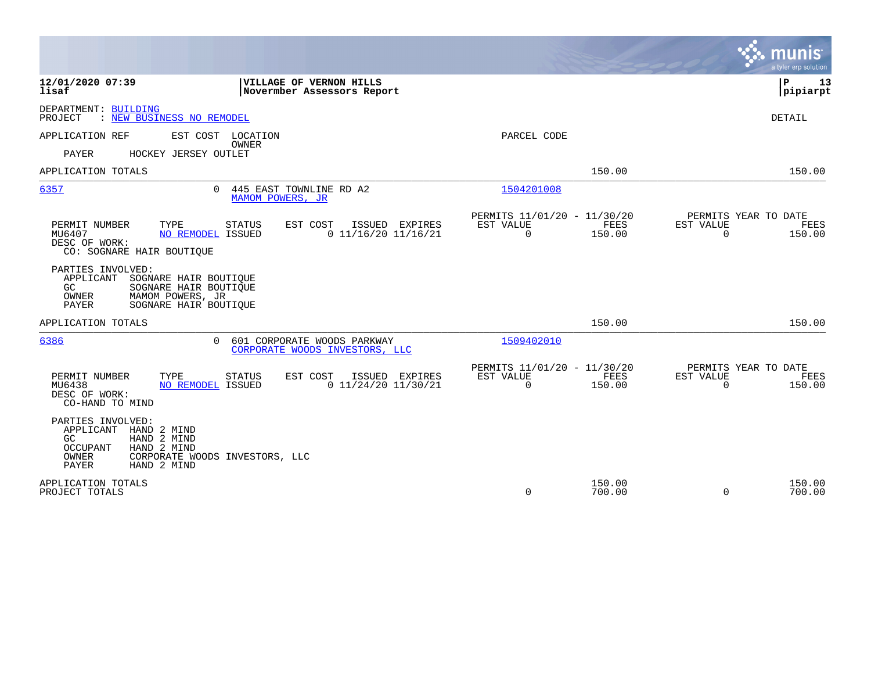|                                                                                                                                                                            |                                                                                     | munis<br>a tyler erp solution                      |
|----------------------------------------------------------------------------------------------------------------------------------------------------------------------------|-------------------------------------------------------------------------------------|----------------------------------------------------|
| 12/01/2020 07:39<br>VILLAGE OF VERNON HILLS<br>lisaf<br>Novermber Assessors Report                                                                                         |                                                                                     | ΙP<br>13<br> pipiarpt                              |
| DEPARTMENT: BUILDING<br>: NEW BUSINESS NO REMODEL<br>PROJECT                                                                                                               |                                                                                     | DETAIL                                             |
| APPLICATION REF<br>EST COST<br>LOCATION<br><b>OWNER</b>                                                                                                                    | PARCEL CODE                                                                         |                                                    |
| PAYER<br>HOCKEY JERSEY OUTLET                                                                                                                                              |                                                                                     |                                                    |
| APPLICATION TOTALS                                                                                                                                                         | 150.00                                                                              | 150.00                                             |
| 6357<br>445 EAST TOWNLINE RD A2<br>$\Omega$<br>MAMOM POWERS, JR                                                                                                            | 1504201008                                                                          |                                                    |
| PERMIT NUMBER<br>TYPE<br><b>STATUS</b><br>EST COST<br>ISSUED EXPIRES<br>$0$ 11/16/20 11/16/21<br>MU6407<br>NO REMODEL ISSUED<br>DESC OF WORK:<br>CO: SOGNARE HAIR BOUTIQUE | PERMITS 11/01/20 - 11/30/20<br>EST VALUE<br>FEES<br>EST VALUE<br>$\Omega$<br>150.00 | PERMITS YEAR TO DATE<br>FEES<br>$\Omega$<br>150.00 |
| PARTIES INVOLVED:<br>APPLICANT<br>SOGNARE HAIR BOUTIQUE<br>GC<br>SOGNARE HAIR BOUTIQUE<br>OWNER<br>MAMOM POWERS, JR<br>PAYER<br>SOGNARE HAIR BOUTIQUE                      |                                                                                     |                                                    |
| APPLICATION TOTALS                                                                                                                                                         | 150.00                                                                              | 150.00                                             |
| 6386<br>601 CORPORATE WOODS PARKWAY<br>$\Omega$<br>CORPORATE WOODS INVESTORS, LLC                                                                                          | 1509402010                                                                          |                                                    |
| PERMIT NUMBER<br>TYPE<br>EST COST<br><b>STATUS</b><br>ISSUED EXPIRES<br>$0$ 11/24/20 11/30/21<br>MU6438<br>NO REMODEL ISSUED<br>DESC OF WORK:<br>CO-HAND TO MIND           | PERMITS 11/01/20 - 11/30/20<br>FEES<br>EST VALUE<br>EST VALUE<br>$\Omega$<br>150.00 | PERMITS YEAR TO DATE<br>FEES<br>$\Omega$<br>150.00 |
| PARTIES INVOLVED:<br>APPLICANT<br>HAND 2 MIND<br>HAND 2 MIND<br>GC.<br>HAND 2 MIND<br>OCCUPANT<br>OWNER<br>CORPORATE WOODS INVESTORS, LLC<br>PAYER<br>HAND 2 MIND          |                                                                                     |                                                    |
| APPLICATION TOTALS<br>PROJECT TOTALS                                                                                                                                       | 150.00<br>$\mathbf 0$<br>700.00                                                     | 150.00<br>$\Omega$<br>700.00                       |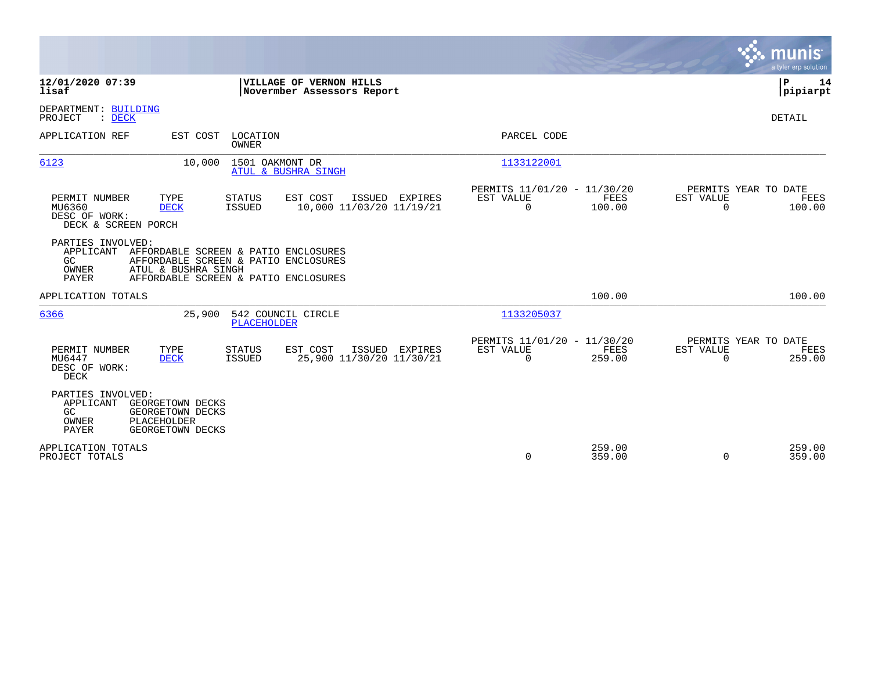|                                                                                                                                                                                                       |                                                                 | munis<br>a tyler erp solution                                   |
|-------------------------------------------------------------------------------------------------------------------------------------------------------------------------------------------------------|-----------------------------------------------------------------|-----------------------------------------------------------------|
| 12/01/2020 07:39<br>VILLAGE OF VERNON HILLS<br>lisaf<br>Novermber Assessors Report                                                                                                                    |                                                                 | P<br>14<br> pipiarpt                                            |
| DEPARTMENT: BUILDING<br>PROJECT<br>$\therefore$ DECK                                                                                                                                                  |                                                                 | DETAIL                                                          |
| APPLICATION REF<br>EST COST<br>LOCATION<br><b>OWNER</b>                                                                                                                                               | PARCEL CODE                                                     |                                                                 |
| 6123<br>10,000<br>1501 OAKMONT DR<br>ATUL & BUSHRA SINGH                                                                                                                                              | 1133122001                                                      |                                                                 |
| TYPE<br>EST COST<br>ISSUED EXPIRES<br>PERMIT NUMBER<br>STATUS<br>10,000 11/03/20 11/19/21<br>MU6360<br><b>DECK</b><br>ISSUED<br>DESC OF WORK:<br>DECK & SCREEN PORCH                                  | PERMITS 11/01/20 - 11/30/20<br>EST VALUE<br>FEES<br>0<br>100.00 | PERMITS YEAR TO DATE<br>EST VALUE<br>FEES<br>$\Omega$<br>100.00 |
| PARTIES INVOLVED:<br>APPLICANT<br>AFFORDABLE SCREEN & PATIO ENCLOSURES<br>GC<br>AFFORDABLE SCREEN & PATIO ENCLOSURES<br>ATUL & BUSHRA SINGH<br>OWNER<br>PAYER<br>AFFORDABLE SCREEN & PATIO ENCLOSURES |                                                                 |                                                                 |
| APPLICATION TOTALS                                                                                                                                                                                    | 100.00                                                          | 100.00                                                          |
| 6366<br>542 COUNCIL CIRCLE<br>25,900<br><b>PLACEHOLDER</b>                                                                                                                                            | 1133205037                                                      |                                                                 |
| EST COST<br>ISSUED<br>PERMIT NUMBER<br>TYPE<br><b>STATUS</b><br>EXPIRES<br>MU6447<br>ISSUED<br>25,900 11/30/20 11/30/21<br><b>DECK</b><br>DESC OF WORK:<br>DECK                                       | PERMITS 11/01/20 - 11/30/20<br>EST VALUE<br>FEES<br>0<br>259.00 | PERMITS YEAR TO DATE<br>EST VALUE<br>FEES<br>259.00<br>$\Omega$ |
| PARTIES INVOLVED:<br>APPLICANT<br>GEORGETOWN DECKS<br>GC<br>GEORGETOWN DECKS<br>OWNER<br>PLACEHOLDER<br><b>PAYER</b><br>GEORGETOWN DECKS                                                              |                                                                 |                                                                 |
| APPLICATION TOTALS<br>PROJECT TOTALS                                                                                                                                                                  | 259.00<br>0<br>359.00                                           | 259.00<br>359.00<br>$\Omega$                                    |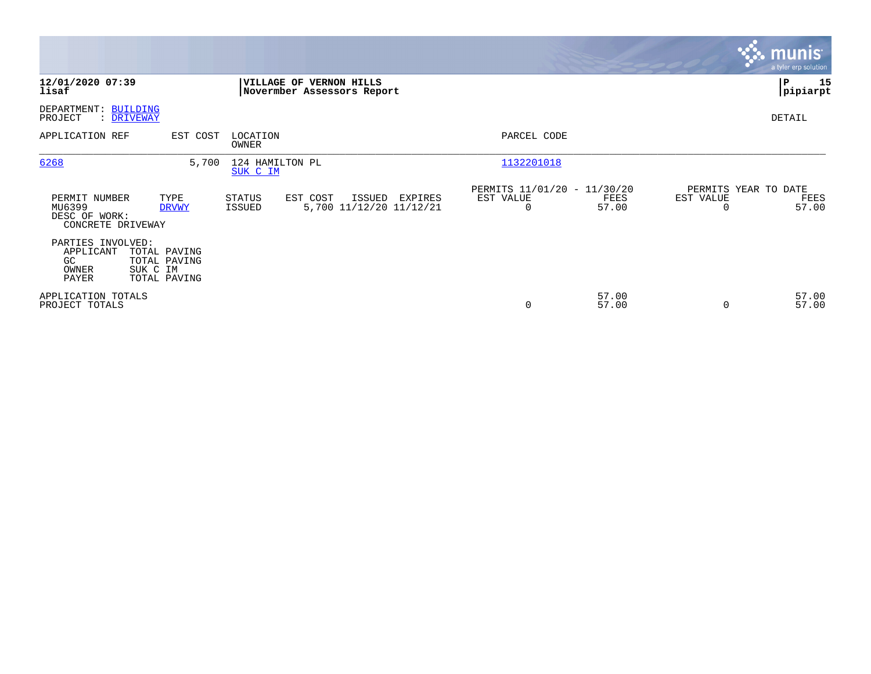|                                                               |                                                          |                             |                                                       |         |                                               |                |                       | munis<br>a tyler erp solution         |
|---------------------------------------------------------------|----------------------------------------------------------|-----------------------------|-------------------------------------------------------|---------|-----------------------------------------------|----------------|-----------------------|---------------------------------------|
| 12/01/2020 07:39<br>lisaf                                     |                                                          |                             | VILLAGE OF VERNON HILLS<br>Novermber Assessors Report |         |                                               |                |                       | 15<br>P<br> pipiarpt                  |
| DEPARTMENT: BUILDING<br>PROJECT                               | : DRIVEWAY                                               |                             |                                                       |         |                                               |                |                       | DETAIL                                |
| APPLICATION REF                                               | EST COST                                                 | LOCATION<br>OWNER           |                                                       |         | PARCEL CODE                                   |                |                       |                                       |
| 6268                                                          | 5,700                                                    | 124 HAMILTON PL<br>SUK C IM |                                                       |         | 1132201018                                    |                |                       |                                       |
| PERMIT NUMBER<br>MU6399<br>DESC OF WORK:<br>CONCRETE DRIVEWAY | TYPE<br><b>DRVWY</b>                                     | STATUS<br>ISSUED            | EST COST<br>ISSUED<br>5,700 11/12/20 11/12/21         | EXPIRES | PERMITS 11/01/20 - 11/30/20<br>EST VALUE<br>0 | FEES<br>57.00  | EST VALUE<br>$\Omega$ | PERMITS YEAR TO DATE<br>FEES<br>57.00 |
| PARTIES INVOLVED:<br>APPLICANT<br>GC<br>OWNER<br>PAYER        | TOTAL PAVING<br>TOTAL PAVING<br>SUK C IM<br>TOTAL PAVING |                             |                                                       |         |                                               |                |                       |                                       |
| APPLICATION TOTALS<br>PROJECT TOTALS                          |                                                          |                             |                                                       |         | 0                                             | 57.00<br>57.00 | $\Omega$              | 57.00<br>57.00                        |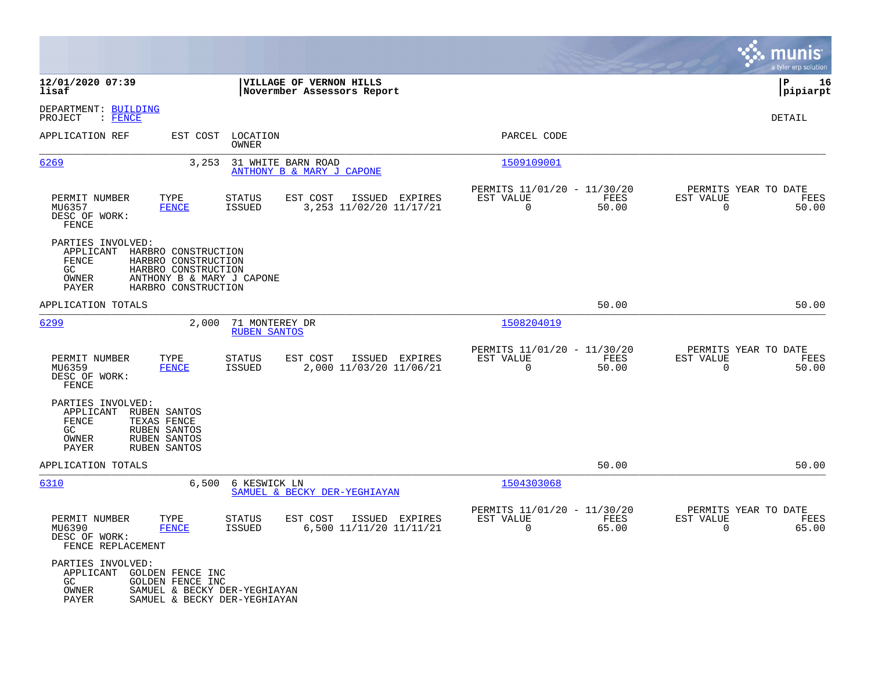|                                                                 |                                                                                                                       |                                       |                                                       |                                                         |               |                                                     | munis<br>a tyler erp solution |
|-----------------------------------------------------------------|-----------------------------------------------------------------------------------------------------------------------|---------------------------------------|-------------------------------------------------------|---------------------------------------------------------|---------------|-----------------------------------------------------|-------------------------------|
| 12/01/2020 07:39<br>lisaf                                       |                                                                                                                       |                                       | VILLAGE OF VERNON HILLS<br>Novermber Assessors Report |                                                         |               |                                                     | lР<br>16<br> pipiarpt         |
| DEPARTMENT: BUILDING<br>: FENCE<br>PROJECT                      |                                                                                                                       |                                       |                                                       |                                                         |               |                                                     | DETAIL                        |
| APPLICATION REF                                                 | EST COST                                                                                                              | LOCATION<br>OWNER                     |                                                       | PARCEL CODE                                             |               |                                                     |                               |
| 6269                                                            | 3,253                                                                                                                 |                                       | 31 WHITE BARN ROAD<br>ANTHONY B & MARY J CAPONE       | 1509109001                                              |               |                                                     |                               |
| PERMIT NUMBER<br>MU6357<br>DESC OF WORK:<br>FENCE               | TYPE<br><b>FENCE</b>                                                                                                  | <b>STATUS</b><br><b>ISSUED</b>        | EST COST<br>ISSUED EXPIRES<br>3,253 11/02/20 11/17/21 | PERMITS 11/01/20 - 11/30/20<br>EST VALUE<br>$\mathbf 0$ | FEES<br>50.00 | PERMITS YEAR TO DATE<br>EST VALUE<br>$\overline{0}$ | FEES<br>50.00                 |
| PARTIES INVOLVED:<br>APPLICANT<br>FENCE<br>GC<br>OWNER<br>PAYER | HARBRO CONSTRUCTION<br>HARBRO CONSTRUCTION<br>HARBRO CONSTRUCTION<br>ANTHONY B & MARY J CAPONE<br>HARBRO CONSTRUCTION |                                       |                                                       |                                                         |               |                                                     |                               |
| APPLICATION TOTALS                                              |                                                                                                                       |                                       |                                                       |                                                         | 50.00         |                                                     | 50.00                         |
| 6299                                                            | 2,000                                                                                                                 | 71 MONTEREY DR<br><b>RUBEN SANTOS</b> |                                                       | 1508204019                                              |               |                                                     |                               |
| PERMIT NUMBER<br>MU6359<br>DESC OF WORK:<br>FENCE               | TYPE<br><b>FENCE</b>                                                                                                  | <b>STATUS</b><br><b>ISSUED</b>        | EST COST<br>ISSUED EXPIRES<br>2,000 11/03/20 11/06/21 | PERMITS 11/01/20 - 11/30/20<br>EST VALUE<br>$\mathbf 0$ | FEES<br>50.00 | PERMITS YEAR TO DATE<br>EST VALUE<br>$\mathbf 0$    | FEES<br>50.00                 |
| PARTIES INVOLVED:<br>APPLICANT<br>FENCE<br>GC<br>OWNER<br>PAYER | RUBEN SANTOS<br>TEXAS FENCE<br>RUBEN SANTOS<br>RUBEN SANTOS<br>RUBEN SANTOS                                           |                                       |                                                       |                                                         |               |                                                     |                               |
| APPLICATION TOTALS                                              |                                                                                                                       |                                       |                                                       |                                                         | 50.00         |                                                     | 50.00                         |
| 6310                                                            |                                                                                                                       | 6,500 6 KESWICK LN                    | SAMUEL & BECKY DER-YEGHIAYAN                          | 1504303068                                              |               |                                                     |                               |
| PERMIT NUMBER<br>MU6390<br>DESC OF WORK:<br>FENCE REPLACEMENT   | TYPE<br><b>FENCE</b>                                                                                                  | <b>STATUS</b><br><b>ISSUED</b>        | EST COST<br>ISSUED EXPIRES<br>6,500 11/11/20 11/11/21 | PERMITS 11/01/20 - 11/30/20<br>EST VALUE<br>0           | FEES<br>65.00 | PERMITS YEAR TO DATE<br>EST VALUE<br>0              | FEES<br>65.00                 |
| PARTIES INVOLVED:<br>APPLICANT<br>GC<br>OWNER<br>PAYER          | GOLDEN FENCE INC<br>GOLDEN FENCE INC<br>SAMUEL & BECKY DER-YEGHIAYAN<br>SAMUEL & BECKY DER-YEGHIAYAN                  |                                       |                                                       |                                                         |               |                                                     |                               |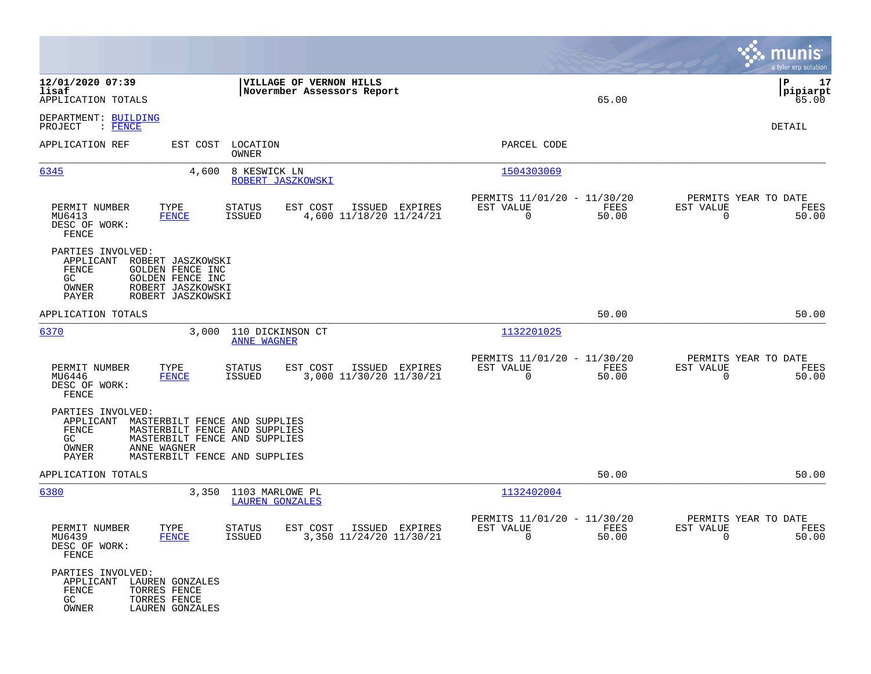|                                                                        |                                                                                                                                                 |                                                 |                                                       |                |                                                         |               |                                             | munis<br>a tyler erp solution   |
|------------------------------------------------------------------------|-------------------------------------------------------------------------------------------------------------------------------------------------|-------------------------------------------------|-------------------------------------------------------|----------------|---------------------------------------------------------|---------------|---------------------------------------------|---------------------------------|
| 12/01/2020 07:39<br>lisaf<br>APPLICATION TOTALS                        |                                                                                                                                                 |                                                 | VILLAGE OF VERNON HILLS<br>Novermber Assessors Report |                |                                                         | 65.00         |                                             | l P<br>17<br> pipiarpt<br>65.00 |
| DEPARTMENT: BUILDING<br>PROJECT<br>: FENCE                             |                                                                                                                                                 |                                                 |                                                       |                |                                                         |               |                                             | DETAIL                          |
| APPLICATION REF                                                        |                                                                                                                                                 | EST COST LOCATION<br>OWNER                      |                                                       |                | PARCEL CODE                                             |               |                                             |                                 |
| 6345                                                                   | 4,600                                                                                                                                           | 8 KESWICK LN<br>ROBERT JASZKOWSKI               |                                                       |                | 1504303069                                              |               |                                             |                                 |
| PERMIT NUMBER<br>MU6413<br>DESC OF WORK:<br>FENCE                      | TYPE<br>FENCE                                                                                                                                   | STATUS<br>ISSUED                                | EST COST<br>4,600 11/18/20 11/24/21                   | ISSUED EXPIRES | PERMITS 11/01/20 - 11/30/20<br>EST VALUE<br>$\mathbf 0$ | FEES<br>50.00 | PERMITS YEAR TO DATE<br>EST VALUE<br>0      | FEES<br>50.00                   |
| PARTIES INVOLVED:<br>APPLICANT<br>FENCE<br>GC.<br>OWNER<br>PAYER       | ROBERT JASZKOWSKI<br>GOLDEN FENCE INC<br>GOLDEN FENCE INC<br>ROBERT JASZKOWSKI<br>ROBERT JASZKOWSKI                                             |                                                 |                                                       |                |                                                         |               |                                             |                                 |
| APPLICATION TOTALS                                                     |                                                                                                                                                 |                                                 |                                                       |                |                                                         | 50.00         |                                             | 50.00                           |
| 6370                                                                   | 3,000                                                                                                                                           | 110 DICKINSON CT<br><b>ANNE WAGNER</b>          |                                                       |                | 1132201025                                              |               |                                             |                                 |
| PERMIT NUMBER<br>MU6446<br>DESC OF WORK:<br>FENCE                      | TYPE<br><b>FENCE</b>                                                                                                                            | <b>STATUS</b><br><b>ISSUED</b>                  | EST COST<br>3,000 11/30/20 11/30/21                   | ISSUED EXPIRES | PERMITS 11/01/20 - 11/30/20<br>EST VALUE<br>0           | FEES<br>50.00 | PERMITS YEAR TO DATE<br>EST VALUE<br>0      | FEES<br>50.00                   |
| PARTIES INVOLVED:<br>APPLICANT<br>FENCE<br>GC.<br>OWNER<br>PAYER       | MASTERBILT FENCE AND SUPPLIES<br>MASTERBILT FENCE AND SUPPLIES<br>MASTERBILT FENCE AND SUPPLIES<br>ANNE WAGNER<br>MASTERBILT FENCE AND SUPPLIES |                                                 |                                                       |                |                                                         |               |                                             |                                 |
| APPLICATION TOTALS                                                     |                                                                                                                                                 |                                                 |                                                       |                |                                                         | 50.00         |                                             | 50.00                           |
| 6380                                                                   |                                                                                                                                                 | 3,350 1103 MARLOWE PL<br><b>LAUREN GONZALES</b> |                                                       |                | 1132402004                                              |               |                                             |                                 |
| PERMIT NUMBER<br>MU6439<br>DESC OF WORK:<br>FENCE                      | TYPE<br><b>FENCE</b>                                                                                                                            | <b>STATUS</b><br>ISSUED                         | EST COST<br>3,350 11/24/20 11/30/21                   | ISSUED EXPIRES | PERMITS 11/01/20 - 11/30/20<br>EST VALUE<br>U           | FEES<br>50.00 | PERMITS YEAR TO DATE<br>EST VALUE<br>$\cup$ | FEES<br>50.00                   |
| PARTIES INVOLVED:<br>APPLICANT LAUREN GONZALES<br>FENCE<br>GC<br>OWNER | TORRES FENCE<br>TORRES FENCE<br>LAUREN GONZALES                                                                                                 |                                                 |                                                       |                |                                                         |               |                                             |                                 |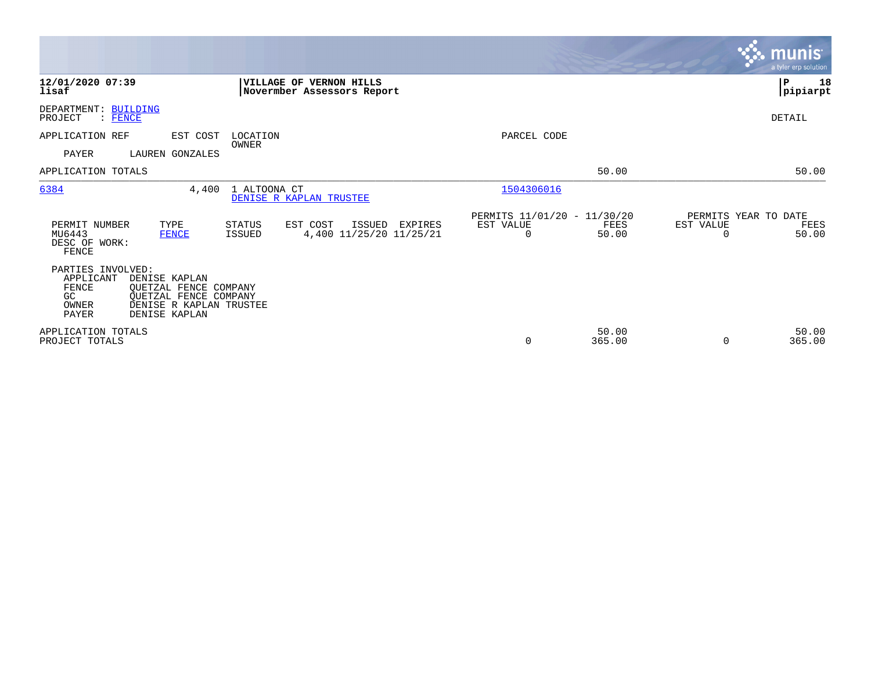|                                                                                                                                                                                        |                                                                                                      |                 | munis <sup>.</sup><br>a tyler erp solution         |
|----------------------------------------------------------------------------------------------------------------------------------------------------------------------------------------|------------------------------------------------------------------------------------------------------|-----------------|----------------------------------------------------|
| 12/01/2020 07:39<br>VILLAGE OF VERNON HILLS<br>lisaf<br>Novermber Assessors Report                                                                                                     |                                                                                                      |                 | ${\bf P}$<br>18<br> pipiarpt                       |
| DEPARTMENT: BUILDING<br>PROJECT<br>: FENCE                                                                                                                                             |                                                                                                      |                 | DETAIL                                             |
| APPLICATION REF<br>EST COST<br>LOCATION<br>OWNER                                                                                                                                       | PARCEL CODE                                                                                          |                 |                                                    |
| PAYER<br>LAUREN GONZALES                                                                                                                                                               |                                                                                                      |                 |                                                    |
| APPLICATION TOTALS                                                                                                                                                                     |                                                                                                      | 50.00           | 50.00                                              |
| 6384<br>4,400<br>1 ALTOONA CT<br>DENISE R KAPLAN TRUSTEE                                                                                                                               | 1504306016                                                                                           |                 |                                                    |
| PERMIT NUMBER<br>TYPE<br><b>STATUS</b><br>EST COST<br>MU6443<br><b>FENCE</b><br><b>ISSUED</b><br>DESC OF WORK:<br>FENCE                                                                | PERMITS 11/01/20 - 11/30/20<br><b>ISSUED</b><br>EST VALUE<br>EXPIRES<br>4,400 11/25/20 11/25/21<br>0 | FEES<br>50.00   | PERMITS YEAR TO DATE<br>EST VALUE<br>FEES<br>50.00 |
| PARTIES INVOLVED:<br>APPLICANT<br>DENISE KAPLAN<br>FENCE<br>QUETZAL FENCE COMPANY<br>OUETZAL FENCE COMPANY<br>GC.<br>OWNER<br>DENISE R KAPLAN TRUSTEE<br><b>PAYER</b><br>DENISE KAPLAN |                                                                                                      |                 |                                                    |
| APPLICATION TOTALS<br>PROJECT TOTALS                                                                                                                                                   | $\mathbf 0$                                                                                          | 50.00<br>365.00 | 50.00<br>365.00<br>$\Omega$                        |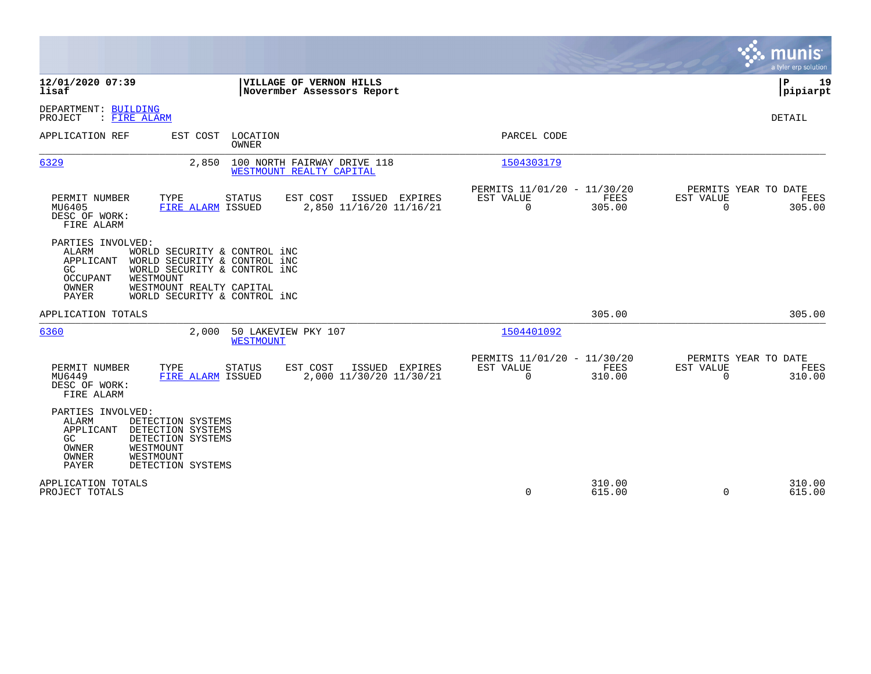|                                                                                                                                                                                                                                                                     |                                                                                                                         | munis<br>a tyler erp solution |
|---------------------------------------------------------------------------------------------------------------------------------------------------------------------------------------------------------------------------------------------------------------------|-------------------------------------------------------------------------------------------------------------------------|-------------------------------|
| 12/01/2020 07:39<br>VILLAGE OF VERNON HILLS<br>lisaf<br>Novermber Assessors Report                                                                                                                                                                                  |                                                                                                                         | P<br>19<br> pipiarpt          |
| DEPARTMENT: BUILDING<br>: FIRE ALARM<br>PROJECT                                                                                                                                                                                                                     |                                                                                                                         | DETAIL                        |
| LOCATION<br>APPLICATION REF<br>EST COST<br>OWNER                                                                                                                                                                                                                    | PARCEL CODE                                                                                                             |                               |
| 6329<br>2,850<br>100 NORTH FAIRWAY DRIVE 118<br>WESTMOUNT REALTY CAPITAL                                                                                                                                                                                            | 1504303179                                                                                                              |                               |
| PERMIT NUMBER<br>TYPE<br>EST COST<br>ISSUED EXPIRES<br>STATUS<br>FIRE ALARM ISSUED<br>2,850 11/16/20 11/16/21<br>MU6405<br>DESC OF WORK:<br>FIRE ALARM                                                                                                              | PERMITS 11/01/20 - 11/30/20<br>PERMITS YEAR TO DATE<br>EST VALUE<br>FEES<br>EST VALUE<br>$\Omega$<br>305.00<br>$\Omega$ | FEES<br>305.00                |
| PARTIES INVOLVED:<br><b>ALARM</b><br>WORLD SECURITY & CONTROL iNC<br>WORLD SECURITY & CONTROL INC<br>APPLICANT<br>WORLD SECURITY & CONTROL INC<br>GC.<br><b>OCCUPANT</b><br>WESTMOUNT<br>OWNER<br>WESTMOUNT REALTY CAPITAL<br>PAYER<br>WORLD SECURITY & CONTROL INC |                                                                                                                         |                               |
| APPLICATION TOTALS                                                                                                                                                                                                                                                  | 305.00                                                                                                                  | 305.00                        |
| 6360<br>2,000<br>50 LAKEVIEW PKY 107<br><b>WESTMOUNT</b>                                                                                                                                                                                                            | 1504401092                                                                                                              |                               |
| EST COST<br>PERMIT NUMBER<br>TYPE<br><b>STATUS</b><br>ISSUED EXPIRES<br>2,000 11/30/20 11/30/21<br>MU6449<br>FIRE ALARM ISSUED<br>DESC OF WORK:<br>FIRE ALARM                                                                                                       | PERMITS 11/01/20 - 11/30/20<br>PERMITS YEAR TO DATE<br>EST VALUE<br>FEES<br>EST VALUE<br>$\Omega$<br>310.00<br>$\Omega$ | FEES<br>310.00                |
| PARTIES INVOLVED:<br>ALARM<br>DETECTION SYSTEMS<br>APPLICANT<br>DETECTION SYSTEMS<br>GC<br>DETECTION SYSTEMS<br>OWNER<br>WESTMOUNT<br>OWNER<br>WESTMOUNT<br>PAYER<br>DETECTION SYSTEMS                                                                              |                                                                                                                         |                               |
| APPLICATION TOTALS<br>PROJECT TOTALS                                                                                                                                                                                                                                | 310.00<br>$\mathbf 0$<br>615.00<br>$\mathbf 0$                                                                          | 310.00<br>615.00              |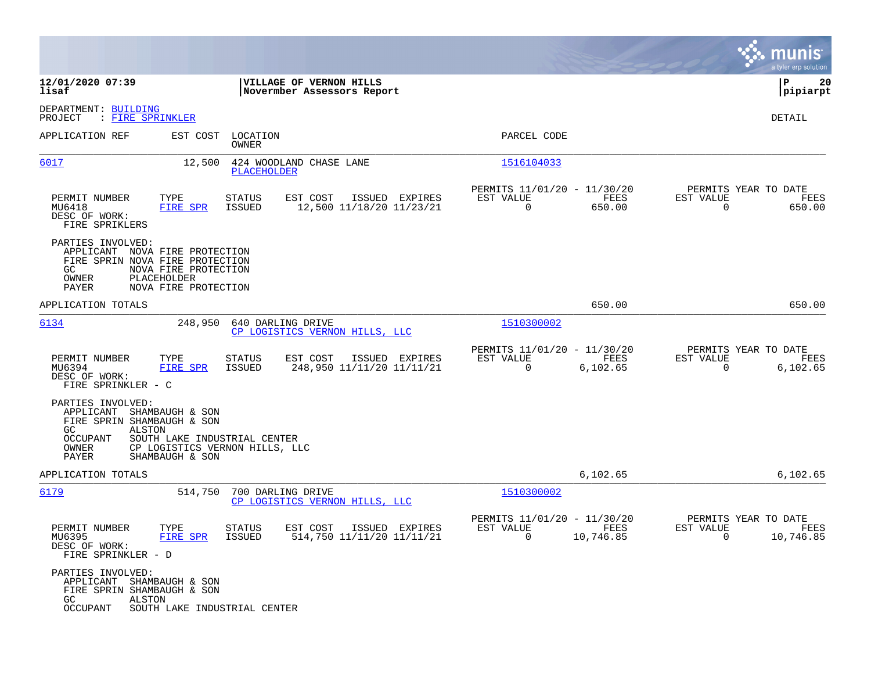|                                                                                                                                                                                |                                                                                    |                                                                             | munis<br>a tyler erp solution                                         |
|--------------------------------------------------------------------------------------------------------------------------------------------------------------------------------|------------------------------------------------------------------------------------|-----------------------------------------------------------------------------|-----------------------------------------------------------------------|
| 12/01/2020 07:39<br>lisaf                                                                                                                                                      | VILLAGE OF VERNON HILLS<br>Novermber Assessors Report                              |                                                                             | ΙP<br>20<br> pipiarpt                                                 |
| DEPARTMENT: BUILDING<br>PROJECT<br>: <u>FIRE SPRINKLER</u>                                                                                                                     |                                                                                    |                                                                             | DETAIL                                                                |
| APPLICATION REF                                                                                                                                                                | EST COST<br>LOCATION<br>OWNER                                                      | PARCEL CODE                                                                 |                                                                       |
| 6017                                                                                                                                                                           | 12,500<br>424 WOODLAND CHASE LANE<br>PLACEHOLDER                                   | 1516104033                                                                  |                                                                       |
| TYPE<br>PERMIT NUMBER<br>MU6418<br>FIRE SPR<br>DESC OF WORK:<br>FIRE SPRIKLERS                                                                                                 | EST COST<br>ISSUED EXPIRES<br>STATUS<br>ISSUED<br>12,500 11/18/20 11/23/21         | PERMITS 11/01/20 - 11/30/20<br>EST VALUE<br>FEES<br>$\mathbf 0$<br>650.00   | PERMITS YEAR TO DATE<br>EST VALUE<br>FEES<br>$\overline{0}$<br>650.00 |
| PARTIES INVOLVED:<br>APPLICANT NOVA FIRE PROTECTION<br>FIRE SPRIN NOVA FIRE PROTECTION<br>GC.<br>NOVA FIRE PROTECTION<br>OWNER<br>PLACEHOLDER<br>NOVA FIRE PROTECTION<br>PAYER |                                                                                    |                                                                             |                                                                       |
| APPLICATION TOTALS                                                                                                                                                             |                                                                                    | 650.00                                                                      | 650.00                                                                |
| 6134                                                                                                                                                                           | 248,950<br>640 DARLING DRIVE<br>CP LOGISTICS VERNON HILLS, LLC                     | 1510300002                                                                  |                                                                       |
| PERMIT NUMBER<br>TYPE<br>MU6394<br>FIRE SPR<br>DESC OF WORK:<br>FIRE SPRINKLER - C                                                                                             | EST COST<br>ISSUED EXPIRES<br>STATUS<br>ISSUED<br>248,950 11/11/20 11/11/21        | PERMITS 11/01/20 - 11/30/20<br>EST VALUE<br>FEES<br>$\mathbf 0$<br>6,102.65 | PERMITS YEAR TO DATE<br>EST VALUE<br>FEES<br>$\mathbf 0$<br>6,102.65  |
| PARTIES INVOLVED:<br>APPLICANT<br>SHAMBAUGH & SON<br>FIRE SPRIN SHAMBAUGH & SON<br>ALSTON<br>GC.<br>OCCUPANT<br>OWNER<br>PAYER<br>SHAMBAUGH & SON                              | SOUTH LAKE INDUSTRIAL CENTER<br>CP LOGISTICS VERNON HILLS, LLC                     |                                                                             |                                                                       |
| APPLICATION TOTALS                                                                                                                                                             |                                                                                    | 6,102.65                                                                    | 6,102.65                                                              |
| 6179                                                                                                                                                                           | 700 DARLING DRIVE<br>514,750<br>CP LOGISTICS VERNON HILLS, LLC                     | 1510300002                                                                  |                                                                       |
| TYPE<br>PERMIT NUMBER<br>FIRE SPR<br>MU6395<br>DESC OF WORK:<br>FIRE SPRINKLER - D                                                                                             | <b>STATUS</b><br>EST COST<br>ISSUED EXPIRES<br>514,750 11/11/20 11/11/21<br>ISSUED | PERMITS 11/01/20 - 11/30/20<br>EST VALUE<br>FEES<br>10,746.85<br>0          | PERMITS YEAR TO DATE<br>EST VALUE<br>FEES<br>$\mathbf 0$<br>10,746.85 |
| PARTIES INVOLVED:<br>APPLICANT SHAMBAUGH & SON<br>FIRE SPRIN SHAMBAUGH & SON<br>GC<br>ALSTON<br>OCCUPANT                                                                       | SOUTH LAKE INDUSTRIAL CENTER                                                       |                                                                             |                                                                       |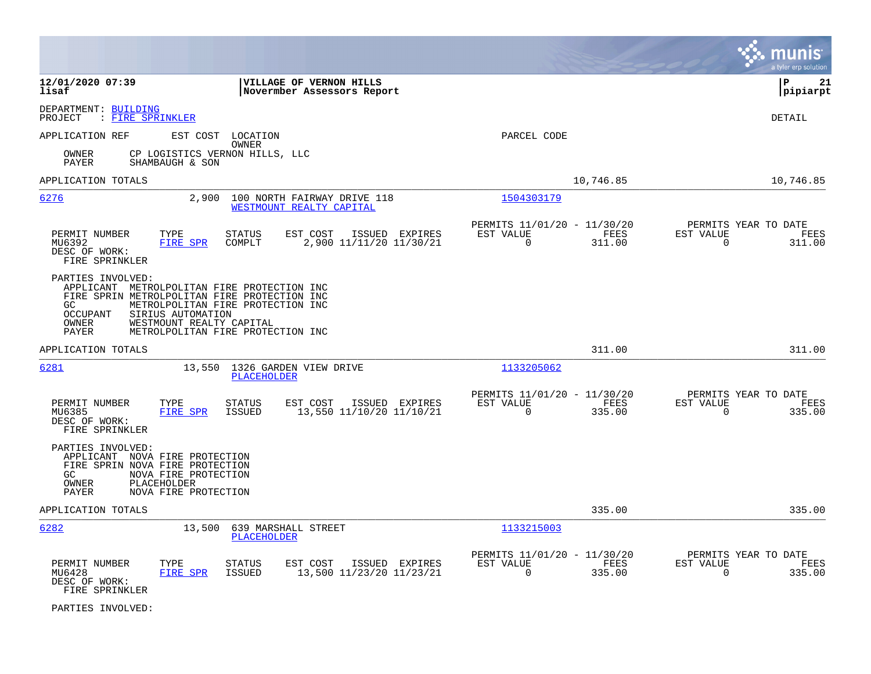|                                                                                                                                                                                                                                                                                  |                                                                        | munis<br>a tyler erp solution                                   |
|----------------------------------------------------------------------------------------------------------------------------------------------------------------------------------------------------------------------------------------------------------------------------------|------------------------------------------------------------------------|-----------------------------------------------------------------|
| 12/01/2020 07:39<br>VILLAGE OF VERNON HILLS<br>lisaf<br>Novermber Assessors Report                                                                                                                                                                                               |                                                                        | l P<br>21<br> pipiarpt                                          |
| DEPARTMENT: BUILDING<br>: FIRE SPRINKLER<br>PROJECT                                                                                                                                                                                                                              |                                                                        | <b>DETAIL</b>                                                   |
| APPLICATION REF<br>EST COST LOCATION<br>OWNER                                                                                                                                                                                                                                    | PARCEL CODE                                                            |                                                                 |
| OWNER<br>CP LOGISTICS VERNON HILLS, LLC<br>PAYER<br>SHAMBAUGH & SON                                                                                                                                                                                                              |                                                                        |                                                                 |
| APPLICATION TOTALS                                                                                                                                                                                                                                                               | 10,746.85                                                              | 10,746.85                                                       |
| 6276<br>2,900<br>100 NORTH FAIRWAY DRIVE 118<br>WESTMOUNT REALTY CAPITAL                                                                                                                                                                                                         | 1504303179                                                             |                                                                 |
| PERMIT NUMBER<br>TYPE<br><b>STATUS</b><br>EST COST<br>ISSUED EXPIRES<br>MU6392<br>FIRE SPR<br>COMPLT<br>2,900 11/11/20 11/30/21<br>DESC OF WORK:<br>FIRE SPRINKLER                                                                                                               | PERMITS 11/01/20 - 11/30/20<br>EST VALUE<br>FEES<br>$\Omega$<br>311.00 | PERMITS YEAR TO DATE<br>EST VALUE<br>FEES<br>$\Omega$<br>311.00 |
| PARTIES INVOLVED:<br>APPLICANT METROLPOLITAN FIRE PROTECTION INC<br>FIRE SPRIN METROLPOLITAN FIRE PROTECTION INC<br>METROLPOLITAN FIRE PROTECTION INC<br>GC.<br>OCCUPANT<br>SIRIUS AUTOMATION<br>OWNER<br>WESTMOUNT REALTY CAPITAL<br>PAYER<br>METROLPOLITAN FIRE PROTECTION INC |                                                                        |                                                                 |
| APPLICATION TOTALS                                                                                                                                                                                                                                                               | 311.00                                                                 | 311.00                                                          |
| 6281<br>13,550 1326 GARDEN VIEW DRIVE<br><b>PLACEHOLDER</b>                                                                                                                                                                                                                      | 1133205062                                                             |                                                                 |
| TYPE<br>EST COST<br>PERMIT NUMBER<br><b>STATUS</b><br>ISSUED EXPIRES<br>MU6385<br><b>FIRE SPR</b><br><b>ISSUED</b><br>13,550 11/10/20 11/10/21<br>DESC OF WORK:<br>FIRE SPRINKLER                                                                                                | PERMITS 11/01/20 - 11/30/20<br>EST VALUE<br>FEES<br>$\Omega$<br>335.00 | PERMITS YEAR TO DATE<br>EST VALUE<br>FEES<br>$\Omega$<br>335.00 |
| PARTIES INVOLVED:<br>APPLICANT NOVA FIRE PROTECTION<br>FIRE SPRIN NOVA FIRE PROTECTION<br>GC<br>NOVA FIRE PROTECTION<br>OWNER<br>PLACEHOLDER<br>PAYER<br>NOVA FIRE PROTECTION                                                                                                    |                                                                        |                                                                 |
| APPLICATION TOTALS                                                                                                                                                                                                                                                               | 335.00                                                                 | 335.00                                                          |
| 6282<br>13,500<br>639 MARSHALL STREET<br><b>PLACEHOLDER</b>                                                                                                                                                                                                                      | 1133215003                                                             |                                                                 |
| PERMIT NUMBER<br>TYPE<br><b>STATUS</b><br>EST COST<br>ISSUED EXPIRES<br>MU6428<br>FIRE SPR<br>ISSUED<br>13,500 11/23/20 11/23/21<br>DESC OF WORK:<br>FIRE SPRINKLER                                                                                                              | PERMITS 11/01/20 - 11/30/20<br>EST VALUE<br>FEES<br>$\Omega$<br>335.00 | PERMITS YEAR TO DATE<br>EST VALUE<br>FEES<br>335.00<br>$\Omega$ |

PARTIES INVOLVED: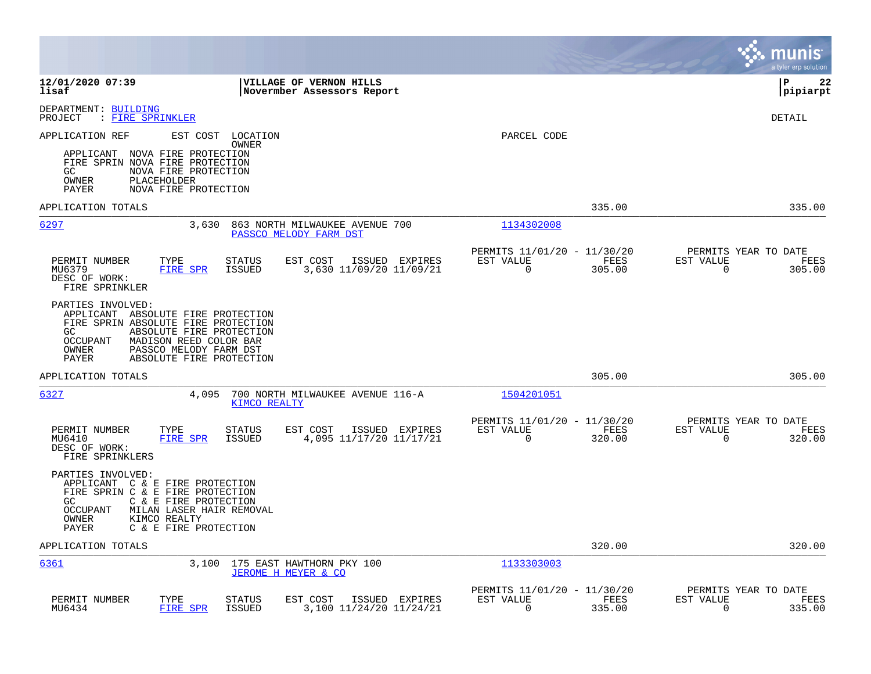|                                                                                                                                                                                                                                                | munis<br>a tyler erp solution                                                                                               |
|------------------------------------------------------------------------------------------------------------------------------------------------------------------------------------------------------------------------------------------------|-----------------------------------------------------------------------------------------------------------------------------|
| 12/01/2020 07:39<br><b>VILLAGE OF VERNON HILLS</b><br>lisaf<br>Novermber Assessors Report                                                                                                                                                      | l P<br>22<br> pipiarpt                                                                                                      |
| DEPARTMENT: BUILDING<br>: FIRE SPRINKLER<br>PROJECT                                                                                                                                                                                            | DETAIL                                                                                                                      |
| APPLICATION REF<br>EST COST<br>LOCATION<br><b>OWNER</b>                                                                                                                                                                                        | PARCEL CODE                                                                                                                 |
| APPLICANT NOVA FIRE PROTECTION<br>FIRE SPRIN NOVA FIRE PROTECTION<br>NOVA FIRE PROTECTION<br>GC.<br>OWNER<br>PLACEHOLDER<br>PAYER<br>NOVA FIRE PROTECTION                                                                                      |                                                                                                                             |
| APPLICATION TOTALS                                                                                                                                                                                                                             | 335.00<br>335.00                                                                                                            |
| 6297<br>3,630<br>863 NORTH MILWAUKEE AVENUE 700<br>PASSCO MELODY FARM DST                                                                                                                                                                      | 1134302008                                                                                                                  |
| PERMIT NUMBER<br>TYPE<br><b>STATUS</b><br>EST COST<br>ISSUED EXPIRES                                                                                                                                                                           | PERMITS 11/01/20 - 11/30/20<br>PERMITS YEAR TO DATE<br>EST VALUE<br>FEES<br>EST VALUE<br>FEES                               |
| <b>ISSUED</b><br>3,630 11/09/20 11/09/21<br>MU6379<br><b>FIRE SPR</b><br>DESC OF WORK:<br>FIRE SPRINKLER                                                                                                                                       | $\mathbf 0$<br>$\Omega$<br>305.00<br>305.00                                                                                 |
| PARTIES INVOLVED:<br>APPLICANT ABSOLUTE FIRE PROTECTION<br>FIRE SPRIN ABSOLUTE FIRE PROTECTION<br>GC<br>ABSOLUTE FIRE PROTECTION<br>MADISON REED COLOR BAR<br>OCCUPANT<br>OWNER<br>PASSCO MELODY FARM DST<br>PAYER<br>ABSOLUTE FIRE PROTECTION |                                                                                                                             |
| APPLICATION TOTALS                                                                                                                                                                                                                             | 305.00<br>305.00                                                                                                            |
| 6327<br>4,095<br>700 NORTH MILWAUKEE AVENUE 116-A<br><b>KIMCO REALTY</b>                                                                                                                                                                       | 1504201051                                                                                                                  |
| PERMIT NUMBER<br>TYPE<br><b>STATUS</b><br>EST COST<br>ISSUED EXPIRES                                                                                                                                                                           | PERMITS 11/01/20 - 11/30/20<br>PERMITS YEAR TO DATE<br>EST VALUE<br>FEES<br>EST VALUE<br>FEES                               |
| 4,095 11/17/20 11/17/21<br><b>FIRE SPR</b><br><b>ISSUED</b><br>MU6410<br>DESC OF WORK:<br>FIRE SPRINKLERS                                                                                                                                      | $\mathbf 0$<br>320.00<br>$\mathbf 0$<br>320.00                                                                              |
| PARTIES INVOLVED:<br>APPLICANT C & E FIRE PROTECTION<br>FIRE SPRIN C & E FIRE PROTECTION<br>GC<br>C & E FIRE PROTECTION<br><b>OCCUPANT</b><br>MILAN LASER HAIR REMOVAL<br>OWNER<br>KIMCO REALTY<br>PAYER<br>C & E FIRE PROTECTION              |                                                                                                                             |
| APPLICATION TOTALS                                                                                                                                                                                                                             | 320.00<br>320.00                                                                                                            |
| 6361<br>175 EAST HAWTHORN PKY 100<br>3,100<br>JEROME H MEYER & CO                                                                                                                                                                              | 1133303003                                                                                                                  |
| PERMIT NUMBER<br>TYPE<br>EST COST<br>ISSUED EXPIRES<br><b>STATUS</b><br>MU6434<br>FIRE SPR<br><b>ISSUED</b><br>3,100 11/24/20 11/24/21                                                                                                         | PERMITS 11/01/20 - 11/30/20<br>PERMITS YEAR TO DATE<br>EST VALUE<br>FEES<br>EST VALUE<br>FEES<br>0<br>335.00<br>0<br>335.00 |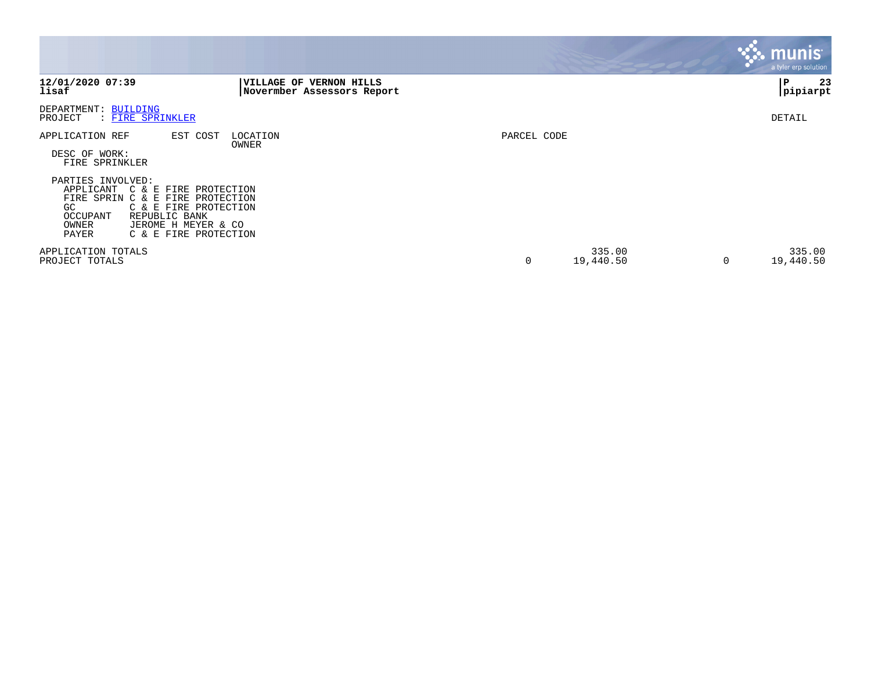|                                                                                                                                                                                                                            |                                                       |             |                     |   | <b>munis</b><br>a tyler erp solution |
|----------------------------------------------------------------------------------------------------------------------------------------------------------------------------------------------------------------------------|-------------------------------------------------------|-------------|---------------------|---|--------------------------------------|
| 12/01/2020 07:39<br>lisaf                                                                                                                                                                                                  | VILLAGE OF VERNON HILLS<br>Novermber Assessors Report |             |                     |   | 23<br>P<br> pipiarpt                 |
| DEPARTMENT: BUILDING<br>PROJECT<br>: FIRE SPRINKLER                                                                                                                                                                        |                                                       |             |                     |   | DETAIL                               |
| APPLICATION REF<br>EST COST<br>DESC OF WORK:<br>FIRE SPRINKLER<br>PARTIES INVOLVED:<br>APPLICANT<br>C & E FIRE PROTECTION<br>FIRE SPRIN C & E FIRE PROTECTION<br>GC.<br>C & E FIRE PROTECTION<br>OCCUPANT<br>REPUBLIC BANK | LOCATION<br>OWNER                                     | PARCEL CODE |                     |   |                                      |
| OWNER<br>JEROME H MEYER & CO<br>C & E FIRE PROTECTION<br>PAYER<br>APPLICATION TOTALS<br>PROJECT TOTALS                                                                                                                     |                                                       | 0           | 335.00<br>19,440.50 | 0 | 335.00<br>19,440.50                  |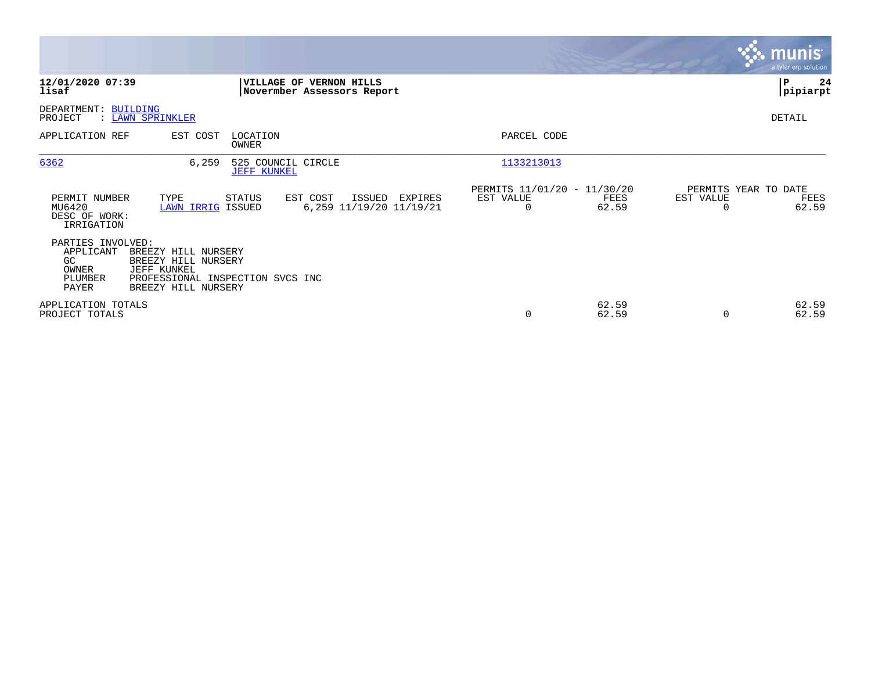|                                                                    |                                                                                                                      |                                                                                  | <b>munis</b><br>a tyler erp solution                           |
|--------------------------------------------------------------------|----------------------------------------------------------------------------------------------------------------------|----------------------------------------------------------------------------------|----------------------------------------------------------------|
| 12/01/2020 07:39<br>lisaf                                          | VILLAGE OF VERNON HILLS<br>Novermber Assessors Report                                                                |                                                                                  | 24<br>P<br> pipiarpt                                           |
| DEPARTMENT: BUILDING<br>PROJECT                                    | : LAWN SPRINKLER                                                                                                     |                                                                                  | DETAIL                                                         |
| APPLICATION REF                                                    | EST COST<br>LOCATION<br>OWNER                                                                                        | PARCEL CODE                                                                      |                                                                |
| 6362                                                               | 6,259<br>525 COUNCIL CIRCLE<br><b>JEFF KUNKEL</b>                                                                    | 1133213013                                                                       |                                                                |
| PERMIT NUMBER<br>MU6420<br>DESC OF WORK:<br>IRRIGATION             | TYPE<br>STATUS<br>EST COST<br>ISSUED<br><b>LAWN IRRIG ISSUED</b><br>6,259 11/19/20 11/19/21                          | PERMITS 11/01/20 - 11/30/20<br>EST VALUE<br>EXPIRES<br>FEES<br>$\Omega$<br>62.59 | PERMITS YEAR TO DATE<br>EST VALUE<br>FEES<br>62.59<br>$\Omega$ |
| PARTIES INVOLVED:<br>APPLICANT<br>GC.<br>OWNER<br>PLUMBER<br>PAYER | BREEZY HILL NURSERY<br>BREEZY HILL NURSERY<br>JEFF KUNKEL<br>PROFESSIONAL INSPECTION SVCS INC<br>BREEZY HILL NURSERY |                                                                                  |                                                                |
| APPLICATION TOTALS<br>PROJECT TOTALS                               |                                                                                                                      | 62.59<br>0<br>62.59                                                              | 62.59<br>62.59<br>$\Omega$                                     |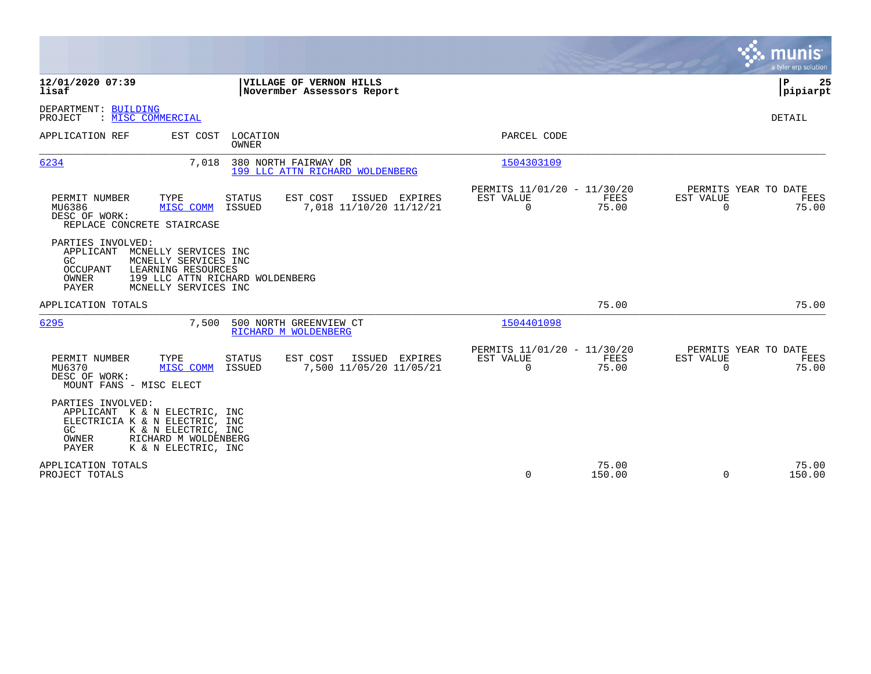|                                                                                                                                                                                                                    |                                                                          | munis<br>a tyler erp solution                                     |
|--------------------------------------------------------------------------------------------------------------------------------------------------------------------------------------------------------------------|--------------------------------------------------------------------------|-------------------------------------------------------------------|
| 12/01/2020 07:39<br>VILLAGE OF VERNON HILLS<br>lisaf<br>Novermber Assessors Report                                                                                                                                 |                                                                          | ΙP<br>25<br> pipiarpt                                             |
| DEPARTMENT: BUILDING<br>: MISC COMMERCIAL<br>PROJECT                                                                                                                                                               |                                                                          | <b>DETAIL</b>                                                     |
| APPLICATION REF<br>EST COST<br>LOCATION<br>OWNER                                                                                                                                                                   | PARCEL CODE                                                              |                                                                   |
| 380 NORTH FAIRWAY DR<br>6234<br>7,018<br>199 LLC ATTN RICHARD WOLDENBERG                                                                                                                                           | 1504303109                                                               |                                                                   |
| PERMIT NUMBER<br>TYPE<br>STATUS<br>EST COST<br>ISSUED EXPIRES<br>MU6386<br>ISSUED<br>7,018 11/10/20 11/12/21<br>MISC COMM<br>DESC OF WORK:<br>REPLACE CONCRETE STAIRCASE                                           | PERMITS 11/01/20 - 11/30/20<br>EST VALUE<br>FEES<br>75.00<br>$\mathbf 0$ | PERMITS YEAR TO DATE<br>EST VALUE<br>FEES<br>75.00<br>$\mathbf 0$ |
| PARTIES INVOLVED:<br>APPLICANT<br>MCNELLY SERVICES INC<br>MCNELLY SERVICES INC<br>GC.<br><b>OCCUPANT</b><br>LEARNING RESOURCES<br>199 LLC ATTN RICHARD WOLDENBERG<br>OWNER<br><b>PAYER</b><br>MCNELLY SERVICES INC |                                                                          |                                                                   |
| APPLICATION TOTALS                                                                                                                                                                                                 | 75.00                                                                    | 75.00                                                             |
| 6295<br>7,500<br>500 NORTH GREENVIEW CT<br>RICHARD M WOLDENBERG                                                                                                                                                    | 1504401098                                                               |                                                                   |
| EST COST<br>PERMIT NUMBER<br>TYPE<br>STATUS<br>ISSUED EXPIRES<br>MU6370<br>MISC COMM<br>ISSUED<br>7,500 11/05/20 11/05/21<br>DESC OF WORK:<br>MOUNT FANS - MISC ELECT                                              | PERMITS 11/01/20 - 11/30/20<br>EST VALUE<br>FEES<br>$\Omega$<br>75.00    | PERMITS YEAR TO DATE<br>EST VALUE<br>FEES<br>75.00<br>$\Omega$    |
| PARTIES INVOLVED:<br>APPLICANT K & N ELECTRIC, INC<br>ELECTRICIA K & N ELECTRIC, INC<br>GC<br>K & N ELECTRIC, INC<br>RICHARD M WOLDENBERG<br>OWNER<br>K & N ELECTRIC, INC<br>PAYER                                 |                                                                          |                                                                   |
| APPLICATION TOTALS<br>PROJECT TOTALS                                                                                                                                                                               | 75.00<br>$\mathbf 0$<br>150.00                                           | 75.00<br>150.00<br>$\mathbf 0$                                    |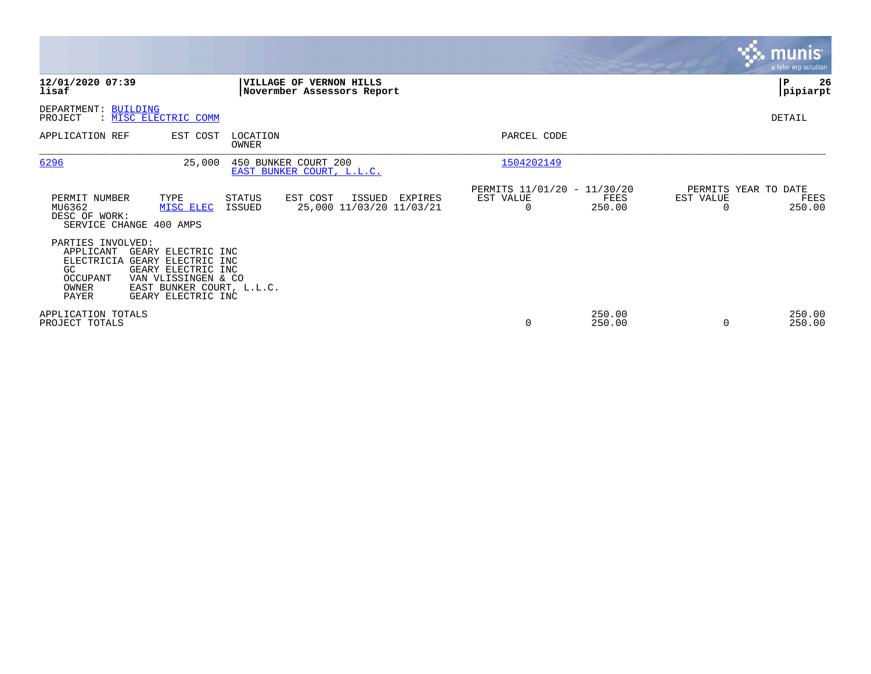|                                                                                                                                                                                                     |                                                                    |                                                                            | <b>munis</b><br>a tyler erp solution                            |
|-----------------------------------------------------------------------------------------------------------------------------------------------------------------------------------------------------|--------------------------------------------------------------------|----------------------------------------------------------------------------|-----------------------------------------------------------------|
| 12/01/2020 07:39<br>lisaf                                                                                                                                                                           | VILLAGE OF VERNON HILLS<br>Novermber Assessors Report              |                                                                            | 26<br>P<br> pipiarpt                                            |
| DEPARTMENT: BUILDING<br>: MISC ELECTRIC COMM<br>PROJECT                                                                                                                                             |                                                                    |                                                                            | DETAIL                                                          |
| APPLICATION REF                                                                                                                                                                                     | EST COST<br>LOCATION<br>OWNER                                      | PARCEL CODE                                                                |                                                                 |
| 6296                                                                                                                                                                                                | 25,000<br>450 BUNKER COURT 200<br>EAST BUNKER COURT, L.L.C.        | 1504202149                                                                 |                                                                 |
| PERMIT NUMBER<br>TYPE<br>MU6362<br>MISC ELEC<br>DESC OF WORK:<br>SERVICE CHANGE 400 AMPS                                                                                                            | EST COST<br>ISSUED<br>STATUS<br>ISSUED<br>25,000 11/03/20 11/03/21 | PERMITS 11/01/20 - 11/30/20<br>EXPIRES<br>EST VALUE<br>FEES<br>250.00<br>0 | PERMITS YEAR TO DATE<br>EST VALUE<br>FEES<br>250.00<br>$\Omega$ |
| PARTIES INVOLVED:<br>APPLICANT<br>GEARY ELECTRIC INC<br>ELECTRICIA GEARY ELECTRIC INC<br>GC<br>GEARY ELECTRIC INC<br>VAN VLISSINGEN & CO<br>OCCUPANT<br>OWNER<br>GEARY ELECTRIC INC<br><b>PAYER</b> | EAST BUNKER COURT, L.L.C.                                          |                                                                            |                                                                 |
| APPLICATION TOTALS<br>PROJECT TOTALS                                                                                                                                                                |                                                                    | 250.00<br>250.00<br>$\mathbf 0$                                            | 250.00<br>250.00<br>$\Omega$                                    |

**Contract**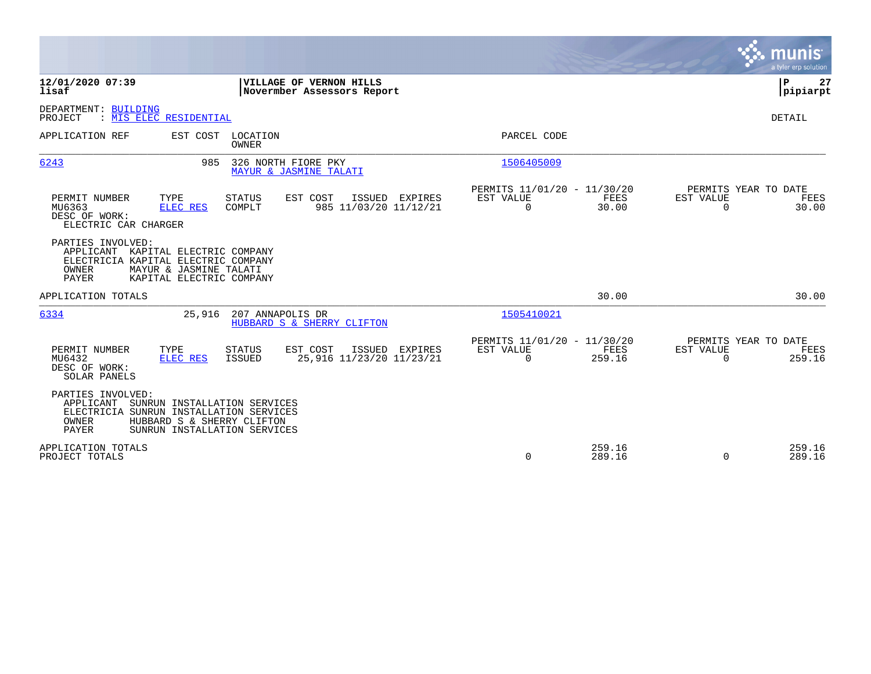|                                                                                                                                                                                           |                                                                                                | munis<br>a tyler erp solution          |
|-------------------------------------------------------------------------------------------------------------------------------------------------------------------------------------------|------------------------------------------------------------------------------------------------|----------------------------------------|
| 12/01/2020 07:39<br>VILLAGE OF VERNON HILLS<br>lisaf<br>Novermber Assessors Report                                                                                                        |                                                                                                | P<br>27<br> pipiarpt                   |
| DEPARTMENT: BUILDING<br>: MIS ELEC RESIDENTIAL<br>PROJECT                                                                                                                                 |                                                                                                | DETAIL                                 |
| APPLICATION REF<br>EST COST LOCATION<br><b>OWNER</b>                                                                                                                                      | PARCEL CODE                                                                                    |                                        |
| 6243<br>985<br>326 NORTH FIORE PKY<br>MAYUR & JASMINE TALATI                                                                                                                              | 1506405009                                                                                     |                                        |
| PERMIT NUMBER<br>TYPE<br><b>STATUS</b><br>EST COST<br>ISSUED EXPIRES<br>985 11/03/20 11/12/21<br>MU6363<br>ELEC RES<br>COMPLT<br>DESC OF WORK:<br>ELECTRIC CAR CHARGER                    | PERMITS 11/01/20 - 11/30/20<br>EST VALUE<br>FEES<br>EST VALUE<br>$\Omega$<br>30.00<br>$\Omega$ | PERMITS YEAR TO DATE<br>FEES<br>30.00  |
| PARTIES INVOLVED:<br>APPLICANT KAPITAL ELECTRIC COMPANY<br>ELECTRICIA KAPITAL ELECTRIC COMPANY<br>OWNER<br>MAYUR & JASMINE TALATI<br><b>PAYER</b><br>KAPITAL ELECTRIC COMPANY             |                                                                                                |                                        |
| APPLICATION TOTALS                                                                                                                                                                        | 30.00                                                                                          | 30.00                                  |
| 6334<br>25,916<br>207 ANNAPOLIS DR<br>HUBBARD S & SHERRY CLIFTON                                                                                                                          | 1505410021                                                                                     |                                        |
| EST COST<br>PERMIT NUMBER<br>TYPE<br><b>STATUS</b><br>ISSUED EXPIRES<br>MU6432<br>25,916 11/23/20 11/23/21<br><b>ELEC RES</b><br>ISSUED<br>DESC OF WORK:<br>SOLAR PANELS                  | PERMITS 11/01/20 - 11/30/20<br>EST VALUE<br>FEES<br>EST VALUE<br>259.16<br>0<br>$\Omega$       | PERMITS YEAR TO DATE<br>FEES<br>259.16 |
| PARTIES INVOLVED:<br>APPLICANT<br>SUNRUN INSTALLATION SERVICES<br>ELECTRICIA SUNRUN INSTALLATION SERVICES<br>OWNER<br>HUBBARD S & SHERRY CLIFTON<br>PAYER<br>SUNRUN INSTALLATION SERVICES |                                                                                                |                                        |
| APPLICATION TOTALS<br>PROJECT TOTALS                                                                                                                                                      | 259.16<br>0<br>289.16<br>$\Omega$                                                              | 259.16<br>289.16                       |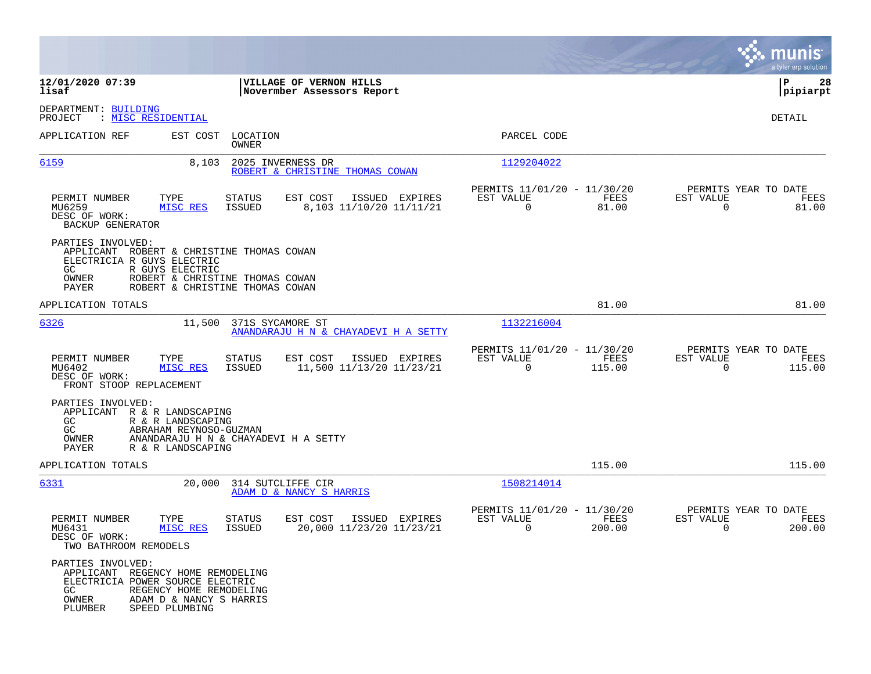|                                                                                                                       |                                                                                                          |                         |                                                        |                                                            |                |                                               | munis<br>a tyler erp solution |
|-----------------------------------------------------------------------------------------------------------------------|----------------------------------------------------------------------------------------------------------|-------------------------|--------------------------------------------------------|------------------------------------------------------------|----------------|-----------------------------------------------|-------------------------------|
| 12/01/2020 07:39<br>lisaf                                                                                             |                                                                                                          |                         | VILLAGE OF VERNON HILLS<br>Novermber Assessors Report  |                                                            |                |                                               | ΙP<br>28<br> pipiarpt         |
| DEPARTMENT: BUILDING<br>PROJECT                                                                                       | : MISC RESIDENTIAL                                                                                       |                         |                                                        |                                                            |                |                                               | DETAIL                        |
| APPLICATION REF                                                                                                       | EST COST                                                                                                 | LOCATION<br>OWNER       |                                                        | PARCEL CODE                                                |                |                                               |                               |
| 6159                                                                                                                  | 8,103                                                                                                    |                         | 2025 INVERNESS DR<br>ROBERT & CHRISTINE THOMAS COWAN   | 1129204022                                                 |                |                                               |                               |
| PERMIT NUMBER<br>MU6259<br>DESC OF WORK:<br>BACKUP GENERATOR                                                          | TYPE<br>MISC RES                                                                                         | <b>STATUS</b><br>ISSUED | EST COST<br>ISSUED EXPIRES<br>8,103 11/10/20 11/11/21  | PERMITS 11/01/20 - 11/30/20<br>EST VALUE<br>$\mathbf 0$    | FEES<br>81.00  | PERMITS YEAR TO DATE<br>EST VALUE<br>$\Omega$ | FEES<br>81.00                 |
| PARTIES INVOLVED:<br>APPLICANT ROBERT & CHRISTINE THOMAS COWAN<br>ELECTRICIA R GUYS ELECTRIC<br>GC.<br>OWNER<br>PAYER | R GUYS ELECTRIC<br>ROBERT & CHRISTINE THOMAS COWAN<br>ROBERT & CHRISTINE THOMAS COWAN                    |                         |                                                        |                                                            |                |                                               |                               |
| APPLICATION TOTALS                                                                                                    |                                                                                                          |                         |                                                        |                                                            | 81.00          |                                               | 81.00                         |
| 6326                                                                                                                  | 11,500                                                                                                   | 371S SYCAMORE ST        | ANANDARAJU H N & CHAYADEVI H A SETTY                   | 1132216004                                                 |                |                                               |                               |
| PERMIT NUMBER<br>MU6402<br>DESC OF WORK:<br>FRONT STOOP REPLACEMENT                                                   | TYPE<br>MISC RES                                                                                         | <b>STATUS</b><br>ISSUED | EST COST<br>ISSUED EXPIRES<br>11,500 11/13/20 11/23/21 | PERMITS 11/01/20 - 11/30/20<br>EST VALUE<br>$\overline{0}$ | FEES<br>115.00 | PERMITS YEAR TO DATE<br>EST VALUE<br>$\Omega$ | FEES<br>115.00                |
| PARTIES INVOLVED:<br>APPLICANT R & R LANDSCAPING<br>GC.<br>GC<br>OWNER<br>PAYER                                       | R & R LANDSCAPING<br>ABRAHAM REYNOSO-GUZMAN<br>ANANDARAJU H N & CHAYADEVI H A SETTY<br>R & R LANDSCAPING |                         |                                                        |                                                            |                |                                               |                               |
| APPLICATION TOTALS                                                                                                    |                                                                                                          |                         |                                                        |                                                            | 115.00         |                                               | 115.00                        |
| 6331                                                                                                                  | 20,000                                                                                                   |                         | 314 SUTCLIFFE CIR<br>ADAM D & NANCY S HARRIS           | 1508214014                                                 |                |                                               |                               |
| PERMIT NUMBER<br>MU6431<br>DESC OF WORK:<br>TWO BATHROOM REMODELS                                                     | TYPE<br>MISC RES                                                                                         | STATUS<br><b>ISSUED</b> | EST COST<br>ISSUED EXPIRES<br>20,000 11/23/20 11/23/21 | PERMITS 11/01/20 - 11/30/20<br>EST VALUE<br>0              | FEES<br>200.00 | PERMITS YEAR TO DATE<br>EST VALUE<br>0        | FEES<br>200.00                |
| PARTIES INVOLVED:<br>APPLICANT REGENCY HOME REMODELING<br>ELECTRICIA POWER SOURCE ELECTRIC<br>GC<br>OWNER<br>PLUMBER  | REGENCY HOME REMODELING<br>ADAM D & NANCY S HARRIS<br>SPEED PLUMBING                                     |                         |                                                        |                                                            |                |                                               |                               |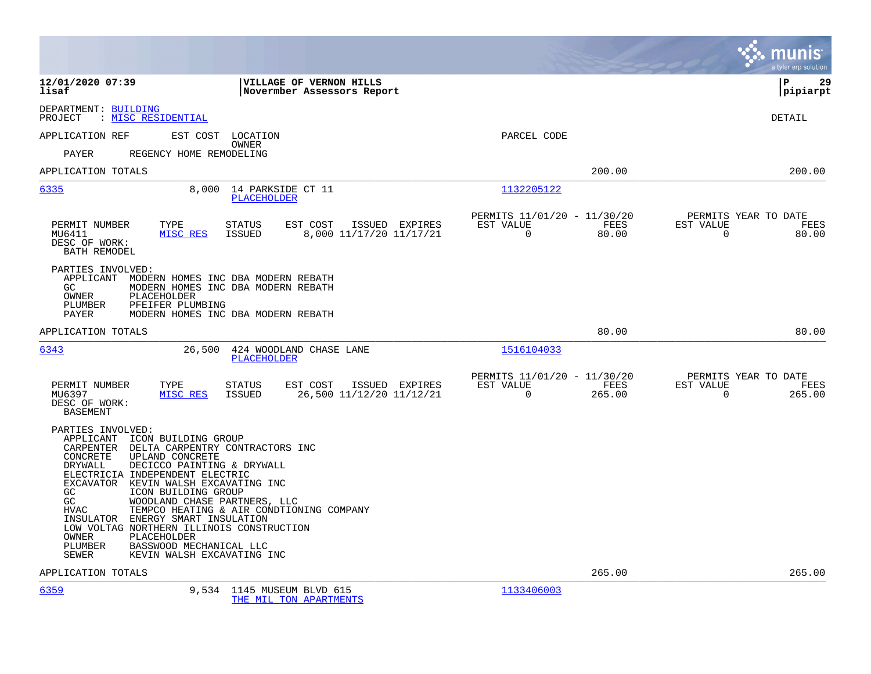|                                                                                                                                                                                                                                                                                                                                                                                                                                                                                                                                                                                   |                                                        |                                                         |                | munis<br>a tyler erp solution                                      |
|-----------------------------------------------------------------------------------------------------------------------------------------------------------------------------------------------------------------------------------------------------------------------------------------------------------------------------------------------------------------------------------------------------------------------------------------------------------------------------------------------------------------------------------------------------------------------------------|--------------------------------------------------------|---------------------------------------------------------|----------------|--------------------------------------------------------------------|
| 12/01/2020 07:39<br>lisaf                                                                                                                                                                                                                                                                                                                                                                                                                                                                                                                                                         | VILLAGE OF VERNON HILLS<br>Novermber Assessors Report  |                                                         |                | 29<br>l P<br> pipiarpt                                             |
| DEPARTMENT: BUILDING<br>PROJECT<br>: MISC RESIDENTIAL                                                                                                                                                                                                                                                                                                                                                                                                                                                                                                                             |                                                        |                                                         |                | DETAIL                                                             |
| EST COST LOCATION<br>APPLICATION REF<br>OWNER<br><b>PAYER</b><br>REGENCY HOME REMODELING                                                                                                                                                                                                                                                                                                                                                                                                                                                                                          |                                                        | PARCEL CODE                                             |                |                                                                    |
| APPLICATION TOTALS                                                                                                                                                                                                                                                                                                                                                                                                                                                                                                                                                                |                                                        |                                                         | 200.00         | 200.00                                                             |
| 6335<br>8,000                                                                                                                                                                                                                                                                                                                                                                                                                                                                                                                                                                     | 14 PARKSIDE CT 11<br><b>PLACEHOLDER</b>                | 1132205122                                              |                |                                                                    |
| TYPE<br><b>STATUS</b><br>PERMIT NUMBER<br>MISC RES<br><b>ISSUED</b><br>MU6411<br>DESC OF WORK:<br>BATH REMODEL                                                                                                                                                                                                                                                                                                                                                                                                                                                                    | EST COST<br>ISSUED EXPIRES<br>8,000 11/17/20 11/17/21  | PERMITS 11/01/20 - 11/30/20<br>EST VALUE<br>$\mathbf 0$ | FEES<br>80.00  | PERMITS YEAR TO DATE<br>EST VALUE<br>FEES<br>$\mathsf{O}$<br>80.00 |
| PARTIES INVOLVED:<br>APPLICANT<br>MODERN HOMES INC DBA MODERN REBATH<br>GC.<br>MODERN HOMES INC DBA MODERN REBATH<br>PLACEHOLDER<br>OWNER<br>PFEIFER PLUMBING<br>PLUMBER<br>PAYER<br>MODERN HOMES INC DBA MODERN REBATH                                                                                                                                                                                                                                                                                                                                                           |                                                        |                                                         |                |                                                                    |
| APPLICATION TOTALS                                                                                                                                                                                                                                                                                                                                                                                                                                                                                                                                                                |                                                        |                                                         | 80.00          | 80.00                                                              |
| 6343<br>26,500                                                                                                                                                                                                                                                                                                                                                                                                                                                                                                                                                                    | 424 WOODLAND CHASE LANE<br><b>PLACEHOLDER</b>          | 1516104033                                              |                |                                                                    |
| PERMIT NUMBER<br>TYPE<br><b>STATUS</b><br>MISC RES<br><b>ISSUED</b><br>MU6397<br>DESC OF WORK:<br><b>BASEMENT</b>                                                                                                                                                                                                                                                                                                                                                                                                                                                                 | EST COST<br>ISSUED EXPIRES<br>26,500 11/12/20 11/12/21 | PERMITS 11/01/20 - 11/30/20<br>EST VALUE<br>$\Omega$    | FEES<br>265.00 | PERMITS YEAR TO DATE<br>EST VALUE<br>FEES<br>265.00<br>$\Omega$    |
| PARTIES INVOLVED:<br>APPLICANT ICON BUILDING GROUP<br>CARPENTER DELTA CARPENTRY CONTRACTORS INC<br>CONCRETE<br>UPLAND CONCRETE<br>DECICCO PAINTING & DRYWALL<br>DRYWALL<br>ELECTRICIA INDEPENDENT ELECTRIC<br>EXCAVATOR KEVIN WALSH EXCAVATING INC<br>ICON BUILDING GROUP<br>GC<br>GC<br>WOODLAND CHASE PARTNERS, LLC<br>TEMPCO HEATING & AIR CONDTIONING COMPANY<br><b>HVAC</b><br>INSULATOR<br>ENERGY SMART INSULATION<br>LOW VOLTAG NORTHERN ILLINOIS CONSTRUCTION<br>OWNER<br>PLACEHOLDER<br>PLUMBER<br>BASSWOOD MECHANICAL LLC<br>KEVIN WALSH EXCAVATING INC<br><b>SEWER</b> |                                                        |                                                         |                |                                                                    |
| APPLICATION TOTALS                                                                                                                                                                                                                                                                                                                                                                                                                                                                                                                                                                |                                                        |                                                         | 265.00         | 265.00                                                             |
| 6359                                                                                                                                                                                                                                                                                                                                                                                                                                                                                                                                                                              | 9,534 1145 MUSEUM BLVD 615                             | 1133406003                                              |                |                                                                    |

[THE MIL TON APARTMENTS](http://vvh-munis1:55000/views/PassThru.aspx?-E=2N8eyc6LtZfG%2BhHImTqnmf1XWpMjjkm7r0qBRdqPr0c=&)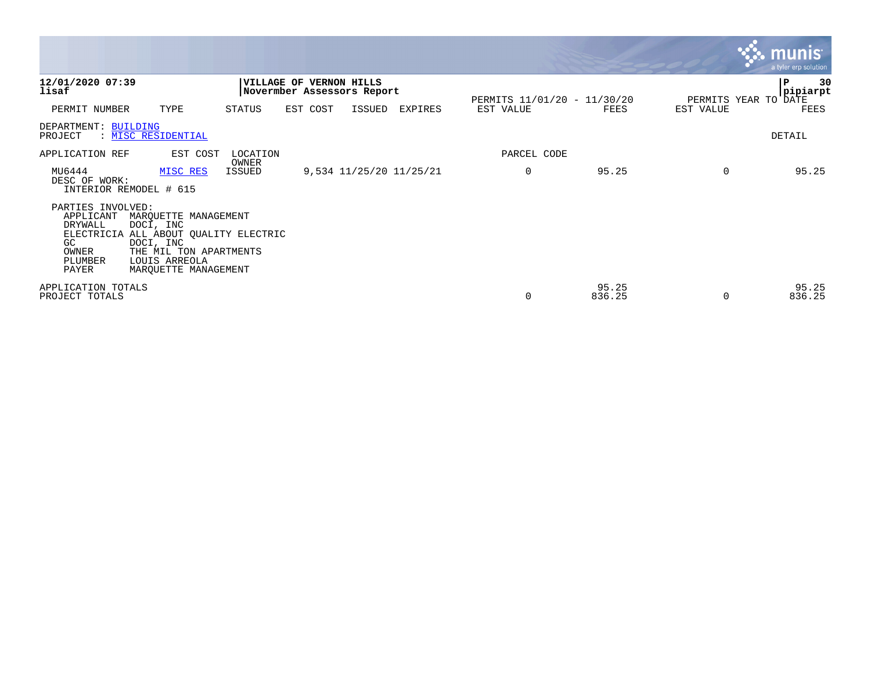|                                                                               |                                                                                                                                                            |                   |                                                              |        |                         |                             |                 |           | $\mathbf{X}$ . munist<br>a tyler erp solution |
|-------------------------------------------------------------------------------|------------------------------------------------------------------------------------------------------------------------------------------------------------|-------------------|--------------------------------------------------------------|--------|-------------------------|-----------------------------|-----------------|-----------|-----------------------------------------------|
| 12/01/2020 07:39<br>lisaf                                                     |                                                                                                                                                            |                   | <b>VILLAGE OF VERNON HILLS</b><br>Novermber Assessors Report |        |                         | PERMITS 11/01/20 - 11/30/20 |                 |           | 30<br>IΡ<br> pipiarpt<br>PERMITS YEAR TO DATE |
| PERMIT NUMBER                                                                 | TYPE                                                                                                                                                       | STATUS            | EST COST                                                     | ISSUED | EXPIRES                 | EST VALUE                   | FEES            | EST VALUE | FEES                                          |
| DEPARTMENT: BUILDING<br>PROJECT                                               | : MISC RESIDENTIAL                                                                                                                                         |                   |                                                              |        |                         |                             |                 |           | DETAIL                                        |
| APPLICATION REF                                                               | EST COST                                                                                                                                                   | LOCATION<br>OWNER |                                                              |        |                         | PARCEL CODE                 |                 |           |                                               |
| MU6444<br>DESC OF WORK:<br>INTERIOR REMODEL # 615                             | MISC RES                                                                                                                                                   | ISSUED            |                                                              |        | 9,534 11/25/20 11/25/21 | $\mathbf 0$                 | 95.25           | $\Omega$  | 95.25                                         |
| PARTIES INVOLVED:<br>APPLICANT<br>DRYWALL<br>GC.<br>OWNER<br>PLUMBER<br>PAYER | MARQUETTE MANAGEMENT<br>DOCI, INC<br>ELECTRICIA ALL ABOUT QUALITY ELECTRIC<br>DOCI, INC<br>THE MIL TON APARTMENTS<br>LOUIS ARREOLA<br>MAROUETTE MANAGEMENT |                   |                                                              |        |                         |                             |                 |           |                                               |
| APPLICATION TOTALS<br>PROJECT TOTALS                                          |                                                                                                                                                            |                   |                                                              |        |                         | 0                           | 95.25<br>836.25 | $\Omega$  | 95.25<br>836.25                               |

the contract of the contract of the contract of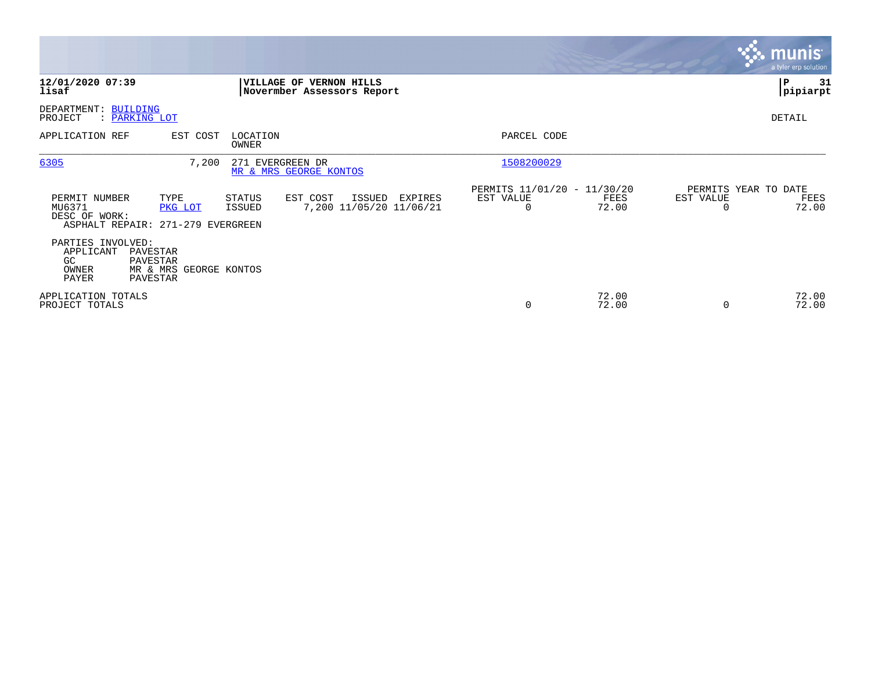|                                                                               |                                                            |                                            |                                                              |         |                                                      |                |           | <b>munis</b><br>a tyler erp solution  |
|-------------------------------------------------------------------------------|------------------------------------------------------------|--------------------------------------------|--------------------------------------------------------------|---------|------------------------------------------------------|----------------|-----------|---------------------------------------|
| 12/01/2020 07:39<br>lisaf                                                     |                                                            |                                            | <b>VILLAGE OF VERNON HILLS</b><br>Novermber Assessors Report |         |                                                      |                |           | P<br>31<br> pipiarpt                  |
| DEPARTMENT: BUILDING<br>PROJECT<br>: PARKING LOT                              |                                                            |                                            |                                                              |         |                                                      |                |           | DETAIL                                |
| APPLICATION REF                                                               | EST COST                                                   | LOCATION<br>OWNER                          |                                                              |         | PARCEL CODE                                          |                |           |                                       |
| 6305                                                                          | 7,200                                                      | 271 EVERGREEN DR<br>MR & MRS GEORGE KONTOS |                                                              |         | 1508200029                                           |                |           |                                       |
| PERMIT NUMBER<br>MU6371<br>DESC OF WORK:<br>ASPHALT REPAIR: 271-279 EVERGREEN | TYPE<br>PKG LOT                                            | STATUS<br>ISSUED                           | EST COST<br>ISSUED<br>7,200 11/05/20 11/06/21                | EXPIRES | PERMITS 11/01/20 - 11/30/20<br>EST VALUE<br>$\Omega$ | FEES<br>72.00  | EST VALUE | PERMITS YEAR TO DATE<br>FEES<br>72.00 |
| PARTIES INVOLVED:<br>APPLICANT<br>GC<br>OWNER<br>PAYER                        | PAVESTAR<br>PAVESTAR<br>MR & MRS GEORGE KONTOS<br>PAVESTAR |                                            |                                                              |         |                                                      |                |           |                                       |
| APPLICATION TOTALS<br>PROJECT TOTALS                                          |                                                            |                                            |                                                              |         | 0                                                    | 72.00<br>72.00 | $\Omega$  | 72.00<br>72.00                        |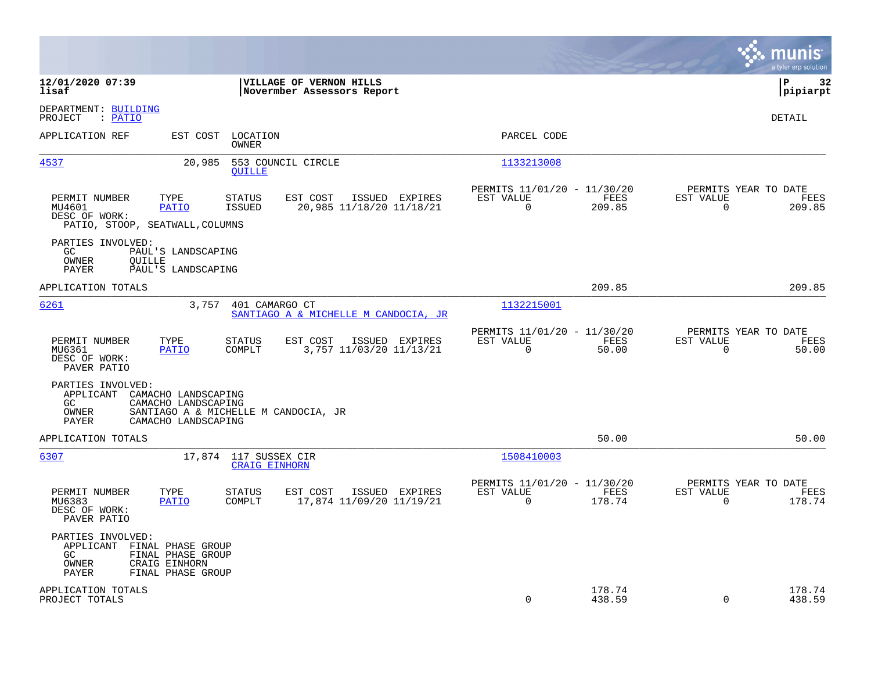|                                                                                                                                                                                   |                                                                          | munis<br>a tyler erp solution                                   |
|-----------------------------------------------------------------------------------------------------------------------------------------------------------------------------------|--------------------------------------------------------------------------|-----------------------------------------------------------------|
| 12/01/2020 07:39<br>VILLAGE OF VERNON HILLS<br>lisaf<br>Novermber Assessors Report                                                                                                |                                                                          | lР<br>32<br> pipiarpt                                           |
| DEPARTMENT: BUILDING<br>PROJECT<br>: PATIO                                                                                                                                        |                                                                          | DETAIL                                                          |
| APPLICATION REF<br>EST COST<br>LOCATION<br>OWNER                                                                                                                                  | PARCEL CODE                                                              |                                                                 |
| 4537<br>20,985<br>553 COUNCIL CIRCLE<br><b>QUILLE</b>                                                                                                                             | 1133213008                                                               |                                                                 |
| PERMIT NUMBER<br>TYPE<br>EST COST<br>ISSUED EXPIRES<br>STATUS<br>MU4601<br>PATIO<br><b>ISSUED</b><br>20,985 11/18/20 11/18/21<br>DESC OF WORK:<br>PATIO, STOOP, SEATWALL, COLUMNS | PERMITS 11/01/20 - 11/30/20<br>EST VALUE<br>FEES<br>0<br>209.85          | PERMITS YEAR TO DATE<br>EST VALUE<br>FEES<br>0<br>209.85        |
| PARTIES INVOLVED:<br>GC<br>PAUL'S LANDSCAPING<br>OWNER<br>OUILLE<br>PAUL'S LANDSCAPING<br>PAYER                                                                                   |                                                                          |                                                                 |
| APPLICATION TOTALS                                                                                                                                                                | 209.85                                                                   | 209.85                                                          |
| 6261<br>3,757<br>401 CAMARGO CT<br>SANTIAGO A & MICHELLE M CANDOCIA, JR                                                                                                           | 1132215001                                                               |                                                                 |
| PERMIT NUMBER<br>TYPE<br>ISSUED EXPIRES<br><b>STATUS</b><br>EST COST<br>3,757 11/03/20 11/13/21<br>MU6361<br><b>PATIO</b><br>COMPLT<br>DESC OF WORK:<br>PAVER PATIO               | PERMITS 11/01/20 - 11/30/20<br>EST VALUE<br>FEES<br>$\mathbf 0$<br>50.00 | PERMITS YEAR TO DATE<br>EST VALUE<br>FEES<br>$\Omega$<br>50.00  |
| PARTIES INVOLVED:<br>APPLICANT<br>CAMACHO LANDSCAPING<br>CAMACHO LANDSCAPING<br>GC.<br>OWNER<br>SANTIAGO A & MICHELLE M CANDOCIA, JR<br>CAMACHO LANDSCAPING<br>PAYER              |                                                                          |                                                                 |
| APPLICATION TOTALS                                                                                                                                                                | 50.00                                                                    | 50.00                                                           |
| 6307<br>17,874 117 SUSSEX CIR<br><b>CRAIG EINHORN</b>                                                                                                                             | 1508410003                                                               |                                                                 |
| PERMIT NUMBER<br>EST COST<br>ISSUED EXPIRES<br>TYPE<br>STATUS<br>MU6383<br>PATIO<br>COMPLT<br>17,874 11/09/20 11/19/21<br>DESC OF WORK:<br>PAVER PATIO                            | PERMITS 11/01/20 - 11/30/20<br>EST VALUE<br>FEES<br>$\Omega$<br>178.74   | PERMITS YEAR TO DATE<br>EST VALUE<br>FEES<br>$\Omega$<br>178.74 |
| PARTIES INVOLVED:<br>APPLICANT<br>FINAL PHASE GROUP<br>FINAL PHASE GROUP<br>GC<br>OWNER<br>CRAIG EINHORN<br>PAYER<br>FINAL PHASE GROUP                                            |                                                                          |                                                                 |
| APPLICATION TOTALS<br>PROJECT TOTALS                                                                                                                                              | 178.74<br>$\mathbf 0$<br>438.59                                          | 178.74<br>0<br>438.59                                           |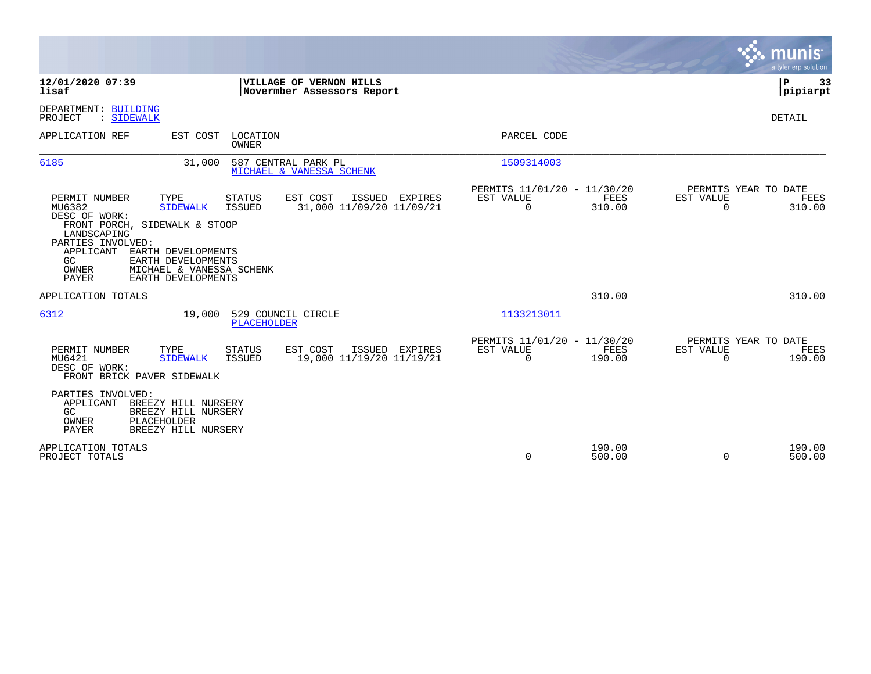|                                                                                                                                                    |                                                                                                                       |                                   |                                                           |                                                      |                       |                                               | munis<br>a tyler erp solution |
|----------------------------------------------------------------------------------------------------------------------------------------------------|-----------------------------------------------------------------------------------------------------------------------|-----------------------------------|-----------------------------------------------------------|------------------------------------------------------|-----------------------|-----------------------------------------------|-------------------------------|
| 12/01/2020 07:39<br>lisaf                                                                                                                          |                                                                                                                       |                                   | VILLAGE OF VERNON HILLS<br>Novermber Assessors Report     |                                                      |                       |                                               | P<br>33<br> pipiarpt          |
| DEPARTMENT: BUILDING<br>PROJECT<br>: SIDEWALK                                                                                                      |                                                                                                                       |                                   |                                                           |                                                      |                       |                                               | DETAIL                        |
| APPLICATION REF                                                                                                                                    |                                                                                                                       | EST COST LOCATION<br><b>OWNER</b> |                                                           | PARCEL CODE                                          |                       |                                               |                               |
| 6185                                                                                                                                               | 31,000                                                                                                                |                                   | 587 CENTRAL PARK PL<br>MICHAEL & VANESSA SCHENK           | 1509314003                                           |                       |                                               |                               |
| PERMIT NUMBER<br>MU6382<br>DESC OF WORK:<br>FRONT PORCH, SIDEWALK & STOOP<br>LANDSCAPING<br>PARTIES INVOLVED:<br>APPLICANT<br>GC<br>OWNER<br>PAYER | TYPE<br><b>SIDEWALK</b><br>EARTH DEVELOPMENTS<br>EARTH DEVELOPMENTS<br>MICHAEL & VANESSA SCHENK<br>EARTH DEVELOPMENTS | <b>STATUS</b><br>ISSUED           | EST COST<br>ISSUED EXPIRES<br>31,000 11/09/20 11/09/21    | PERMITS 11/01/20 - 11/30/20<br>EST VALUE<br>$\Omega$ | <b>FEES</b><br>310.00 | PERMITS YEAR TO DATE<br>EST VALUE<br>$\Omega$ | FEES<br>310.00                |
| APPLICATION TOTALS                                                                                                                                 |                                                                                                                       |                                   |                                                           |                                                      | 310.00                |                                               | 310.00                        |
| 6312                                                                                                                                               | 19,000                                                                                                                | PLACEHOLDER                       | 529 COUNCIL CIRCLE                                        | 1133213011                                           |                       |                                               |                               |
| PERMIT NUMBER<br>MU6421<br>DESC OF WORK:<br>FRONT BRICK PAVER SIDEWALK                                                                             | TYPE<br><b>SIDEWALK</b>                                                                                               | <b>STATUS</b><br>ISSUED           | EST COST<br>ISSUED<br>EXPIRES<br>19,000 11/19/20 11/19/21 | PERMITS 11/01/20 - 11/30/20<br>EST VALUE<br>$\Omega$ | <b>FEES</b><br>190.00 | PERMITS YEAR TO DATE<br>EST VALUE<br>$\Omega$ | FEES<br>190.00                |
| PARTIES INVOLVED:<br>APPLICANT<br>GC<br>OWNER<br>PAYER                                                                                             | BREEZY HILL NURSERY<br>BREEZY HILL NURSERY<br>PLACEHOLDER<br>BREEZY HILL NURSERY                                      |                                   |                                                           |                                                      |                       |                                               |                               |
| APPLICATION TOTALS<br>PROJECT TOTALS                                                                                                               |                                                                                                                       |                                   |                                                           | 0                                                    | 190.00<br>500.00      | $\Omega$                                      | 190.00<br>500.00              |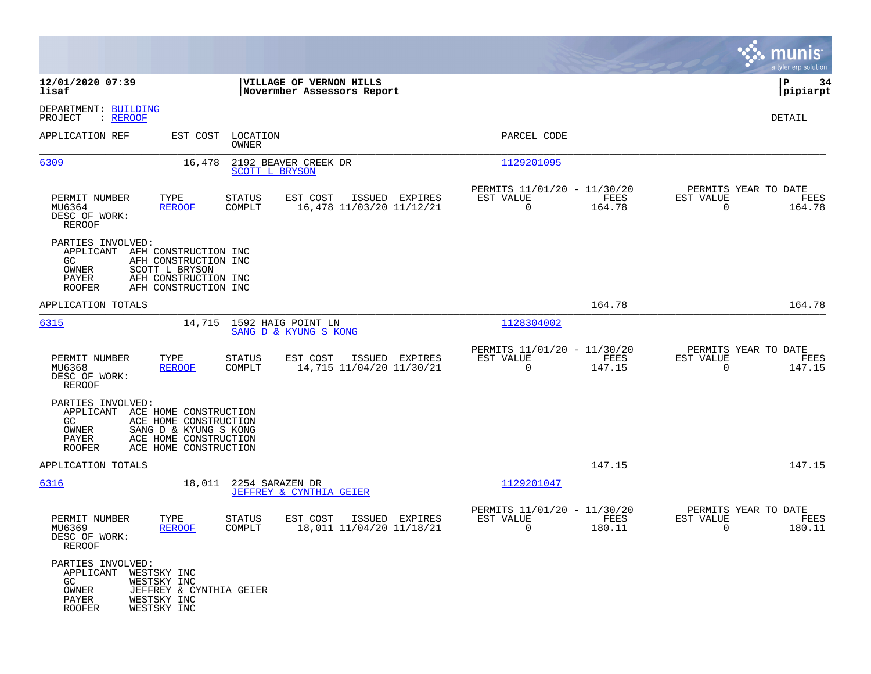|                                                                                     |                                                                                                                                     |                                                        |                                                                           | munis<br>a tyler erp solution                                      |
|-------------------------------------------------------------------------------------|-------------------------------------------------------------------------------------------------------------------------------------|--------------------------------------------------------|---------------------------------------------------------------------------|--------------------------------------------------------------------|
| 12/01/2020 07:39<br>lisaf                                                           |                                                                                                                                     | VILLAGE OF VERNON HILLS<br>Novermber Assessors Report  |                                                                           | P<br>34<br> pipiarpt                                               |
| DEPARTMENT: BUILDING<br>PROJECT<br>: <u>REROOF</u>                                  |                                                                                                                                     |                                                        |                                                                           | DETAIL                                                             |
| APPLICATION REF                                                                     | EST COST<br>LOCATION<br>OWNER                                                                                                       |                                                        | PARCEL CODE                                                               |                                                                    |
| 6309                                                                                | 16,478<br>SCOTT L BRYSON                                                                                                            | 2192 BEAVER CREEK DR                                   | 1129201095                                                                |                                                                    |
| PERMIT NUMBER<br>MU6364<br>DESC OF WORK:<br>REROOF                                  | TYPE<br><b>STATUS</b><br><b>REROOF</b><br>COMPLT                                                                                    | EST COST<br>ISSUED EXPIRES<br>16,478 11/03/20 11/12/21 | PERMITS 11/01/20 - 11/30/20<br>EST VALUE<br>FEES<br>$\mathbf 0$<br>164.78 | PERMITS YEAR TO DATE<br>EST VALUE<br>FEES<br>$\Omega$<br>164.78    |
| PARTIES INVOLVED:<br>GC.<br>OWNER<br>PAYER<br>ROOFER                                | APPLICANT AFH CONSTRUCTION INC<br>AFH CONSTRUCTION INC<br>SCOTT L BRYSON<br>AFH CONSTRUCTION INC<br>AFH CONSTRUCTION INC            |                                                        |                                                                           |                                                                    |
| APPLICATION TOTALS                                                                  |                                                                                                                                     |                                                        | 164.78                                                                    | 164.78                                                             |
| 6315                                                                                | 14,715                                                                                                                              | 1592 HAIG POINT LN<br>SANG D & KYUNG S KONG            | 1128304002                                                                |                                                                    |
| PERMIT NUMBER<br>MU6368<br>DESC OF WORK:<br>REROOF                                  | TYPE<br>STATUS<br><b>REROOF</b><br>COMPLT                                                                                           | EST COST<br>ISSUED EXPIRES<br>14,715 11/04/20 11/30/21 | PERMITS 11/01/20 - 11/30/20<br>EST VALUE<br>FEES<br>0<br>147.15           | PERMITS YEAR TO DATE<br>EST VALUE<br>FEES<br>$\mathbf 0$<br>147.15 |
| PARTIES INVOLVED:<br>GC.<br>OWNER<br>PAYER<br>ROOFER                                | APPLICANT ACE HOME CONSTRUCTION<br>ACE HOME CONSTRUCTION<br>SANG D & KYUNG S KONG<br>ACE HOME CONSTRUCTION<br>ACE HOME CONSTRUCTION |                                                        |                                                                           |                                                                    |
| APPLICATION TOTALS                                                                  |                                                                                                                                     |                                                        | 147.15                                                                    | 147.15                                                             |
| 6316                                                                                | 18,011<br>2254 SARAZEN DR                                                                                                           | JEFFREY & CYNTHIA GEIER                                | 1129201047                                                                |                                                                    |
| PERMIT NUMBER<br>MU6369<br>DESC OF WORK:<br><b>REROOF</b>                           | TYPE<br><b>STATUS</b><br><b>REROOF</b><br>COMPLT                                                                                    | EST COST<br>ISSUED EXPIRES<br>18,011 11/04/20 11/18/21 | PERMITS 11/01/20 - 11/30/20<br>EST VALUE<br>FEES<br>0<br>180.11           | PERMITS YEAR TO DATE<br>EST VALUE<br>FEES<br>180.11<br>0           |
| PARTIES INVOLVED:<br>APPLICANT WESTSKY INC<br>GC<br>OWNER<br>PAYER<br><b>ROOFER</b> | WESTSKY INC<br>JEFFREY & CYNTHIA GEIER<br>WESTSKY INC<br>WESTSKY INC                                                                |                                                        |                                                                           |                                                                    |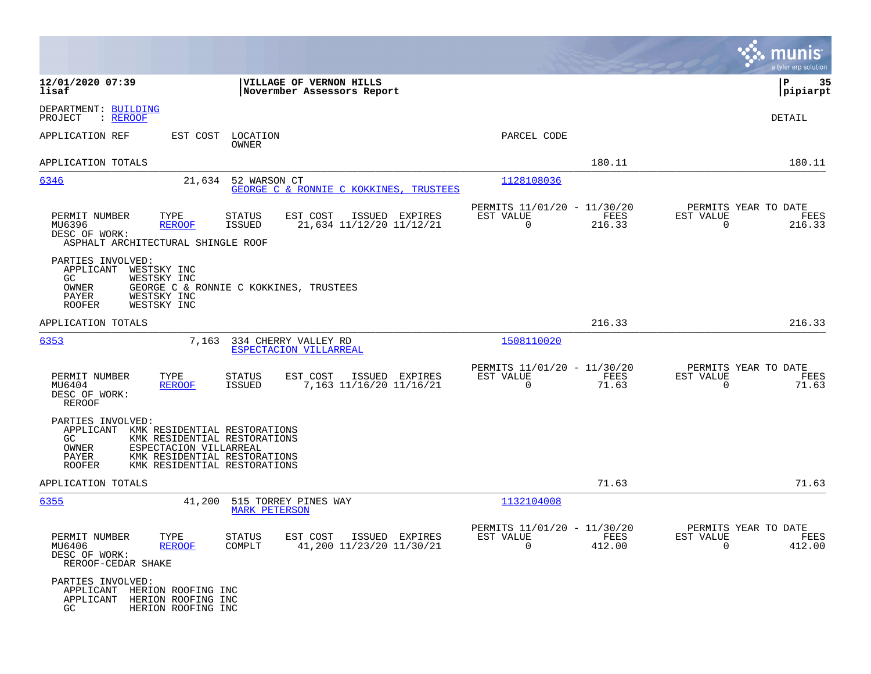|                                                                                                                                                                                                                                    | munis<br>a tyler erp solution                                                                                                                            |
|------------------------------------------------------------------------------------------------------------------------------------------------------------------------------------------------------------------------------------|----------------------------------------------------------------------------------------------------------------------------------------------------------|
| 12/01/2020 07:39<br>VILLAGE OF VERNON HILLS<br>lisaf<br>Novermber Assessors Report                                                                                                                                                 | ΙP<br>35<br> pipiarpt                                                                                                                                    |
| DEPARTMENT: BUILDING<br>: REROOF<br>PROJECT                                                                                                                                                                                        | DETAIL                                                                                                                                                   |
| APPLICATION REF<br>EST COST<br>LOCATION<br>OWNER                                                                                                                                                                                   | PARCEL CODE                                                                                                                                              |
| APPLICATION TOTALS                                                                                                                                                                                                                 | 180.11<br>180.11                                                                                                                                         |
| 6346<br>21,634<br>52 WARSON CT<br>GEORGE C & RONNIE C KOKKINES, TRUSTEES                                                                                                                                                           | 1128108036                                                                                                                                               |
| PERMIT NUMBER<br>TYPE<br>STATUS<br>EST COST<br>MU6396<br>21,634 11/12/20 11/12/21<br><b>REROOF</b><br>ISSUED<br>DESC OF WORK:<br>ASPHALT ARCHITECTURAL SHINGLE ROOF                                                                | PERMITS 11/01/20 - 11/30/20<br>PERMITS YEAR TO DATE<br>FEES<br>ISSUED EXPIRES<br>EST VALUE<br>EST VALUE<br>FEES<br>216.33<br>$\mathbf 0$<br>0<br>216.33  |
| PARTIES INVOLVED:<br>APPLICANT<br>WESTSKY INC<br>WESTSKY INC<br>GC.<br>OWNER<br>GEORGE C & RONNIE C KOKKINES, TRUSTEES<br>PAYER<br>WESTSKY INC<br>WESTSKY INC<br><b>ROOFER</b>                                                     |                                                                                                                                                          |
| APPLICATION TOTALS                                                                                                                                                                                                                 | 216.33<br>216.33                                                                                                                                         |
| 6353<br>7,163<br>334 CHERRY VALLEY RD<br>ESPECTACION VILLARREAL                                                                                                                                                                    | 1508110020                                                                                                                                               |
| EST COST<br>PERMIT NUMBER<br>TYPE<br>STATUS<br>ISSUED<br>7,163 11/16/20 11/16/21<br>MU6404<br><b>REROOF</b><br><b>ISSUED</b><br>DESC OF WORK:<br>REROOF                                                                            | PERMITS 11/01/20 - 11/30/20<br>PERMITS YEAR TO DATE<br>EST VALUE<br>EST VALUE<br>EXPIRES<br>FEES<br>FEES<br>$\mathbf 0$<br>$\mathbf 0$<br>71.63<br>71.63 |
| PARTIES INVOLVED:<br>APPLICANT<br>KMK RESIDENTIAL RESTORATIONS<br>GC.<br>KMK RESIDENTIAL RESTORATIONS<br>OWNER<br>ESPECTACION VILLARREAL<br>PAYER<br>KMK RESIDENTIAL RESTORATIONS<br><b>ROOFER</b><br>KMK RESIDENTIAL RESTORATIONS |                                                                                                                                                          |
| APPLICATION TOTALS                                                                                                                                                                                                                 | 71.63<br>71.63                                                                                                                                           |
| 6355<br>41,200<br>515 TORREY PINES WAY<br><b>MARK PETERSON</b>                                                                                                                                                                     | 1132104008                                                                                                                                               |
| PERMIT NUMBER<br>TYPE<br>STATUS<br>EST COST<br>MU6406<br><b>REROOF</b><br>COMPLT<br>41,200 11/23/20 11/30/21<br>DESC OF WORK:<br>REROOF-CEDAR SHAKE                                                                                | PERMITS 11/01/20 - 11/30/20<br>PERMITS YEAR TO DATE<br>ISSUED EXPIRES<br>EST VALUE<br>FEES<br>EST VALUE<br>FEES<br>412.00<br>412.00<br>0<br>$\Omega$     |
| PARTIES INVOLVED:<br>APPLICANT<br>HERION ROOFING INC<br>APPLICANT<br>HERION ROOFING INC<br>GC<br>HERION ROOFING INC                                                                                                                |                                                                                                                                                          |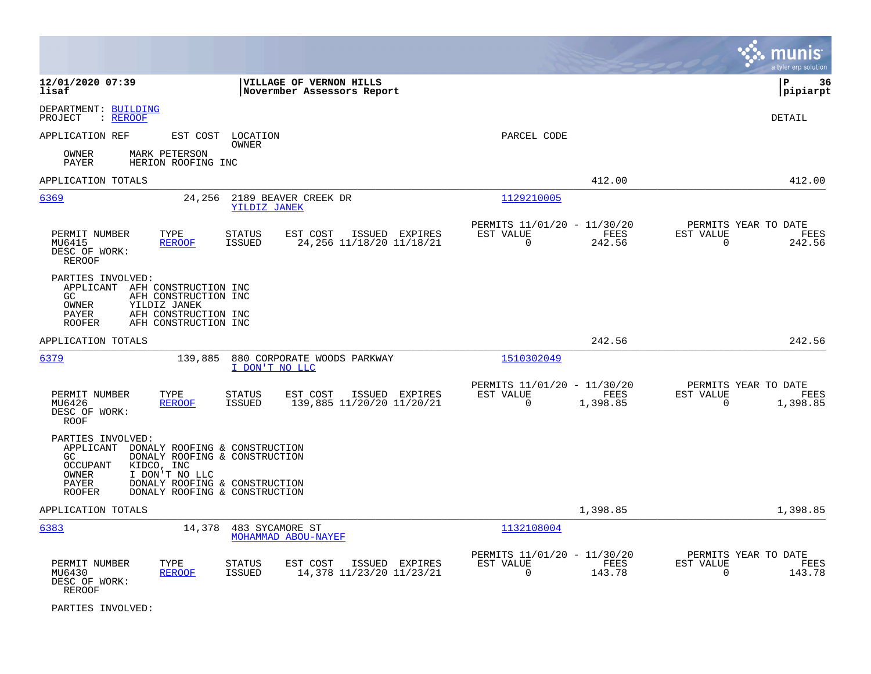|                                                                                                                                                                                                                                                       |                                                                                    |                                                                                  | a tyler erp solution                                                 |
|-------------------------------------------------------------------------------------------------------------------------------------------------------------------------------------------------------------------------------------------------------|------------------------------------------------------------------------------------|----------------------------------------------------------------------------------|----------------------------------------------------------------------|
| 12/01/2020 07:39<br>lisaf                                                                                                                                                                                                                             | VILLAGE OF VERNON HILLS<br>Novermber Assessors Report                              |                                                                                  | lР<br>36<br> pipiarpt                                                |
| DEPARTMENT: BUILDING<br>: REROOF<br>PROJECT                                                                                                                                                                                                           |                                                                                    |                                                                                  | DETAIL                                                               |
| APPLICATION REF                                                                                                                                                                                                                                       | EST COST LOCATION<br>OWNER                                                         | PARCEL CODE                                                                      |                                                                      |
| MARK PETERSON<br>OWNER<br>PAYER<br>HERION ROOFING INC                                                                                                                                                                                                 |                                                                                    |                                                                                  |                                                                      |
| APPLICATION TOTALS                                                                                                                                                                                                                                    |                                                                                    | 412.00                                                                           | 412.00                                                               |
| 6369<br>24,256                                                                                                                                                                                                                                        | 2189 BEAVER CREEK DR<br><b>YILDIZ JANEK</b>                                        | 1129210005                                                                       |                                                                      |
| PERMIT NUMBER<br>TYPE<br>MU6415<br><b>REROOF</b><br>DESC OF WORK:<br><b>REROOF</b>                                                                                                                                                                    | <b>STATUS</b><br>EST COST<br>ISSUED EXPIRES<br>ISSUED<br>24, 256 11/18/20 11/18/21 | PERMITS 11/01/20 - 11/30/20<br>EST VALUE<br><b>FEES</b><br>$\mathbf 0$<br>242.56 | PERMITS YEAR TO DATE<br>EST VALUE<br>FEES<br>0<br>242.56             |
| PARTIES INVOLVED:<br>APPLICANT AFH CONSTRUCTION INC<br>GC.<br>AFH CONSTRUCTION INC<br>OWNER<br>YILDIZ JANEK<br>AFH CONSTRUCTION INC<br>PAYER<br><b>ROOFER</b><br>AFH CONSTRUCTION INC                                                                 |                                                                                    |                                                                                  |                                                                      |
| APPLICATION TOTALS                                                                                                                                                                                                                                    |                                                                                    | 242.56                                                                           | 242.56                                                               |
| 6379<br>139,885                                                                                                                                                                                                                                       | 880 CORPORATE WOODS PARKWAY<br>I DON'T NO LLC                                      | 1510302049                                                                       |                                                                      |
| PERMIT NUMBER<br>TYPE<br>MU6426<br><b>REROOF</b><br>DESC OF WORK:<br>ROOF                                                                                                                                                                             | <b>STATUS</b><br>EST COST<br>ISSUED EXPIRES<br>139,885 11/20/20 11/20/21<br>ISSUED | PERMITS 11/01/20 - 11/30/20<br>EST VALUE<br>FEES<br>$\mathbf 0$<br>1,398.85      | PERMITS YEAR TO DATE<br>EST VALUE<br>FEES<br>1,398.85<br>$\mathbf 0$ |
| PARTIES INVOLVED:<br>APPLICANT DONALY ROOFING & CONSTRUCTION<br>DONALY ROOFING & CONSTRUCTION<br>GC.<br>OCCUPANT<br>KIDCO, INC<br>I DON'T NO LLC<br>OWNER<br>DONALY ROOFING & CONSTRUCTION<br>PAYER<br><b>ROOFER</b><br>DONALY ROOFING & CONSTRUCTION |                                                                                    |                                                                                  |                                                                      |
| APPLICATION TOTALS                                                                                                                                                                                                                                    |                                                                                    | 1,398.85                                                                         | 1,398.85                                                             |
| 6383<br>14,378                                                                                                                                                                                                                                        | 483 SYCAMORE ST<br>MOHAMMAD ABOU-NAYEF                                             | 1132108004                                                                       |                                                                      |
| PERMIT NUMBER<br>TYPE<br>MU6430<br><b>REROOF</b><br>DESC OF WORK:<br>REROOF                                                                                                                                                                           | <b>STATUS</b><br>EST COST<br>ISSUED EXPIRES<br>14,378 11/23/20 11/23/21<br>ISSUED  | PERMITS 11/01/20 - 11/30/20<br>EST VALUE<br>FEES<br>$\Omega$<br>143.78           | PERMITS YEAR TO DATE<br>EST VALUE<br>FEES<br>$\Omega$<br>143.78      |

PARTIES INVOLVED: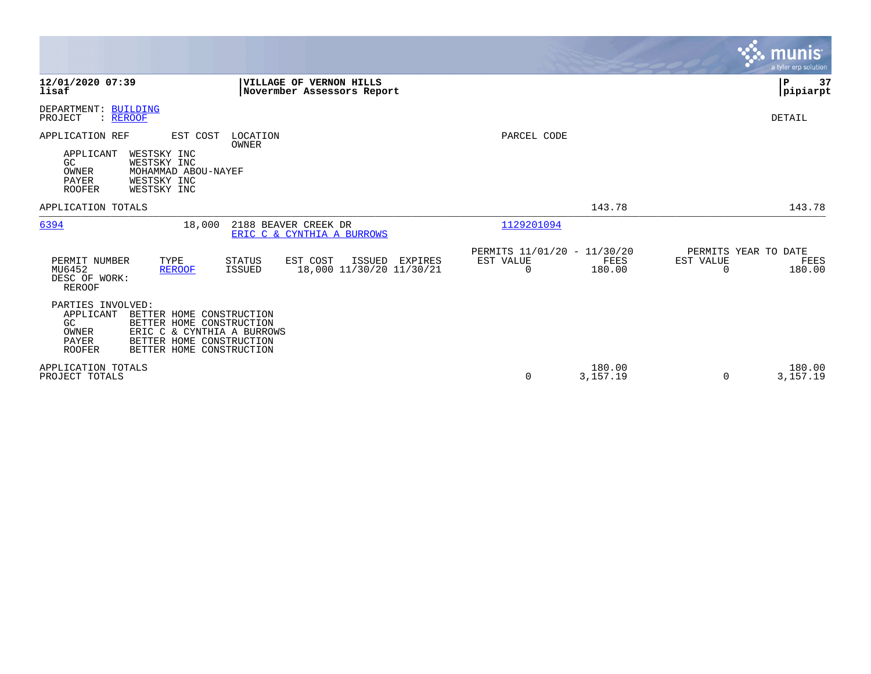|                                                                                                                                                                                                                       |                                                                            |                                                      |                    |                                               | munis <sup>.</sup><br>a tyler erp solution |
|-----------------------------------------------------------------------------------------------------------------------------------------------------------------------------------------------------------------------|----------------------------------------------------------------------------|------------------------------------------------------|--------------------|-----------------------------------------------|--------------------------------------------|
| 12/01/2020 07:39<br>lisaf                                                                                                                                                                                             | VILLAGE OF VERNON HILLS<br>Novermber Assessors Report                      |                                                      |                    |                                               | l P<br>37<br> pipiarpt                     |
| DEPARTMENT: BUILDING<br>PROJECT<br>: REROOF                                                                                                                                                                           |                                                                            |                                                      |                    |                                               | DETAIL                                     |
| APPLICATION REF<br>EST COST<br>WESTSKY INC<br>APPLICANT<br>GC<br>WESTSKY INC<br>OWNER<br>MOHAMMAD ABOU-NAYEF<br>PAYER<br>WESTSKY INC<br>WESTSKY INC<br><b>ROOFER</b>                                                  | LOCATION<br>OWNER                                                          | PARCEL CODE                                          |                    |                                               |                                            |
| APPLICATION TOTALS                                                                                                                                                                                                    |                                                                            |                                                      | 143.78             |                                               | 143.78                                     |
| 6394<br>18,000                                                                                                                                                                                                        | 2188 BEAVER CREEK DR<br>ERIC C & CYNTHIA A BURROWS                         | 1129201094                                           |                    |                                               |                                            |
| PERMIT NUMBER<br>TYPE<br>MU6452<br><b>REROOF</b><br>DESC OF WORK:<br><b>REROOF</b>                                                                                                                                    | STATUS<br>EST COST<br>ISSUED EXPIRES<br>18,000 11/30/20 11/30/21<br>ISSUED | PERMITS 11/01/20 - 11/30/20<br>EST VALUE<br>$\Omega$ | FEES<br>180.00     | PERMITS YEAR TO DATE<br>EST VALUE<br>$\Omega$ | FEES<br>180.00                             |
| PARTIES INVOLVED:<br>APPLICANT<br>BETTER HOME CONSTRUCTION<br>GC<br>BETTER HOME CONSTRUCTION<br>OWNER<br>ERIC C & CYNTHIA A BURROWS<br>BETTER HOME CONSTRUCTION<br>PAYER<br><b>ROOFER</b><br>BETTER HOME CONSTRUCTION |                                                                            |                                                      |                    |                                               |                                            |
| APPLICATION TOTALS<br>PROJECT TOTALS                                                                                                                                                                                  |                                                                            | 0                                                    | 180.00<br>3,157.19 | 0                                             | 180.00<br>3,157.19                         |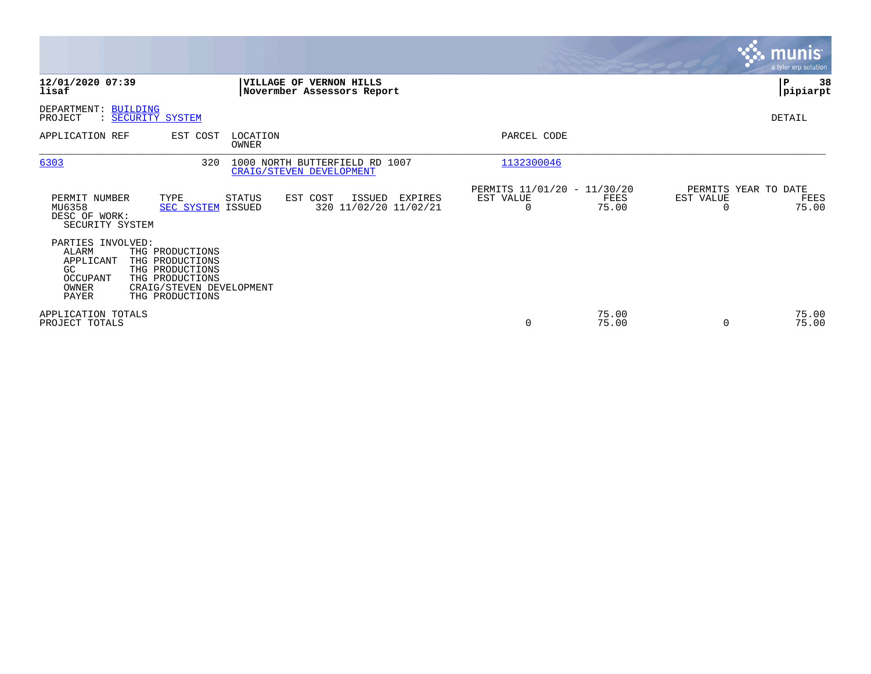|                                                                                                                                                                                          |                                                                   |                                                              |                                              | <b>munis</b><br>a tyler erp solution               |
|------------------------------------------------------------------------------------------------------------------------------------------------------------------------------------------|-------------------------------------------------------------------|--------------------------------------------------------------|----------------------------------------------|----------------------------------------------------|
| 12/01/2020 07:39<br>lisaf                                                                                                                                                                | VILLAGE OF VERNON HILLS<br>Novermber Assessors Report             |                                                              |                                              | 38<br>IΡ<br> pipiarpt                              |
| DEPARTMENT: BUILDING<br>: SECURITY SYSTEM<br>PROJECT                                                                                                                                     |                                                                   |                                                              |                                              | DETAIL                                             |
| APPLICATION REF<br>EST COST                                                                                                                                                              | LOCATION<br>OWNER                                                 | PARCEL CODE                                                  |                                              |                                                    |
| 6303                                                                                                                                                                                     | 1000 NORTH BUTTERFIELD RD 1007<br>320<br>CRAIG/STEVEN DEVELOPMENT | 1132300046                                                   |                                              |                                                    |
| PERMIT NUMBER<br>TYPE<br>MU6358<br>DESC OF WORK:<br>SECURITY SYSTEM                                                                                                                      | STATUS<br>EST COST<br><b>SEC SYSTEM ISSUED</b>                    | EST VALUE<br>ISSUED<br>EXPIRES<br>320 11/02/20 11/02/21<br>0 | PERMITS 11/01/20 - 11/30/20<br>FEES<br>75.00 | PERMITS YEAR TO DATE<br>EST VALUE<br>FEES<br>75.00 |
| PARTIES INVOLVED:<br>ALARM<br>THG PRODUCTIONS<br>THG PRODUCTIONS<br>APPLICANT<br>GC<br>THG PRODUCTIONS<br><b>OCCUPANT</b><br>THG PRODUCTIONS<br>OWNER<br><b>PAYER</b><br>THG PRODUCTIONS | CRAIG/STEVEN DEVELOPMENT                                          |                                                              |                                              |                                                    |
| APPLICATION TOTALS<br>PROJECT TOTALS                                                                                                                                                     |                                                                   | $\mathbf 0$                                                  | 75.00<br>75.00                               | 75.00<br>75.00                                     |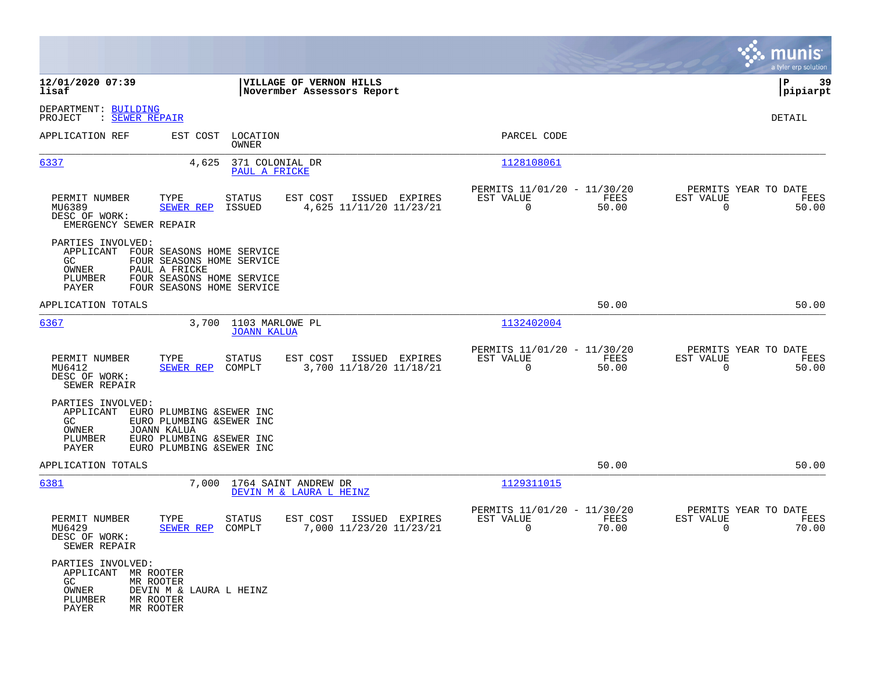|                                                                              |                                                                                                                                        |                                                       |                                                                          | munis<br>a tyler erp solution                                     |
|------------------------------------------------------------------------------|----------------------------------------------------------------------------------------------------------------------------------------|-------------------------------------------------------|--------------------------------------------------------------------------|-------------------------------------------------------------------|
| 12/01/2020 07:39<br>lisaf                                                    |                                                                                                                                        | VILLAGE OF VERNON HILLS<br>Novermber Assessors Report |                                                                          | P<br>39<br> pipiarpt                                              |
| DEPARTMENT: BUILDING<br>: SEWER REPAIR<br>PROJECT                            |                                                                                                                                        |                                                       |                                                                          | DETAIL                                                            |
| APPLICATION REF                                                              | LOCATION<br>EST COST<br>OWNER                                                                                                          |                                                       | PARCEL CODE                                                              |                                                                   |
| 6337                                                                         | 371 COLONIAL DR<br>4,625<br>PAUL A FRICKE                                                                                              |                                                       | 1128108061                                                               |                                                                   |
| PERMIT NUMBER<br>MU6389<br>DESC OF WORK:<br>EMERGENCY SEWER REPAIR           | TYPE<br>STATUS<br><b>SEWER REP</b><br>ISSUED                                                                                           | EST COST<br>ISSUED EXPIRES<br>4,625 11/11/20 11/23/21 | PERMITS 11/01/20 - 11/30/20<br>EST VALUE<br>FEES<br>$\mathbf 0$<br>50.00 | PERMITS YEAR TO DATE<br>EST VALUE<br>FEES<br>$\mathbf 0$<br>50.00 |
| PARTIES INVOLVED:<br>APPLICANT<br>GC.<br>OWNER<br>PLUMBER<br>PAYER           | FOUR SEASONS HOME SERVICE<br>FOUR SEASONS HOME SERVICE<br>PAUL A FRICKE<br>FOUR SEASONS HOME SERVICE<br>FOUR SEASONS HOME SERVICE      |                                                       |                                                                          |                                                                   |
| APPLICATION TOTALS                                                           |                                                                                                                                        |                                                       | 50.00                                                                    | 50.00                                                             |
| 6367                                                                         | 1103 MARLOWE PL<br>3,700<br><b>JOANN KALUA</b>                                                                                         |                                                       | 1132402004                                                               |                                                                   |
| PERMIT NUMBER<br>MU6412<br>DESC OF WORK:<br>SEWER REPAIR                     | TYPE<br>STATUS<br><b>SEWER REP</b><br>COMPLT                                                                                           | EST COST<br>ISSUED EXPIRES<br>3,700 11/18/20 11/18/21 | PERMITS 11/01/20 - 11/30/20<br>EST VALUE<br>FEES<br>$\mathbf 0$<br>50.00 | PERMITS YEAR TO DATE<br>EST VALUE<br>FEES<br>$\mathbf 0$<br>50.00 |
| PARTIES INVOLVED:<br>APPLICANT<br>GC.<br>OWNER<br>PLUMBER<br>PAYER           | EURO PLUMBING & SEWER INC<br>EURO PLUMBING & SEWER INC<br><b>JOANN KALUA</b><br>EURO PLUMBING & SEWER INC<br>EURO PLUMBING & SEWER INC |                                                       |                                                                          |                                                                   |
| APPLICATION TOTALS                                                           |                                                                                                                                        |                                                       | 50.00                                                                    | 50.00                                                             |
| 6381                                                                         | 7,000                                                                                                                                  | 1764 SAINT ANDREW DR<br>DEVIN M & LAURA L HEINZ       | 1129311015                                                               |                                                                   |
| PERMIT NUMBER<br>MU6429<br>DESC OF WORK:<br>SEWER REPAIR                     | TYPE<br><b>STATUS</b><br><b>SEWER REP</b><br>COMPLT                                                                                    | EST COST<br>ISSUED EXPIRES<br>7,000 11/23/20 11/23/21 | PERMITS 11/01/20 - 11/30/20<br>EST VALUE<br>FEES<br>0<br>70.00           | PERMITS YEAR TO DATE<br>EST VALUE<br>FEES<br>0<br>70.00           |
| PARTIES INVOLVED:<br>APPLICANT MR ROOTER<br>GC.<br>OWNER<br>PLUMBER<br>PAYER | MR ROOTER<br>DEVIN M & LAURA L HEINZ<br>MR ROOTER<br>MR ROOTER                                                                         |                                                       |                                                                          |                                                                   |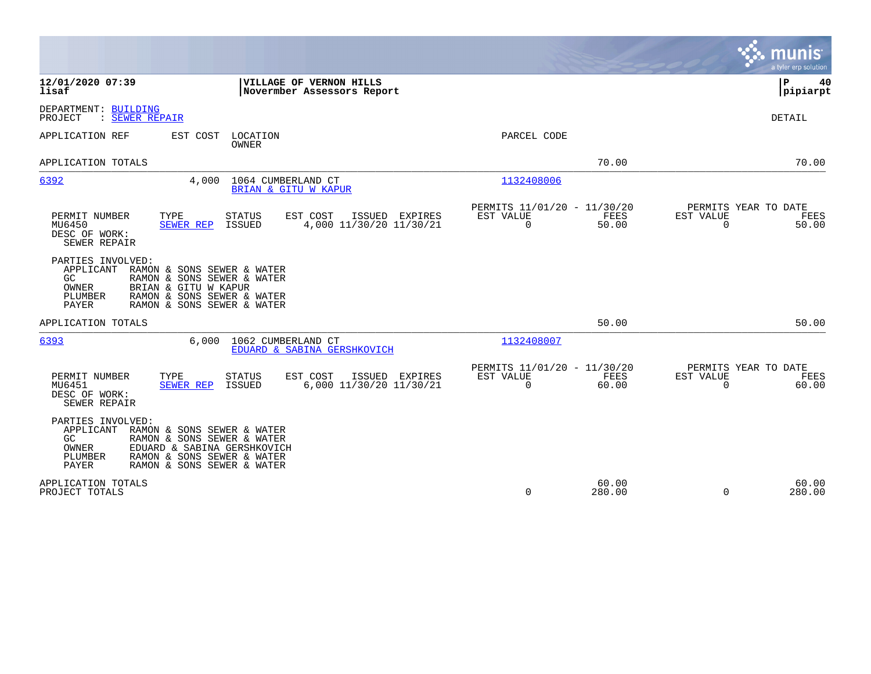|                                                                                                                                                                                                                                  |                                                                       | munis<br>a tyler erp solution                                  |
|----------------------------------------------------------------------------------------------------------------------------------------------------------------------------------------------------------------------------------|-----------------------------------------------------------------------|----------------------------------------------------------------|
| 12/01/2020 07:39<br>VILLAGE OF VERNON HILLS<br>lisaf<br>Novermber Assessors Report                                                                                                                                               |                                                                       | P<br>40<br> pipiarpt                                           |
| DEPARTMENT: BUILDING<br>: SEWER REPAIR<br>PROJECT                                                                                                                                                                                |                                                                       | <b>DETAIL</b>                                                  |
| APPLICATION REF<br>EST COST<br>LOCATION<br><b>OWNER</b>                                                                                                                                                                          | PARCEL CODE                                                           |                                                                |
| APPLICATION TOTALS                                                                                                                                                                                                               | 70.00                                                                 | 70.00                                                          |
| 6392<br>4,000<br>1064 CUMBERLAND CT<br>BRIAN & GITU W KAPUR                                                                                                                                                                      | 1132408006                                                            |                                                                |
| TYPE<br>STATUS<br>EST COST<br>ISSUED EXPIRES<br>PERMIT NUMBER<br>4,000 11/30/20 11/30/21<br>MU6450<br><b>SEWER REP</b><br>ISSUED<br>DESC OF WORK:<br>SEWER REPAIR                                                                | PERMITS 11/01/20 - 11/30/20<br>EST VALUE<br>FEES<br>$\Omega$<br>50.00 | PERMITS YEAR TO DATE<br>EST VALUE<br>FEES<br>$\Omega$<br>50.00 |
| PARTIES INVOLVED:<br>APPLICANT<br>RAMON & SONS SEWER & WATER<br>RAMON & SONS SEWER & WATER<br>GC.<br>OWNER<br>BRIAN & GITU W KAPUR<br>RAMON & SONS SEWER & WATER<br>PLUMBER<br><b>PAYER</b><br>RAMON & SONS SEWER & WATER        |                                                                       |                                                                |
| APPLICATION TOTALS                                                                                                                                                                                                               | 50.00                                                                 | 50.00                                                          |
| 6393<br>6,000<br>1062 CUMBERLAND CT<br>EDUARD & SABINA GERSHKOVICH                                                                                                                                                               | 1132408007                                                            |                                                                |
| TYPE<br>EST COST<br>PERMIT NUMBER<br>STATUS<br>ISSUED EXPIRES<br>6,000 11/30/20 11/30/21<br>MU6451<br><b>SEWER REP</b><br>ISSUED<br>DESC OF WORK:<br>SEWER REPAIR                                                                | PERMITS 11/01/20 - 11/30/20<br>EST VALUE<br>FEES<br>$\Omega$<br>60.00 | PERMITS YEAR TO DATE<br>EST VALUE<br>FEES<br>$\Omega$<br>60.00 |
| PARTIES INVOLVED:<br>APPLICANT<br>RAMON & SONS SEWER & WATER<br>RAMON & SONS SEWER & WATER<br>GC.<br>EDUARD & SABINA GERSHKOVICH<br>OWNER<br>RAMON & SONS SEWER & WATER<br>PLUMBER<br>RAMON & SONS SEWER & WATER<br><b>PAYER</b> |                                                                       |                                                                |
| APPLICATION TOTALS<br>PROJECT TOTALS                                                                                                                                                                                             | 60.00<br>$\Omega$<br>280.00                                           | 60.00<br>$\Omega$<br>280.00                                    |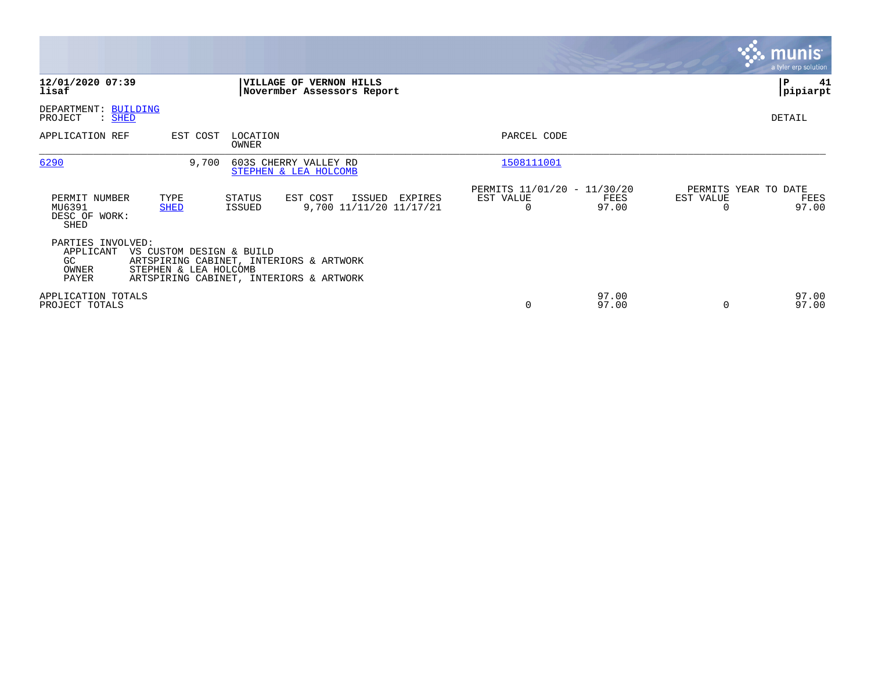|                                                                                                                                                                                                    |                                                                                                      | <b>munis</b><br>a tyler erp solution                                |
|----------------------------------------------------------------------------------------------------------------------------------------------------------------------------------------------------|------------------------------------------------------------------------------------------------------|---------------------------------------------------------------------|
| 12/01/2020 07:39<br>VILLAGE OF VERNON HILLS<br>lisaf                                                                                                                                               | Novermber Assessors Report                                                                           | P<br>41<br> pipiarpt                                                |
| DEPARTMENT: BUILDING<br>$:$ SHED<br>PROJECT                                                                                                                                                        |                                                                                                      | DETAIL                                                              |
| EST COST<br>LOCATION<br>APPLICATION REF<br>OWNER                                                                                                                                                   | PARCEL CODE                                                                                          |                                                                     |
| 6290<br>9,700<br>603S CHERRY VALLEY RD<br>STEPHEN & LEA HOLCOMB                                                                                                                                    | 1508111001                                                                                           |                                                                     |
| PERMIT NUMBER<br>TYPE<br>STATUS<br>EST COST<br>MU6391<br><b>SHED</b><br>ISSUED<br>DESC OF WORK:<br>SHED                                                                                            | PERMITS 11/01/20 - 11/30/20<br>ISSUED<br>EST VALUE<br>EXPIRES<br>9,700 11/11/20 11/17/21<br>$\Omega$ | PERMITS YEAR TO DATE<br>EST VALUE<br>FEES<br>FEES<br>97.00<br>97.00 |
| PARTIES INVOLVED:<br>APPLICANT<br>VS CUSTOM DESIGN & BUILD<br>ARTSPIRING CABINET, INTERIORS & ARTWORK<br>GC.<br>STEPHEN & LEA HOLCOMB<br>OWNER<br>PAYER<br>ARTSPIRING CABINET, INTERIORS & ARTWORK |                                                                                                      |                                                                     |
| APPLICATION TOTALS<br>PROJECT TOTALS                                                                                                                                                               | 0                                                                                                    | 97.00<br>97.00<br>97.00<br>97.00<br>$\Omega$                        |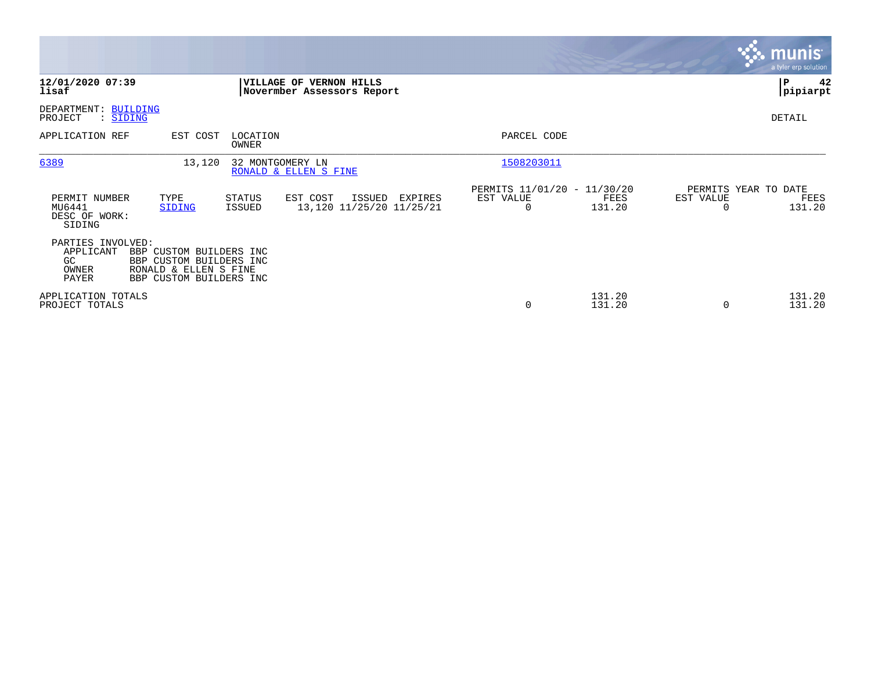|                                                         |                                                                                                        |                         |                                                              |                                               |                  |                                               | <b>munis</b><br>a tyler erp solution |
|---------------------------------------------------------|--------------------------------------------------------------------------------------------------------|-------------------------|--------------------------------------------------------------|-----------------------------------------------|------------------|-----------------------------------------------|--------------------------------------|
| 12/01/2020 07:39<br>lisaf                               |                                                                                                        |                         | <b>VILLAGE OF VERNON HILLS</b><br>Novermber Assessors Report |                                               |                  |                                               | P<br>42<br> pipiarpt                 |
| DEPARTMENT: BUILDING<br>PROJECT<br>: SIDING             |                                                                                                        |                         |                                                              |                                               |                  |                                               | DETAIL                               |
| APPLICATION REF                                         | EST COST                                                                                               | LOCATION<br>OWNER       |                                                              | PARCEL CODE                                   |                  |                                               |                                      |
| 6389                                                    | 13,120                                                                                                 |                         | 32 MONTGOMERY LN<br>RONALD & ELLEN S FINE                    | 1508203011                                    |                  |                                               |                                      |
| PERMIT NUMBER<br>MU6441<br>DESC OF WORK:<br>SIDING      | TYPE<br>SIDING                                                                                         | <b>STATUS</b><br>ISSUED | EST COST<br>ISSUED<br>EXPIRES<br>13,120 11/25/20 11/25/21    | PERMITS 11/01/20 - 11/30/20<br>EST VALUE<br>0 | FEES<br>131.20   | PERMITS YEAR TO DATE<br>EST VALUE<br>$\Omega$ | FEES<br>131.20                       |
| PARTIES INVOLVED:<br>APPLICANT<br>GC.<br>OWNER<br>PAYER | BBP CUSTOM BUILDERS INC<br>BBP CUSTOM BUILDERS INC<br>RONALD & ELLEN S FINE<br>BBP CUSTOM BUILDERS INC |                         |                                                              |                                               |                  |                                               |                                      |
| APPLICATION TOTALS<br>PROJECT TOTALS                    |                                                                                                        |                         |                                                              | 0                                             | 131.20<br>131.20 | $\Omega$                                      | 131.20<br>131.20                     |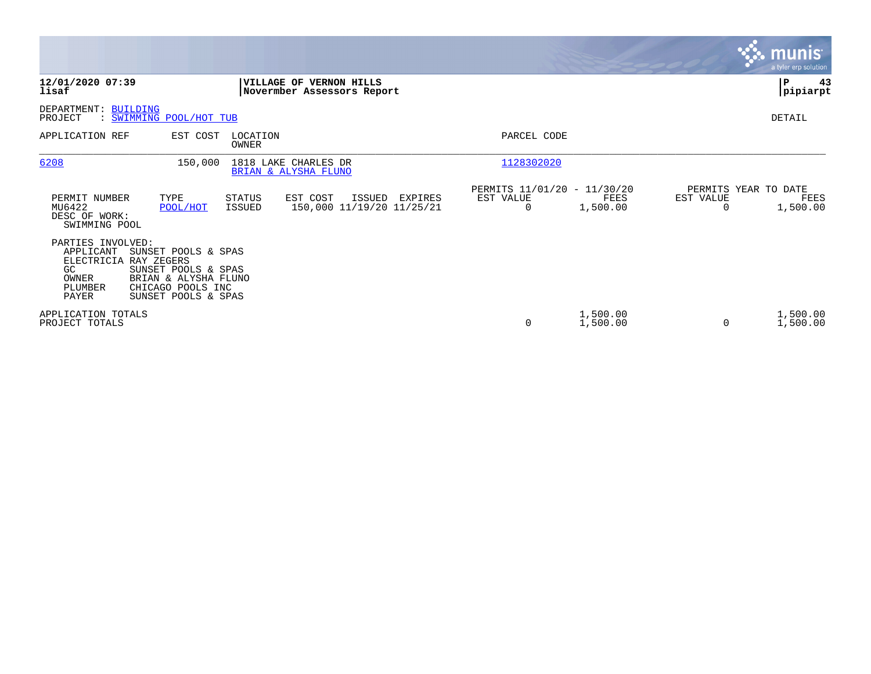|                                                                                                   |                                                                                                                |                          |                                                              |                                               |                      |                                   | <u>munis</u><br>a tyler erp solution |
|---------------------------------------------------------------------------------------------------|----------------------------------------------------------------------------------------------------------------|--------------------------|--------------------------------------------------------------|-----------------------------------------------|----------------------|-----------------------------------|--------------------------------------|
| 12/01/2020 07:39<br>lisaf                                                                         |                                                                                                                |                          | <b>VILLAGE OF VERNON HILLS</b><br>Novermber Assessors Report |                                               |                      |                                   | P<br>43<br> pipiarpt                 |
| DEPARTMENT: BUILDING<br>PROJECT                                                                   | : SWIMMING POOL/HOT TUB                                                                                        |                          |                                                              |                                               |                      |                                   | DETAIL                               |
| APPLICATION REF                                                                                   | EST COST                                                                                                       | LOCATION<br><b>OWNER</b> |                                                              | PARCEL CODE                                   |                      |                                   |                                      |
| 6208                                                                                              | 150,000                                                                                                        |                          | 1818 LAKE CHARLES DR<br>BRIAN & ALYSHA FLUNO                 | 1128302020                                    |                      |                                   |                                      |
| PERMIT NUMBER<br>MU6422<br>DESC OF WORK:<br>SWIMMING POOL                                         | TYPE<br>POOL/HOT                                                                                               | <b>STATUS</b><br>ISSUED  | EST COST<br>ISSUED<br>EXPIRES<br>150,000 11/19/20 11/25/21   | PERMITS 11/01/20 - 11/30/20<br>EST VALUE<br>0 | FEES<br>1,500.00     | PERMITS YEAR TO DATE<br>EST VALUE | FEES<br>1,500.00                     |
| PARTIES INVOLVED:<br>APPLICANT<br>ELECTRICIA RAY ZEGERS<br>GC<br>OWNER<br>PLUMBER<br><b>PAYER</b> | SUNSET POOLS & SPAS<br>SUNSET POOLS & SPAS<br>BRIAN & ALYSHA FLUNO<br>CHICAGO POOLS INC<br>SUNSET POOLS & SPAS |                          |                                                              |                                               |                      |                                   |                                      |
| APPLICATION TOTALS<br>PROJECT TOTALS                                                              |                                                                                                                |                          |                                                              | 0                                             | 1,500.00<br>1,500.00 | 0                                 | 1,500.00<br>1,500.00                 |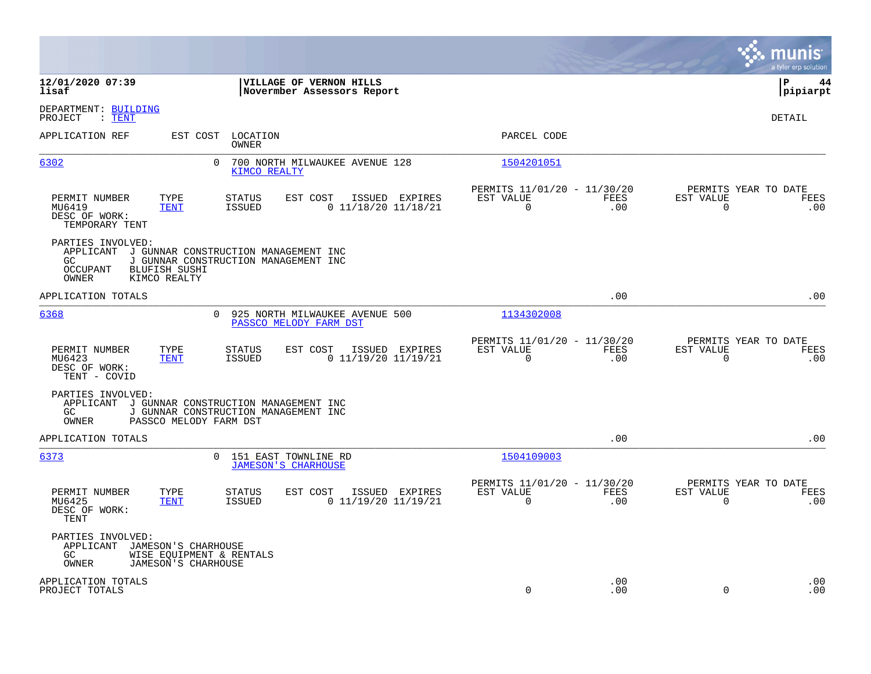|                                                                                                                                                                                    |                                                                        | munis<br>a tyler erp solution                                   |
|------------------------------------------------------------------------------------------------------------------------------------------------------------------------------------|------------------------------------------------------------------------|-----------------------------------------------------------------|
| 12/01/2020 07:39<br>VILLAGE OF VERNON HILLS<br>lisaf<br>Novermber Assessors Report                                                                                                 |                                                                        | l P<br>44<br> pipiarpt                                          |
| DEPARTMENT: BUILDING<br>PROJECT<br>$\colon$ TENT                                                                                                                                   |                                                                        | DETAIL                                                          |
| APPLICATION REF<br>EST COST<br>LOCATION<br>OWNER                                                                                                                                   | PARCEL CODE                                                            |                                                                 |
| 6302<br>700 NORTH MILWAUKEE AVENUE 128<br>0<br>KIMCO REALTY                                                                                                                        | 1504201051                                                             |                                                                 |
| PERMIT NUMBER<br>TYPE<br>STATUS<br>EST COST<br>ISSUED EXPIRES<br>$0$ 11/18/20 11/18/21<br>MU6419<br><b>ISSUED</b><br><b>TENT</b><br>DESC OF WORK:<br>TEMPORARY TENT                | PERMITS 11/01/20 - 11/30/20<br>EST VALUE<br>FEES<br>$\mathbf 0$<br>.00 | PERMITS YEAR TO DATE<br>EST VALUE<br>FEES<br>$\mathbf 0$<br>.00 |
| PARTIES INVOLVED:<br>APPLICANT<br>J GUNNAR CONSTRUCTION MANAGEMENT INC<br>J GUNNAR CONSTRUCTION MANAGEMENT INC<br>GC.<br>OCCUPANT<br><b>BLUFISH SUSHI</b><br>OWNER<br>KIMCO REALTY |                                                                        |                                                                 |
| APPLICATION TOTALS                                                                                                                                                                 | .00                                                                    | .00                                                             |
| 6368<br>925 NORTH MILWAUKEE AVENUE 500<br>0<br>PASSCO MELODY FARM DST                                                                                                              | 1134302008                                                             |                                                                 |
| PERMIT NUMBER<br>TYPE<br>STATUS<br>EST COST<br>ISSUED EXPIRES<br>MU6423<br><b>ISSUED</b><br>$0$ 11/19/20 11/19/21<br><b>TENT</b><br>DESC OF WORK:<br>TENT - COVID                  | PERMITS 11/01/20 - 11/30/20<br>FEES<br>EST VALUE<br>0<br>.00           | PERMITS YEAR TO DATE<br>EST VALUE<br>FEES<br>0<br>.00           |
| PARTIES INVOLVED:<br>APPLICANT<br>J GUNNAR CONSTRUCTION MANAGEMENT INC<br>J GUNNAR CONSTRUCTION MANAGEMENT INC<br>GC<br>OWNER<br>PASSCO MELODY FARM DST                            |                                                                        |                                                                 |
| APPLICATION TOTALS                                                                                                                                                                 | .00                                                                    | .00                                                             |
| 6373<br>0<br>151 EAST TOWNLINE RD<br><b>JAMESON'S CHARHOUSE</b>                                                                                                                    | 1504109003                                                             |                                                                 |
| PERMIT NUMBER<br>TYPE<br>STATUS<br>EST COST<br>ISSUED EXPIRES<br>MU6425<br><b>TENT</b><br>ISSUED<br>0 11/19/20 11/19/21<br>DESC OF WORK:<br>TENT                                   | PERMITS 11/01/20 - 11/30/20<br>EST VALUE<br>FEES<br>$\Omega$<br>.00    | PERMITS YEAR TO DATE<br>EST VALUE<br>FEES<br>$\Omega$<br>.00    |
| PARTIES INVOLVED:<br>APPLICANT<br>JAMESON'S CHARHOUSE<br>GC<br>WISE EQUIPMENT & RENTALS<br><b>OWNER</b><br>JAMESON'S CHARHOUSE                                                     |                                                                        |                                                                 |
| APPLICATION TOTALS<br>PROJECT TOTALS                                                                                                                                               | .00<br>$\mathbf 0$<br>.00                                              | .00<br>0<br>.00                                                 |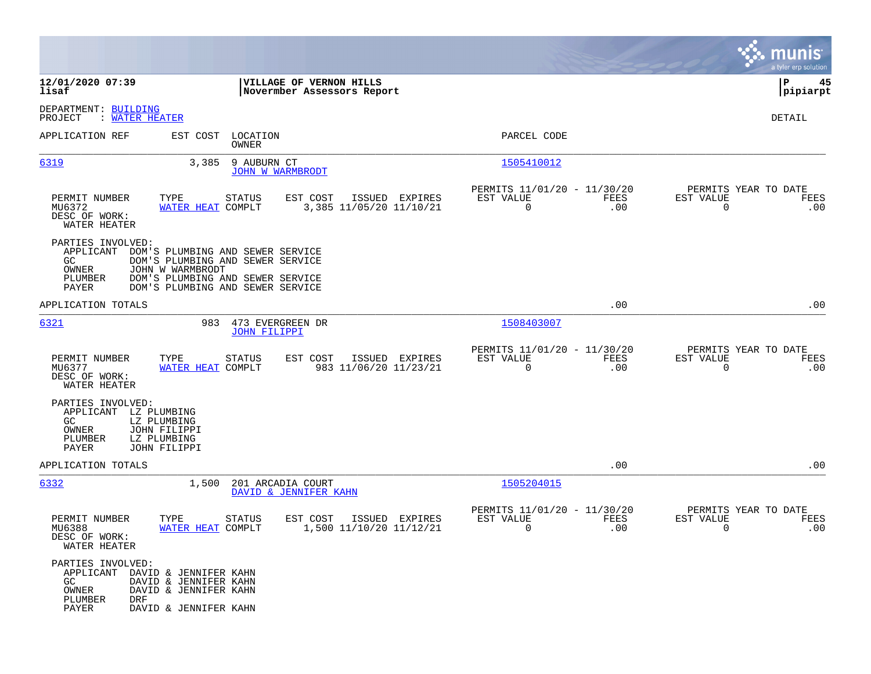|                                                                                                                                                                           |                                                                                                                                              |                                                                        | munis<br>a tyler erp solution                                   |
|---------------------------------------------------------------------------------------------------------------------------------------------------------------------------|----------------------------------------------------------------------------------------------------------------------------------------------|------------------------------------------------------------------------|-----------------------------------------------------------------|
| 12/01/2020 07:39<br>lisaf                                                                                                                                                 | VILLAGE OF VERNON HILLS<br>Novermber Assessors Report                                                                                        |                                                                        | 45<br>IΡ<br> pipiarpt                                           |
| DEPARTMENT: BUILDING<br>PROJECT<br>: WATER HEATER                                                                                                                         |                                                                                                                                              |                                                                        | DETAIL                                                          |
| APPLICATION REF<br>EST COST                                                                                                                                               | LOCATION<br>OWNER                                                                                                                            | PARCEL CODE                                                            |                                                                 |
| 6319<br>3,385                                                                                                                                                             | 9 AUBURN CT<br><b>JOHN W WARMBRODT</b>                                                                                                       | 1505410012                                                             |                                                                 |
| TYPE<br>PERMIT NUMBER<br>MU6372<br>DESC OF WORK:<br>WATER HEATER                                                                                                          | ISSUED EXPIRES<br>STATUS<br>EST COST<br>WATER HEAT COMPLT<br>3,385 11/05/20 11/10/21                                                         | PERMITS 11/01/20 - 11/30/20<br>EST VALUE<br>FEES<br>$\mathbf 0$<br>.00 | PERMITS YEAR TO DATE<br>EST VALUE<br>FEES<br>$\mathbf 0$<br>.00 |
| PARTIES INVOLVED:<br>APPLICANT<br>GC<br>OWNER<br>JOHN W WARMBRODT<br>PLUMBER<br>PAYER                                                                                     | DOM'S PLUMBING AND SEWER SERVICE<br>DOM'S PLUMBING AND SEWER SERVICE<br>DOM'S PLUMBING AND SEWER SERVICE<br>DOM'S PLUMBING AND SEWER SERVICE |                                                                        |                                                                 |
| APPLICATION TOTALS                                                                                                                                                        |                                                                                                                                              | .00                                                                    | .00                                                             |
| 6321                                                                                                                                                                      | 983<br>473 EVERGREEN DR<br><b>JOHN FILIPPI</b>                                                                                               | 1508403007                                                             |                                                                 |
| PERMIT NUMBER<br>TYPE<br>MU6377<br>DESC OF WORK:<br>WATER HEATER                                                                                                          | <b>STATUS</b><br>EST COST<br>ISSUED EXPIRES<br>983 11/06/20 11/23/21<br>WATER HEAT COMPLT                                                    | PERMITS 11/01/20 - 11/30/20<br>EST VALUE<br>FEES<br>0<br>.00           | PERMITS YEAR TO DATE<br>EST VALUE<br>FEES<br>$\mathbf 0$<br>.00 |
| PARTIES INVOLVED:<br>APPLICANT LZ PLUMBING<br>GC.<br>LZ PLUMBING<br>OWNER<br>JOHN FILIPPI<br>PLUMBER<br>LZ PLUMBING<br>PAYER<br>JOHN FILIPPI                              |                                                                                                                                              |                                                                        |                                                                 |
| APPLICATION TOTALS                                                                                                                                                        |                                                                                                                                              | .00                                                                    | .00                                                             |
| 6332<br>1,500                                                                                                                                                             | 201 ARCADIA COURT<br>DAVID & JENNIFER KAHN                                                                                                   | 1505204015                                                             |                                                                 |
| PERMIT NUMBER<br>TYPE<br>MU6388<br>DESC OF WORK:<br>WATER HEATER                                                                                                          | <b>STATUS</b><br>EST COST<br>ISSUED EXPIRES<br>WATER HEAT COMPLT<br>1,500 11/10/20 11/12/21                                                  | PERMITS 11/01/20 - 11/30/20<br>EST VALUE<br><b>FEES</b><br>0<br>.00    | PERMITS YEAR TO DATE<br>EST VALUE<br>FEES<br>.00<br>0           |
| PARTIES INVOLVED:<br>APPLICANT DAVID & JENNIFER KAHN<br>GC<br>DAVID & JENNIFER KAHN<br>OWNER<br>DAVID & JENNIFER KAHN<br>PLUMBER<br>DRF<br>PAYER<br>DAVID & JENNIFER KAHN |                                                                                                                                              |                                                                        |                                                                 |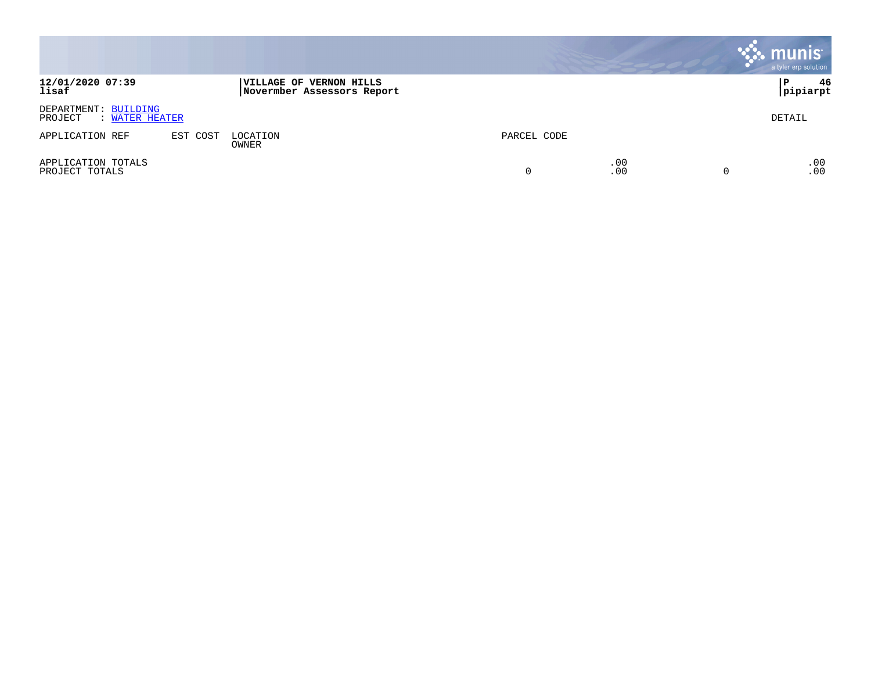|                                                   |          |                                                              |             |            | munis<br>a tyler erp solution |
|---------------------------------------------------|----------|--------------------------------------------------------------|-------------|------------|-------------------------------|
| 12/01/2020 07:39<br>lisaf                         |          | <b>VILLAGE OF VERNON HILLS</b><br>Novermber Assessors Report |             |            | 46<br>l P<br>pipiarpt         |
| DEPARTMENT: BUILDING<br>: WATER HEATER<br>PROJECT |          |                                                              |             |            | DETAIL                        |
| APPLICATION REF                                   | EST COST | LOCATION<br>OWNER                                            | PARCEL CODE |            |                               |
| APPLICATION TOTALS<br>PROJECT TOTALS              |          |                                                              | $\Omega$    | .00<br>.00 | .00<br>.00                    |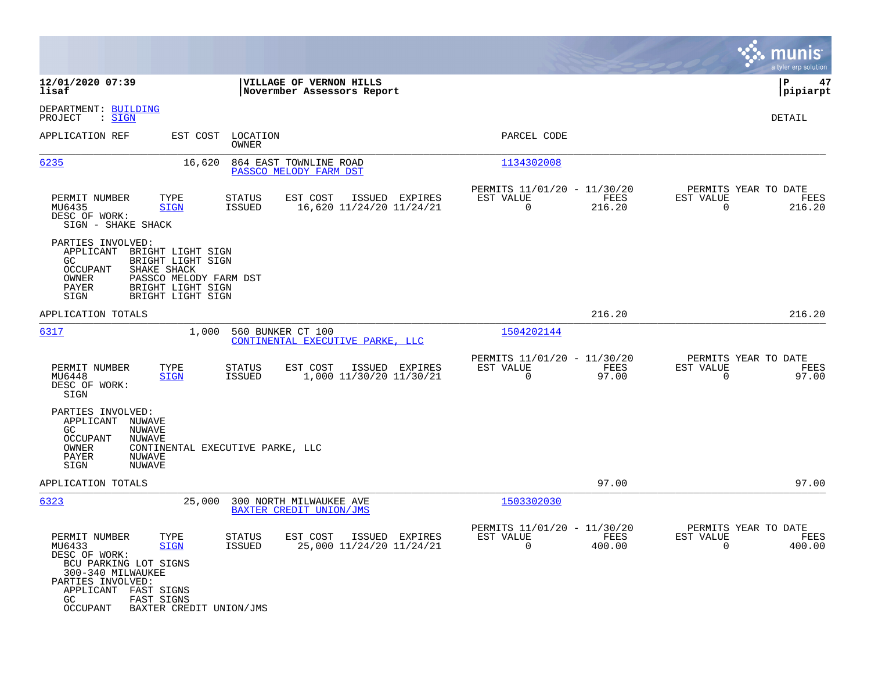|                                                                                                                                                                                                                                                                                   | munis<br>a tyler erp solution                                                                                                                                     |
|-----------------------------------------------------------------------------------------------------------------------------------------------------------------------------------------------------------------------------------------------------------------------------------|-------------------------------------------------------------------------------------------------------------------------------------------------------------------|
| 12/01/2020 07:39<br>VILLAGE OF VERNON HILLS<br>lisaf<br>Novermber Assessors Report                                                                                                                                                                                                | ΙP<br>47<br> pipiarpt                                                                                                                                             |
| DEPARTMENT: BUILDING<br>PROJECT<br>: SIGN                                                                                                                                                                                                                                         | DETAIL                                                                                                                                                            |
| APPLICATION REF<br>EST COST<br>LOCATION<br>OWNER                                                                                                                                                                                                                                  | PARCEL CODE                                                                                                                                                       |
| 6235<br>16,620<br>864 EAST TOWNLINE ROAD<br>PASSCO MELODY FARM DST                                                                                                                                                                                                                | 1134302008                                                                                                                                                        |
| PERMIT NUMBER<br>TYPE<br>EST COST<br><b>STATUS</b><br>MU6435<br>ISSUED<br>16,620 11/24/20 11/24/21<br><b>SIGN</b><br>DESC OF WORK:<br>SIGN - SHAKE SHACK                                                                                                                          | PERMITS 11/01/20 - 11/30/20<br>PERMITS YEAR TO DATE<br>EST VALUE<br>ISSUED EXPIRES<br>FEES<br>EST VALUE<br>FEES<br>$\mathbf 0$<br>216.20<br>$\mathbf 0$<br>216.20 |
| PARTIES INVOLVED:<br>APPLICANT<br>BRIGHT LIGHT SIGN<br>BRIGHT LIGHT SIGN<br>GC.<br>SHAKE SHACK<br>OCCUPANT<br>PASSCO MELODY FARM DST<br>OWNER<br>BRIGHT LIGHT SIGN<br>PAYER<br>BRIGHT LIGHT SIGN<br>SIGN                                                                          |                                                                                                                                                                   |
| APPLICATION TOTALS                                                                                                                                                                                                                                                                | 216.20<br>216.20                                                                                                                                                  |
| 6317<br>1,000<br>560 BUNKER CT 100<br>CONTINENTAL EXECUTIVE PARKE, LLC                                                                                                                                                                                                            | 1504202144                                                                                                                                                        |
| TYPE<br>PERMIT NUMBER<br>STATUS<br>EST COST<br>1,000 11/30/20 11/30/21<br>MU6448<br>ISSUED<br><b>SIGN</b><br>DESC OF WORK:<br>SIGN                                                                                                                                                | PERMITS 11/01/20 - 11/30/20<br>PERMITS YEAR TO DATE<br>ISSUED EXPIRES<br>EST VALUE<br>FEES<br>EST VALUE<br>FEES<br>0<br>97.00<br>$\mathbf 0$<br>97.00             |
| PARTIES INVOLVED:<br>APPLICANT NUWAVE<br>NUWAVE<br>GC.<br>OCCUPANT<br>NUWAVE<br>OWNER<br>CONTINENTAL EXECUTIVE PARKE, LLC<br>PAYER<br>NUWAVE<br>SIGN<br>NUWAVE                                                                                                                    |                                                                                                                                                                   |
| APPLICATION TOTALS                                                                                                                                                                                                                                                                | 97.00<br>97.00                                                                                                                                                    |
| 6323<br>25,000<br>300 NORTH MILWAUKEE AVE<br>BAXTER CREDIT UNION/JMS                                                                                                                                                                                                              | 1503302030                                                                                                                                                        |
| PERMIT NUMBER<br>EST COST<br>STATUS<br>TYPE<br>MU6433<br><b>SIGN</b><br>ISSUED<br>25,000 11/24/20 11/24/21<br>DESC OF WORK:<br>BCU PARKING LOT SIGNS<br>300-340 MILWAUKEE<br>PARTIES INVOLVED:<br>APPLICANT FAST SIGNS<br>GC<br>FAST SIGNS<br>OCCUPANT<br>BAXTER CREDIT UNION/JMS | PERMITS 11/01/20 - 11/30/20<br>PERMITS YEAR TO DATE<br>ISSUED EXPIRES<br>EST VALUE<br>EST VALUE<br>FEES<br>FEES<br>0<br>400.00<br>0<br>400.00                     |